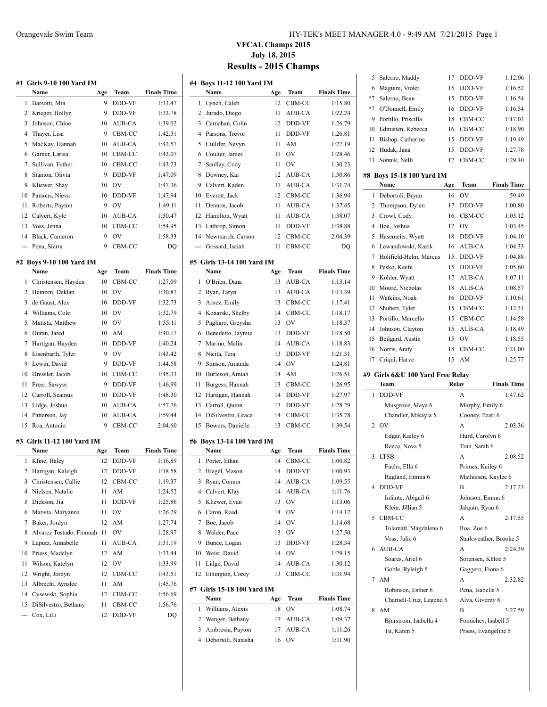**#1 Girls 9-10 100 Yard IM**

**Name Age Team** 

|                    |                           | <b>VFCAL Champs 2015</b><br><b>July 18, 2015</b> | <b>Results - 2015 Champs</b> |                    |
|--------------------|---------------------------|--------------------------------------------------|------------------------------|--------------------|
|                    | #4 Boys 11-12 100 Yard IM |                                                  |                              |                    |
| <b>Finals Time</b> | Name                      | Age                                              | Team                         | <b>Finals Time</b> |
| 1:33.47            | Lynch, Caleb              | 12                                               | CBM-CC                       | 1:15.80            |
| 1:33.78            | Jurado, Diego             |                                                  | AUB-CA                       | 1:22.24            |
|                    |                           |                                                  |                              |                    |

| 1  | Barsotti, Mia    | 9  | <b>DDD-VF</b>  | 1:33.47 |
|----|------------------|----|----------------|---------|
| 2  | Krieger, Hollyn  | 9  | <b>DDD-VF</b>  | 1:33.78 |
| 3  | Johnson, Chloe   | 10 | AUB-CA         | 1:39.02 |
| 4  | Thaver, Lisa     | 9  | CBM-CC         | 1:42.31 |
|    | 5 MacKay, Hannah | 10 | AUB-CA         | 1:42.57 |
| 6  | Garner, Larisa   | 10 | CBM-CC         | 1:43.07 |
| 7  | Sullivan, Esther | 10 | CBM-CC         | 1:43.23 |
| 8  | Stanton, Olivia  | 9  | DDD-VF         | 1:47.09 |
| 9  | Kliewer, Shay    | 10 | OV             | 1:47.36 |
| 10 | Parsons, Nieva   | 10 | <b>DDD-VF</b>  | 1:47.94 |
| 11 | Roberts, Payton  | 9  | O <sub>V</sub> | 1:49.11 |
|    | 12 Calvert, Kyle | 10 | AUB-CA         | 1:50.47 |
| 13 | Voss, Jenna      | 10 | CBM-CC         | 1:54.95 |
| 14 | Black, Cameron   | 9  | OV             | 1:58.33 |

--- Pena, Sierra 9 CBM-CC DQ

#### **#2 Boys 9-10 100 Yard IM**

|    | Name                | Age | Team          | <b>Finals Time</b> |
|----|---------------------|-----|---------------|--------------------|
| 1  | Christensen, Hayden | 10  | CBM-CC        | 1:27.09            |
| 2  | Heinzen, Deklan     | 10  | OV            | 1:30.87            |
| 3  | de Gaust, Alex      | 10  | <b>DDD-VF</b> | 1:32.73            |
| 4  | Williams, Cole      | 10  | OV            | 1:32.79            |
| 5  | Matista, Matthew    | 10  | OV            | 1:35.11            |
| 6  | Duran, Jared        | 10  | AM            | 1:40.17            |
| 7  | Hartigan, Hayden    | 10  | <b>DDD-VF</b> | 1:40.24            |
| 8  | Eisenbarth, Tyler   | 9   | OV            | 1:43.42            |
| 9  | Lewin, David        | 9   | <b>DDD-VF</b> | 1:44.58            |
| 10 | Dressler, Jacob     | 10  | CBM-CC        | 1:45.33            |
| 11 | Freer, Sawyer       | 9   | <b>DDD-VF</b> | 1:46.99            |
| 12 | Carroll, Seamus     | 10  | <b>DDD-VF</b> | 1:48.30            |
| 13 | Lidge, Joshua       | 10  | AUB-CA        | 1:57.76            |
| 14 | Patterson, Jay      | 10  | AUB-CA        | 1:59.44            |
| 15 | Roa, Antonio        | 9   | CBM-CC        | 2:04.60            |

#### **#3 Girls 11-12 100 Yard IM**

|    | Name                     | Age | Team          | <b>Finals Time</b> |
|----|--------------------------|-----|---------------|--------------------|
| 1  | Kline, Haley             | 12  | <b>DDD-VF</b> | 1:16.89            |
| 2  | Hartigan, Kaleigh        | 12  | DDD-VF        | 1:18.58            |
| 3  | Christensen, Callie      | 12  | CBM-CC        | 1:19.37            |
| 4  | Nielsen, Natalie         | 11  | AM            | 1:24.52            |
| 5  | Dickson, Jia             | 11  | DDD-VF        | 1:25.86            |
| 6  | Matista, Maryanna        | 11  | OV            | 1:26.29            |
| 7  | Baker, Jordyn            | 12  | AM            | 1:27.74            |
| 8  | Alvarez Tostado, Fionnah | 11  | OV            | 1:28.97            |
| 9  | Laputz, Annabelle        | 11  | <b>AUB-CA</b> | 1:31.19            |
| 10 | Priess, Madelyn          | 12  | AM            | 1:33.44            |
| 11 | Wilson, Katelyn          | 12  | OV            | 1:33.99            |
| 12 | Wright, Jordyn           | 12  | CBM-CC        | 1:43.51            |
| 13 | Albrecht, Aynslee        | 11  | AM            | 1:45.76            |
| 14 | Cysewski, Sophia         | 12  | CBM-CC        | 1:56.69            |
| 15 | DiSilvestro, Bethany     | 11  | CBM-CC        | 1:56.76            |
|    | --- Cox, Lilli           | 12  | <b>DDD-VF</b> | DQ                 |

|     | гуаше                           | Age | теаш         | гшав типе          |
|-----|---------------------------------|-----|--------------|--------------------|
| 1   | Lynch, Caleb                    | 12  | CBM-CC       | 1:15.80            |
| 2   | Jurado, Diego                   | 11  | AUB-CA       | 1:22.24            |
| 3   | Carnahan, Colin                 | 12  | DDD-VF       | 1:26.79            |
| 4   | Parsons, Trevor                 | 11  | DDD-VF       | 1:26.81            |
| 5   | Cullifer, Nevyn                 | 11  | AM           | 1:27.19            |
| 6   | Coulter, James                  | 11  | OV           | 1:28.46            |
| 7   | Scollay, Cody                   | 11  | OV           | 1:30.23            |
| 8   | Downey, Kai                     | 12  | AUB-CA       | 1:30.86            |
| 9   | Calvert, Kaden                  | 11  | AUB-CA       | 1:31.74            |
| 10  | Everett, Jack                   | 12  | CBM-CC       | 1:36.94            |
| 11  | Dennon, Jacob                   | 11  | AUB-CA       | 1:37.45            |
| 12  | Hamilton, Wyatt                 | 11  | AUB-CA       | 1:38.07            |
| 13  | Lathrop, Simon                  | 11  | DDD-VF       | 1:38.88            |
| 14  | Newmarch, Carson                | 12  | CBM-CC       | 2:04.39            |
| --- | Gossard, Isaiah                 | 11  | CBM-CC       | DQ                 |
|     |                                 |     |              |                    |
|     | #5 Girls 13-14 100 Yard IM      |     |              |                    |
|     | Name                            | Age | Team         | <b>Finals Time</b> |
| 1   | O'Brien, Dana                   | 13  | AUB-CA       | 1:13.14            |
| 2   | Ryan, Taryn                     | 13  | AUB-CA       | 1:13.39            |
| 3   | Arnez, Emily                    | 13  | CBM-CC       | 1:17.41            |
| 4   | Konarski, Shelby                | 14  | CBM-CC       | 1:18.17            |
| 5   | Pagliaro, Greysha               | 13  | OV           | 1:18.37            |
| 6   | Benedetto, Jaymie               | 13  | DDD-VF       | 1:18.50            |
| 7   | Marino, Malin                   | 14  | AUB-CA       | 1:18.83            |
| 8   | Nicita, Tera                    | 13  | DDD-VF       | 1:21.31            |
| 9   | Stinson, Amanda                 | 14  | OV           | 1:24.81            |
| 10  | Burleson, Amiah                 | 14  | AM           | 1:26.51            |
| 11  | Burgess, Hannah                 | 13  | CBM-CC       | 1:26.95            |
| 12  | Hartigan, Hannah                | 14  | DDD-VF       | 1:27.97            |
| 13  | Carroll, Quinn                  | 13  | DDD-VF       | 1:28.29            |
| 14  | DiSilvestro, Grace              | 14  | CBM-CC       | 1:35.78            |
| 15  | Bowers, Danielle                | 13  | CBM-CC       | 1:39.54            |
|     | #6 Boys 13-14 100 Yard IM       |     |              |                    |
|     | Name                            | Age | Team         | <b>Finals Time</b> |
| 1   | Porter, Ethan                   | 14  | CBM-CC       | 1:00.82            |
| 2   | Biegel, Mason                   | 14  | DDD-VF       | 1:00.93            |
| 3   |                                 | 14  | AUB-CA       | 1:09.55            |
|     | Ryan, Connor<br>4 Calvert, Klay |     | 14 AUB-CA    | 1:11.76            |
| 5   |                                 | 13  | OV           |                    |
| 6   | Kliewer, Evan<br>Caron, Reed    | 14  | OV           | 1:13.06            |
| 7   | Boe, Jacob                      | 14  | OV           | 1:14.17<br>1:14.68 |
|     | Walder, Pace                    |     |              |                    |
| 8   |                                 | 13  | OV<br>DDD-VF | 1:27.50            |
| 9   | Bunce, Logan<br>Weist, David    | 13  | OV           | 1:28.34            |
| 10  |                                 | 14  |              | 1:29.15            |
| 11  | Lidge, David                    | 14  | AUB-CA       | 1:30.12            |
| 12  | Ethington, Corey                | 13  | CBM-CC       | 1:31.94            |
|     | #7 Girls 15-18 100 Yard IM      |     |              |                    |
|     | Name                            | Age | Team         | <b>Finals Time</b> |
| 1   | Williams, Alexis                | 18  | OV           | 1:08.74            |
| 2   | Wenger, Bethany                 | 17  | AUB-CA       | 1:09.37            |
| 3   | Ambrosia, Payton                | 17  | AUB-CA       | 1:11.26            |
|     |                                 |     |              |                    |

Debortoli, Natasha 16 OV 1:11.90

| 's MEET MANAGER 4.0 - 9:49 AM 7/21/2015 Page 1 |  |
|------------------------------------------------|--|
|                                                |  |

| 5    | Salerno, Maddy                   | 17  | DDD-VF               | 1:12.06                |
|------|----------------------------------|-----|----------------------|------------------------|
| 6    | Maguire, Violet                  | 15  | DDD-VF               | 1:16.52                |
| $*7$ | Salerno, Bean                    | 15  | DDD-VF               | 1:16.54                |
| $*7$ | O'Donnell, Emily                 | 16  | DDD-VF               | 1:16.54                |
| 9    | Portillo, Priscilla              | 18  | CBM-CC               | 1:17.03                |
| 10   | Edmisten, Rebecca                | 16  | CBM-CC               | 1:18.90                |
| 11   | Bishop, Catherine                | 15  | DDD-VF               | 1:19.49                |
| 12   | Hudak, Jana                      | 15  | DDD-VF               | 1:27.78                |
| 13   | Sonnik, Nelli                    | 17  | CBM-CC               | 1:29.40                |
|      |                                  |     |                      |                        |
|      | #8 Boys 15-18 100 Yard IM        |     |                      |                        |
|      | Name                             | Age | Team                 | <b>Finals Time</b>     |
| 1    | Debortoli, Bryan                 | 16  | OV                   | 59.49                  |
| 2    | Thompson, Dylan                  | 17  | DDD-VF               | 1:00.80                |
| 3    | Crowl, Cody                      | 16  | CBM-CC               | 1:03.12                |
| 4    | Boe, Joshua                      | 17  | OV                   | 1:03.45                |
| 5    | Hasemeier, Wyatt                 | 18  | DDD-VF               | 1:04.10                |
| 6    | Lewandowski, Kazik               | 16  | AUB-CA               | 1:04.33                |
| 7    | Holifield-Helm, Marcus           | 15  | DDD-VF               | 1:04.88                |
| 8    | Pesko, Keefe                     | 15  | DDD-VF               | 1:05.60                |
| 9    | Kohler, Wyatt                    | 17  | <b>AUB-CA</b>        | 1:07.11                |
| 10   | Moore, Nicholas                  | 18  | AUB-CA               | 1:08.57                |
| 11   | Watkins, Noah                    | 16  | DDD-VF               | 1:10.61                |
| 12   | Shubert, Tyler                   | 15  | CBM-CC               | 1:12.31                |
| 13   | Portillo, Marcello               | 15  | CBM-CC               | 1:14.58                |
| 14   | Johnson, Clayton                 | 15  | AUB-CA               | 1:18.49                |
| 15   | Beilgard, Austin                 | 15  | OV                   | 1:18.55                |
| 16   | Norris, Andy                     | 18  | CBM-CC               | 1:21.00                |
|      |                                  |     |                      |                        |
| 17   | Criqui, Harve                    | 15  | AM                   | 1:25.77                |
|      | #9 Girls 6&U 100 Yard Free Relay |     |                      |                        |
|      | Team                             |     | Relay                | <b>Finals Time</b>     |
| 1    | DDD-VF                           |     | A                    | 1:47.62                |
|      | Musgrove, Maya 6                 |     | Murphy, Emily 6      |                        |
|      | Chandler, Mikayla 5              |     | Cooney, Pearl 6      |                        |
| 2    | OV                               |     | A                    | 2:03.36                |
|      | Edgar, Kailey 6                  |     | Hurd, Carolyn 6      |                        |
|      | Reece, Nova 5                    |     | Tran, Sarah 6        |                        |
| 3    | <b>LTSB</b>                      |     | А                    | 2:08.52                |
|      | Fuchs, Ella 6                    |     | Primes, Kailey 6     |                        |
|      | Ragland, Emma 6                  |     | Mathiesen, Kaylee 6  |                        |
| 4    | DDD-VF                           |     | B                    | 2:17.23                |
|      | Infante, Abigail 6               |     | Johnson, Emma 6      |                        |
|      | Klein, Jillian 5                 |     | Jalquin, Ryan 6      |                        |
| 5    | CBM-CC                           |     | A                    | 2:17.55                |
|      | Tolamatl, Magdalena 6            |     | Roa, Zoe 6           |                        |
|      | Voss, Julie 6                    |     |                      | Starkweather, Brooke 5 |
| 6    | <b>AUB-CA</b>                    |     | A                    | 2:24.39                |
|      | Soares, Ariel 6                  |     | Sorensen, Khloe 5    |                        |
|      | Goble, Ryleigh 5                 |     | Gaggero, Fiona 6     |                        |
| 7    | AM                               |     | A                    | 2:32.82                |
|      | Robinson, Esther 6               |     | Pena, Isabella 5     |                        |
|      | Charnell-Cruz, Legend 6          |     | Alva, Giverny 6      |                        |
| 8    | AM                               |     | B                    | 3:27.59                |
|      | Bjurstrom, Isabella 4            |     | Fomichev, Isabell 5  |                        |
|      | Tu, Karen 5                      |     | Priess, Evangeline 5 |                        |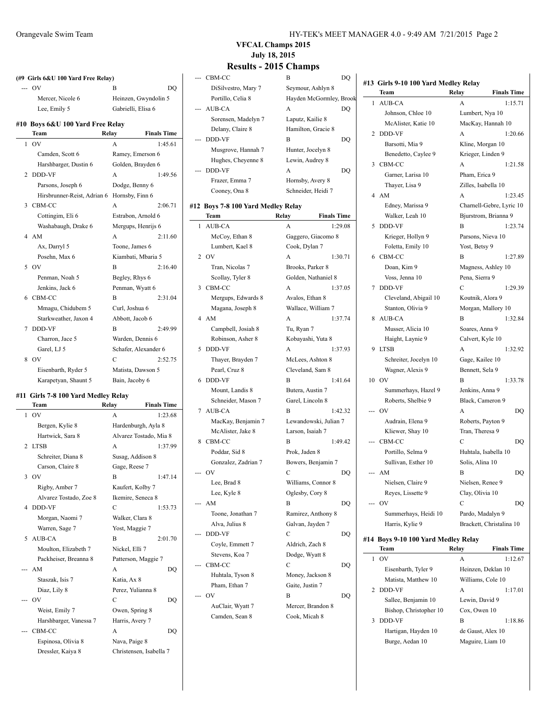|                | (#9 Girls 6&U 100 Yard Free Relay) |                      |                    |
|----------------|------------------------------------|----------------------|--------------------|
|                | OV                                 | В                    | DO                 |
|                | Mercer, Nicole 6                   | Heinzen, Gwyndolin 5 |                    |
|                | Lee, Emily 5                       | Gabrielli, Elisa 6   |                    |
|                | #10 Boys 6&U 100 Yard Free Relay   |                      |                    |
|                | Team                               | Relay                | <b>Finals Time</b> |
|                | 1.0V                               | A                    | 1:45.61            |
|                | Camden, Scott 6                    | Ramey, Emerson 6     |                    |
|                | Harshbarger, Dustin 6              | Golden, Brayden 6    |                    |
| $\mathfrak{D}$ | <b>DDD-VF</b>                      | А                    | 1:49.56            |
|                | Parsons, Joseph 6                  | Dodge, Benny 6       |                    |
|                | Hirsbrunner-Reist, Adrian 6        | Hornsby, Finn 6      |                    |
| 3              | CBM-CC                             | A                    | 2:06.71            |
|                | Cottingim, Eli 6                   | Estrabon, Arnold 6   |                    |
|                | Washabaugh, Drake 6                | Mergups, Henrijs 6   |                    |
| 4              | AM                                 | A                    | 2:11.60            |
|                | Ax, Darryl 5                       | Toone, James 6       |                    |
|                | Posehn, Max 6                      | Kiambati, Mbaria 5   |                    |
| 5              | - OV                               | B                    | 2:16.40            |
|                | Penman, Noah 5                     | Begley, Rhys 6       |                    |
|                | Jenkins, Jack 6                    | Penman, Wyatt 6      |                    |
|                | 6 CBM-CC                           | B                    | 2:31.04            |
|                | Mmagu, Chidubem 5                  | Curl, Joshua 6       |                    |
|                | Starkweather, Jaxon 4              | Abbott, Jacob 6      |                    |
| 7              | <b>DDD-VF</b>                      | R                    | 2:49.99            |
|                | Charron, Jace 5                    | Warden, Dennis 6     |                    |
|                | Garel, LJ 5                        | Schafer, Alexander 6 |                    |
| 8              | OV                                 | C                    | 2:52.75            |
|                | Eisenbarth, Ryder 5                | Matista, Dawson 5    |                    |
|                | Karapetyan, Shaunt 5               | Bain, Jacoby 6       |                    |
|                |                                    |                      |                    |

#### **#11 Girls 7-8 100 Yard Medley Relay**

 $\overline{a}$ 

|     | Team                   | Relay                   | <b>Finals Time</b> |
|-----|------------------------|-------------------------|--------------------|
| 1   | <b>OV</b>              | A                       | 1:23.68            |
|     | Bergen, Kylie 8        | Hardenburgh, Ayla 8     |                    |
|     | Hartwick, Sara 8       | Alvarez Tostado, Mia 8  |                    |
| 2   | <b>LTSB</b>            | A                       | 1:37.99            |
|     | Schreiter, Diana 8     | Susag, Addison 8        |                    |
|     | Carson, Claire 8       | Gage, Reese 7           |                    |
|     | 3.0V                   | B                       | 1:47.14            |
|     | Rigby, Amber 7         | Kaufert, Kolby 7        |                    |
|     | Alvarez Tostado, Zoe 8 | Ikemire, Seneca 8       |                    |
| 4   | <b>DDD-VF</b>          | C                       | 1:53.73            |
|     | Morgan, Naomi 7        | Walker, Clara 8         |                    |
|     | Warren, Sage 7         | Yost, Maggie 7          |                    |
| 5.  | AUB-CA                 | B                       | 2:01.70            |
|     | Moulton, Elizabeth 7   | Nickel, Elli 7          |                    |
|     | Packheiser, Breanna 8  | Patterson, Maggie 7     |                    |
|     | AM                     | A                       | DO                 |
|     | Staszak, Isis 7        | Katia, Ax 8             |                    |
|     | Diaz, Lily 8           | Perez, Yulianna 8       |                    |
| --- | O <sub>V</sub>         | C                       | DO                 |
|     | Weist, Emily 7         | Owen, Spring 8          |                    |
|     | Harshbarger, Vanessa 7 | Harris, Avery 7         |                    |
|     | CBM-CC                 | A                       | DO                 |
|     | Espinosa, Olivia 8     | Nava, Paige 8           |                    |
|     | Dressler, Kaiya 8      | Christensen, Isabella 7 |                    |

#### **VFCAL Champs 2015 July 18, 2015**

|   | <b>Results - 2015 Champs</b>       |                             |
|---|------------------------------------|-----------------------------|
|   | CBM-CC                             | В<br>DO                     |
|   | DiSilvestro, Mary 7                | Seymour, Ashlyn 8           |
|   | Portillo, Celia 8                  | Hayden McGormley, Brook     |
|   | AUB-CA                             | A<br>DO                     |
|   | Sorensen, Madelyn 7                | Laputz, Kailie 8            |
|   | Delany, Claire 8                   | Hamilton, Gracie 8          |
|   | DDD-VF                             | В<br>DQ                     |
|   | Musgrove, Hannah 7                 | Hunter, Jocelyn 8           |
|   | Hughes, Cheyenne 8                 | Lewin, Audrey 8             |
|   | DDD-VF                             | A<br>DO                     |
|   | Frazer, Emma 7                     |                             |
|   |                                    | Hornsby, Avery 8            |
|   | Cooney, Ona 8                      | Schneider, Heidi 7          |
|   | #12 Boys 7-8 100 Yard Medley Relay |                             |
|   | Team                               | Relay<br><b>Finals Time</b> |
| 1 | <b>AUB-CA</b>                      | 1:29.08<br>A                |
|   | McCoy, Ethan 8                     | Gaggero, Giacomo 8          |
|   | Lumbert, Kael 8                    | Cook, Dylan 7               |
|   | 2 OV                               | A<br>1:30.71                |
|   | Tran, Nicolas 7                    | Brooks, Parker 8            |
|   | Scollay, Tyler 8                   | Golden, Nathaniel 8         |
| 3 | CBM-CC                             | A<br>1:37.05                |
|   | Mergups, Edwards 8                 | Avalos, Ethan 8             |
|   | Magana, Joseph 8                   | Wallace, William 7          |
| 4 | AM                                 | A<br>1:37.74                |
|   | Campbell, Josiah 8                 | Tu, Ryan 7                  |
|   | Robinson, Asher 8                  | Kobayashi, Yuta 8           |
| 5 | DDD-VF                             | 1:37.93<br>A                |
|   | Thayer, Brayden 7                  | McLees, Ashton 8            |
|   | Pearl, Cruz 8                      | Cleveland, Sam 8            |
| 6 | DDD-VF                             | B<br>1:41.64                |
|   | Mount, Landis 8                    | Butera, Austin 7            |
|   | Schneider, Mason 7                 | Garel, Lincoln 8            |
| 7 | <b>AUB-CA</b>                      | B<br>1:42.32                |
|   | MacKay, Benjamin 7                 | Lewandowski, Julian 7       |
|   | McAlister, Jake 8                  | Larson, Isaiah 7            |
| 8 | CBM-CC                             | 1:49.42<br>В                |
|   | Poddar, Sid 8                      | Prok, Jaden 8               |
|   | Gonzalez, Zadrian 7                | Bowers, Benjamin 7          |
|   | OV                                 | С<br>DO                     |
|   | Lee, Brad 8                        | Williams, Connor 8          |
|   | Lee, Kyle 8                        | Oglesby, Cory 8             |
|   | AM                                 | B<br>DQ                     |
|   | Toone, Jonathan 7                  | Ramirez, Anthony 8          |
|   | Alva, Julius 8                     | Galvan, Jayden 7            |
|   | DDD-VF                             | C<br>DQ                     |
|   | Coyle, Emmett 7                    | Aldrich, Zach 8             |
|   | Stevens, Koa 7                     | Dodge, Wyatt 8              |
|   | CBM-CC                             | C<br>DQ                     |
|   | Huhtala, Tyson 8                   | Money, Jackson 8            |
|   | Pham, Ethan 7                      | Gaite, Justin 7             |
|   | OV                                 | В<br>DQ                     |
|   | AuClair, Wyatt 7                   | Mercer, Brandon 8           |
|   | Camden, Sean 8                     | Cook, Micah 8               |
|   |                                    |                             |

|     | #13 Girls 9-10 100 Yard Medley Relay |                 |                          |
|-----|--------------------------------------|-----------------|--------------------------|
|     | Team                                 | Relay           | <b>Finals Time</b>       |
| 1   | AUB-CA                               | A               | 1:15.71                  |
|     | Johnson, Chloe 10                    |                 | Lumbert, Nya 10          |
|     | McAlister, Katie 10                  |                 | MacKay, Hannah 10        |
| 2   | DDD-VF                               | А               | 1:20.66                  |
|     | Barsotti, Mia 9                      |                 | Kline, Morgan 10         |
|     | Benedetto, Caylee 9                  |                 | Krieger, Linden 9        |
| 3   | CBM-CC                               | A               | 1:21.58                  |
|     | Garner, Larisa 10                    | Pham, Erica 9   |                          |
|     | Thayer, Lisa 9                       |                 | Zilles, Isabella 10      |
| 4   | AM                                   | A               | 1:23.45                  |
|     | Edney, Marissa 9                     |                 | Charnell-Gebre, Lyric 10 |
|     | Walker, Leah 10                      |                 | Bjurstrom, Brianna 9     |
| 5   | DDD-VF                               | B               | 1:23.74                  |
|     | Krieger, Hollyn 9                    |                 | Parsons, Nieva 10        |
|     | Foletta, Emily 10                    | Yost, Betsy 9   |                          |
| 6   | CBM-CC                               | B               | 1:27.89                  |
|     | Doan, Kim 9                          |                 | Magness, Ashley 10       |
|     | Voss, Jenna 10                       | Pena, Sierra 9  |                          |
| 7   | <b>DDD-VF</b>                        | C               | 1:29.39                  |
|     | Cleveland, Abigail 10                |                 | Koutnik, Alora 9         |
|     | Stanton, Olivia 9                    |                 | Morgan, Mallory 10       |
| 8   | AUB-CA                               | B               | 1:32.84                  |
|     | Musser, Alicia 10                    | Soares, Anna 9  |                          |
|     | Haight, Laynie 9                     |                 | Calvert, Kyle 10         |
| 9   | <b>LTSB</b>                          | A               | 1:32.92                  |
|     | Schreiter, Jocelyn 10                |                 | Gage, Kailee 10          |
|     | Wagner, Alexis 9                     | Bennett, Sela 9 |                          |
|     | 10 OV                                | B               | 1:33.78                  |
|     | Summerhays, Hazel 9                  | Jenkins, Anna 9 |                          |
|     | Roberts, Shelbie 9                   |                 | Black, Cameron 9         |
| --- | OV                                   | A               | DQ                       |
|     | Audrain, Elena 9                     |                 | Roberts, Payton 9        |
|     | Kliewer, Shay 10                     | Tran, Theresa 9 |                          |
|     | CBM-CC                               | С               | DQ                       |
|     | Portillo, Selma 9                    |                 | Huhtala, Isabella 10     |
|     | Sullivan, Esther 10                  | Solis, Alina 10 |                          |
|     | AM                                   | B               | DQ                       |
|     | Nielsen, Claire 9                    |                 | Nielsen, Renee 9         |
|     | Reyes, Lissette 9                    | Clay, Olivia 10 |                          |
|     | OV                                   | С               | DQ                       |
|     | Summerhays, Heidi 10                 |                 | Pardo, Madalyn 9         |
|     | Harris, Kylie 9                      |                 | Brackett, Christalina 10 |
| #14 | Boys 9-10 100 Yard Medley Relay      |                 |                          |
|     | Team                                 | Relay           | <b>Finals Time</b>       |
|     |                                      |                 |                          |

| OV                     | A              | 1:12.67            |
|------------------------|----------------|--------------------|
| Eisenbarth, Tyler 9    |                | Heinzen, Deklan 10 |
| Matista, Matthew 10    |                | Williams, Cole 10  |
| 2 DDD-VF               | A              | 1:17.01            |
| Sallee, Benjamin 10    | Lewin, David 9 |                    |
| Bishop, Christopher 10 | Cox, Owen 10   |                    |
| DDD-VF                 | B              | 1:18.86            |
| Hartigan, Hayden 10    |                | de Gaust, Alex 10  |
| Burge, Aedan 10        |                | Maguire, Liam 10   |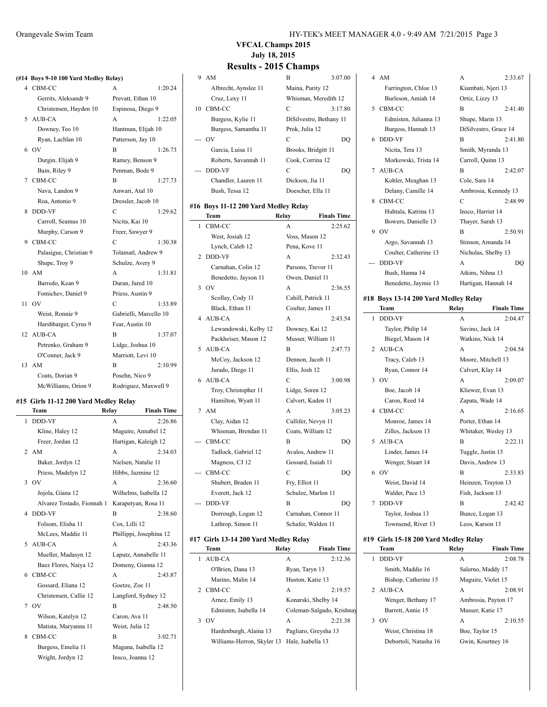### **(#14 Boys 9-10 100 Yard Medley Relay)**

|    | 4 CBM-CC               | A                      | 1:20.24 |
|----|------------------------|------------------------|---------|
|    | Gerrits, Aleksandr 9   | Prevatt, Ethan 10      |         |
|    | Christensen, Hayden 10 | Espinosa, Diego 9      |         |
| 5  | AUB-CA                 | A                      | 1:22.05 |
|    | Downey, Teo 10         | Hantman, Elijah 10     |         |
|    | Ryan, Lachlan 10       | Patterson, Jay 10      |         |
| 6  | O <sub>V</sub>         | B                      | 1:26.73 |
|    | Durgin, Elijah 9       | Ramey, Benson 9        |         |
|    | Bain, Riley 9          | Penman, Bode 9         |         |
| 7  | CBM-CC                 | B                      | 1:27.73 |
|    | Nava, Landon 9         | Anwari, Atal 10        |         |
|    | Roa, Antonio 9         | Dressler, Jacob 10     |         |
| 8  | <b>DDD-VF</b>          | C                      | 1:29.62 |
|    | Carroll, Seamus 10     | Nicita, Kai 10         |         |
|    | Murphy, Carson 9       | Freer, Sawyer 9        |         |
| 9  | CBM-CC                 | C                      | 1:30.38 |
|    | Palasigue, Christian 9 | Tolamatl, Andrew 9     |         |
|    | Shupe, Troy 9          | Schulze, Avery 9       |         |
|    | 10 AM                  | A                      | 1:31.81 |
|    | Barredo, Kean 9        | Duran, Jared 10        |         |
|    | Fomichev, Daniel 9     | Priess, Austin 9       |         |
| 11 | OV                     | C                      | 1:33.89 |
|    | Weist, Ronnie 9        | Gabrielli, Marcello 10 |         |
|    | Harshbarger, Cyrus 9   | Fear, Austin 10        |         |
| 12 | AUB-CA                 | B                      | 1:37.07 |
|    | Petrenko, Graham 9     | Lidge, Joshua 10       |         |
|    | O'Conner, Jack 9       | Marriott, Levi 10      |         |
|    | 13 AM                  | B                      | 2:10.99 |
|    | Coats, Dorian 9        | Posehn, Nico 9         |         |
|    | McWilliams, Orion 9    | Rodriguez, Maxwell 9   |         |
|    |                        |                        |         |

#### **#15 Girls 11-12 200 Yard Medley Relay**

|   | Team                       | Relay               | <b>Finals Time</b>      |
|---|----------------------------|---------------------|-------------------------|
| 1 | DDD-VF                     | A                   | 2:26.86                 |
|   | Kline, Haley 12            |                     | Maguire, Annabel 12     |
|   | Freer, Jordan 12           |                     | Hartigan, Kaleigh 12    |
|   | 2 AM                       | $\mathsf{A}$        | 2:34.03                 |
|   | Baker, Jordyn 12           | Nielsen, Natalie 11 |                         |
|   | Priess, Madelyn 12         | Hibbs, Jazmine 12   |                         |
|   | 3.0V                       | A                   | 2:36.60                 |
|   | Jojola, Giana 12           |                     | Wilhelms, Isabella 12   |
|   | Alvarez Tostado, Fionnah 1 |                     | Karapetyan, Rosa 11     |
| 4 | <b>DDD-VF</b>              | B                   | 2:38.60                 |
|   | Folsom, Elisha 11          | Cox, Lilli 12       |                         |
|   | McLees, Maddie 11          |                     | Phillippi, Josephina 12 |
|   | 5 AUB-CA                   | A                   | 2:43.36                 |
|   | Mueller, Madasyn 12        |                     | Laputz, Annabelle 11    |
|   | Baez Flores, Naiya 12      |                     | Domeny, Gianna 12       |
|   | 6 CBM-CC                   | A                   | 2:43.87                 |
|   | Gossard, Eliana 12         | Goetze, Zoe 11      |                         |
|   | Christensen, Callie 12     |                     | Langford, Sydney 12     |
|   | 7 OV                       | B                   | 2:48.50                 |
|   | Wilson, Katelyn 12         | Caron, Ava 11       |                         |
|   | Matista, Maryanna 11       | Weist, Julia 12     |                         |
| 8 | CBM-CC                     | B                   | 3:02.71                 |
|   | Burgess, Emelia 11         |                     | Magana, Isabella 12     |
|   | Wright, Jordyn 12          | Insco, Joanna 12    |                         |

#### Orangevale Swim Team HY-TEK's MEET MANAGER 4.0 - 9:49 AM 7/21/2015 Page 3

### **VFCAL Champs 2015 July 18, 2015**

#### **Results - 2015 Champs**

#### 9 AM B 3:07.00 Albrecht, Aynslee 11 Maina, Purity 12 Cruz, Lexy 11 Whisman, Meredith 12 10 CBM-CC C 3:17.80 Burgess, Kylie 11 DiSilvestro, Bethany 11 Burgess, Samantha 11 Prok, Julia 12 --- OV C DQ Garcia, Luisa 11 Brooks, Bridgitt 11 Roberts, Savannah 11 Cook, Corrina 12 --- DDD-VF C DQ Chandler, Lauren 11 Dickson, Jia 11 Bush, Tessa 12 Doescher, Ella 11

#### **#16 Boys 11-12 200 Yard Medley Relay**

 $\overline{\phantom{0}}$ 

|   | $_{\text{Doys}}$ in 12.200 rand means, nearly<br>Team | Relay               | <b>Finals Time</b> |
|---|-------------------------------------------------------|---------------------|--------------------|
| 1 | CBM-CC                                                | A                   | 2:25.62            |
|   | West, Josiah 12                                       | Voss, Mason 12      |                    |
|   | Lynch, Caleb 12                                       | Pena, Kove 11       |                    |
| 2 | <b>DDD-VF</b>                                         | A                   | 2:32.43            |
|   | Carnahan, Colin 12                                    | Parsons, Trevor 11  |                    |
|   | Benedetto, Jayson 11                                  | Owen, Daniel 11     |                    |
| 3 | OV                                                    | A                   | 2:36.55            |
|   | Scollay, Cody 11                                      | Cahill, Patrick 11  |                    |
|   | Black, Ethan 11                                       | Coulter, James 11   |                    |
| 4 | <b>AUB-CA</b>                                         | A                   | 2:43.54            |
|   | Lewandowski, Kelby 12                                 | Downey, Kai 12      |                    |
|   | Packheiser, Mason 12                                  | Musser, William 11  |                    |
| 5 | AUB-CA                                                | B                   | 2:47.73            |
|   | McCoy, Jackson 12                                     | Dennon, Jacob 11    |                    |
|   | Jurado, Diego 11                                      | Ellis, Josh 12      |                    |
| 6 | <b>AUB-CA</b>                                         | C                   | 3:00.98            |
|   | Troy, Christopher 11                                  | Lidge, Soren 12     |                    |
|   | Hamilton, Wyatt 11                                    | Calvert, Kaden 11   |                    |
| 7 | AM                                                    | A                   | 3:05.23            |
|   | Clay, Aidan 12                                        | Cullifer, Nevyn 11  |                    |
|   | Whisman, Brendan 11                                   | Coats, William 12   |                    |
|   | CBM-CC                                                | В                   | DQ                 |
|   | Tadlock, Gabriel 12                                   | Avalos, Andrew 11   |                    |
|   | Magness, CJ 12                                        | Gossard, Isaiah 11  |                    |
|   | CBM-CC                                                | С                   | DQ                 |
|   | Shubert, Braden 11                                    | Fry, Elliot 11      |                    |
|   | Everett, Jack 12                                      | Schulze, Marlon 11  |                    |
|   | DDD-VF                                                | B                   | DQ                 |
|   | Dorrough, Logan 12                                    | Carnahan, Connor 11 |                    |
|   | Lathrop, Simon 11                                     | Schafer, Walden 11  |                    |
|   |                                                       |                     |                    |

#### **#17 Girls 13-14 200 Yard Medley Relay**

 $\overline{a}$ 

| <b>Team</b>                                  | Relay | <b>Finals Time</b>        |
|----------------------------------------------|-------|---------------------------|
| AUB-CA                                       | A     | 2:12.36                   |
| O'Brien, Dana 13                             |       | Ryan, Taryn 13            |
| Marino, Malin 14                             |       | Huston, Katie 13          |
| 2 CBM-CC                                     | A     | 2:19.57                   |
| Arnez, Emily 13                              |       | Konarski, Shelby 14       |
| Edmisten, Isabella 14                        |       | Coleman-Salgado, Krishnay |
| $_{\rm OV}$                                  | A     | 2:21.38                   |
| Hardenburgh, Alaina 13                       |       | Pagliaro, Greysha 13      |
| Williams-Herron, Skyler 13 Hale, Isabella 13 |       |                           |

|    | 4 AM                  | A                     | 2:33.67 |
|----|-----------------------|-----------------------|---------|
|    | Farrington, Chloe 13  | Kiambati, Njeri 13    |         |
|    | Burleson, Amiah 14    | Ortiz, Lizzy 13       |         |
|    | 5 CBM-CC              | B                     | 2:41.40 |
|    | Edmisten, Julianna 13 | Shupe, Marin 13       |         |
|    | Burgess, Hannah 13    | DiSilvestro, Grace 14 |         |
|    | 6 DDD-VF              | B                     | 2:41.80 |
|    | Nicita, Tera 13       | Smith, Myranda 13     |         |
|    | Morkowski, Trista 14  | Carroll, Quinn 13     |         |
|    | 7 AUB-CA              | B                     | 2:42.07 |
|    | Kohler, Meaghan 13    | Cole, Sara 14         |         |
|    | Delany, Camille 14    | Ambrosia, Kennedy 13  |         |
| 8. | CBM-CC                | C                     | 2.48.99 |
|    | Huhtala, Katrina 13   | Insco, Harriet 14     |         |
|    | Bowers, Danielle 13   | Thayer, Sarah 13      |         |
| 9  | O <sub>V</sub>        | B                     | 2:50.91 |
|    | Argo, Savannah 13     | Stinson, Amanda 14    |         |
|    | Coulter, Catherine 13 | Nicholas, Shelby 13   |         |
|    | <b>DDD-VF</b>         | A                     | DO      |
|    | Bush, Hanna 14        | Atkins, Nihna 13      |         |

 $2:33.67$ 

 $2:41.40$ 

 $2:42.07$ 

2:48.99

 $2:50.91$ 

# **#18 Boys 13-14 200 Yard Medley Relay**

Benedetto, Jaymie 13 Hartigan, Hannah 14

| <b>Team</b>           | Relay           | <b>Finals Time</b>  |
|-----------------------|-----------------|---------------------|
| <b>DDD-VF</b><br>1    | A               | 2:04.47             |
| Taylor, Philip 14     | Savino, Jack 14 |                     |
| Biegel, Mason 14      |                 | Watkins, Nick 14    |
| AUB-CA<br>$2^{\circ}$ | A               | 2:04.54             |
| Tracy, Caleb 13       |                 | Moore, Mitchell 13  |
| Ryan, Connor 14       |                 | Calvert, Klay 14    |
| 3<br>O <sub>V</sub>   | A               | 2:09.07             |
| Boe, Jacob 14         |                 | Kliewer, Evan 13    |
| Caron, Reed 14        |                 | Zapata, Wade 14     |
| CBM-CC<br>4           | A               | 2:16.65             |
| Monroe, James 14      |                 | Porter, Ethan 14    |
| Zilles, Jackson 13    |                 | Whitaker, Wesley 13 |
| AUB-CA<br>5           | B               | 2:22.11             |
| Linder, James 14      |                 | Tuggle, Justin 13   |
| Wenger, Stuart 14     |                 | Davis, Andrew 13    |
| 6<br>O <sub>V</sub>   | B               | 2:33.83             |
| Weist, David 14       |                 | Heinzen, Trayton 13 |
| Walder, Pace 13       |                 | Fish, Jackson 13    |
| DDD-VF<br>7           | B               | 2.42.42             |
| Taylor, Joshua 13     |                 | Bunce, Logan 13     |
| Townsend, River 13    |                 | Leos, Karson 13     |

#### **#19 Girls 15-18 200 Yard Medley Relay**

|   | Team                  | Relav            | <b>Finals Time</b>  |
|---|-----------------------|------------------|---------------------|
|   | <b>DDD-VF</b>         | A                | 2:08.78             |
|   | Smith, Maddie 16      |                  | Salerno, Maddy 17   |
|   | Bishop, Catherine 15  |                  | Maguire, Violet 15  |
|   | 2 AUB-CA              | A                | 2:08.91             |
|   | Wenger, Bethany 17    |                  | Ambrosia, Payton 17 |
|   | Barrett, Annie 15     | Musser, Katie 17 |                     |
| 3 | OV                    | A                | 2:10.55             |
|   | Weist, Christina 18   | Boe, Taylor 15   |                     |
|   | Debortoli, Natasha 16 |                  | Gwin, Kourtney 16   |
|   |                       |                  |                     |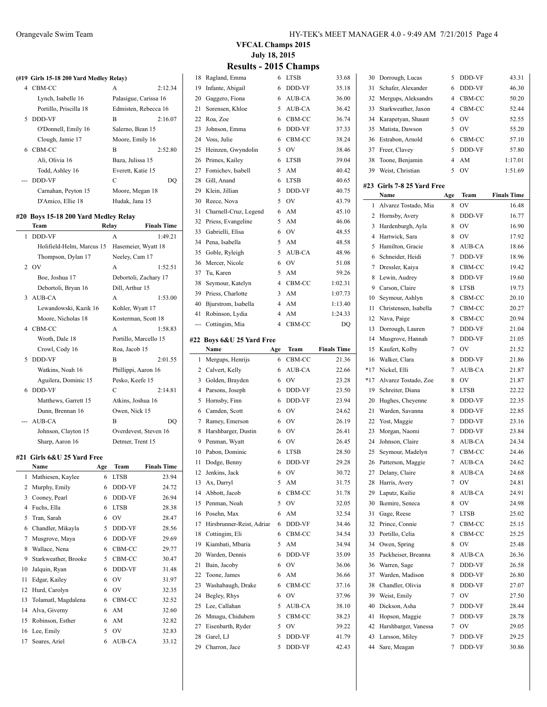#### **(#19 Girls 15-18 200 Yard Medley Relay)** CBM-CC A 2:12.34 Lynch, Isabelle 16 Palasigue, Carissa 16 Portillo, Priscilla 18 Edmisten, Rebecca 16 5 DDD-VF B 2:16.07

| O'Donnell, Emily 16 | Salerno, Bean 15  |
|---------------------|-------------------|
| Clough, Jamie 17    | Moore, Emily 16   |
| CBM-CC              | 2:52.80<br>в      |
| Ali, Olivia 16      | Baza, Julissa 15  |
| Todd, Ashley 16     | Everett, Katie 15 |
| <b>DDD-VF</b>       | C                 |
| Carnahan, Peyton 15 | Moore, Megan 18   |
| D'Amico, Ellie 18   | Hudak, Jana 15    |
|                     |                   |

#### **#20 Boys 15-18 200 Yard Medley Relay**

|   | Team<br>Relay              |     |                       | <b>Finals Time</b> |
|---|----------------------------|-----|-----------------------|--------------------|
| 1 | <b>DDD-VF</b>              |     | A                     | 1:49.21            |
|   | Holifield-Helm, Marcus 15  |     | Hasemeier, Wyatt 18   |                    |
|   | Thompson, Dylan 17         |     | Neeley, Cam 17        |                    |
| 2 | <b>OV</b>                  |     | A                     | 1:52.51            |
|   | Boe, Joshua 17             |     | Debortoli, Zachary 17 |                    |
|   | Debortoli, Bryan 16        |     | Dill, Arthur 15       |                    |
| 3 | AUB-CA                     |     | A                     | 1:53.00            |
|   | Lewandowski, Kazik 16      |     | Kohler, Wyatt 17      |                    |
|   | Moore, Nicholas 18         |     | Kosterman, Scott 18   |                    |
| 4 | CBM-CC                     |     | A                     | 1:58.83            |
|   | Wroth, Dale 18             |     | Portillo, Marcello 15 |                    |
|   | Crowl, Cody 16             |     | Roa, Jacob 15         |                    |
| 5 | <b>DDD-VF</b>              |     | B                     | 2:01.55            |
|   | Watkins, Noah 16           |     | Phillippi, Aaron 16   |                    |
|   | Aguilera, Dominic 15       |     | Pesko, Keefe 15       |                    |
| 6 | <b>DDD-VF</b>              |     | C                     | 2:14.81            |
|   | Matthews, Garrett 15       |     | Atkins, Joshua 16     |                    |
|   | Dunn, Brennan 16           |     | Owen, Nick 15         |                    |
|   | <b>AUB-CA</b>              |     | B                     | DO                 |
|   | Johnson, Clayton 15        |     | Overdevest, Steven 16 |                    |
|   | Sharp, Aaron 16            |     | Detmer, Trent 15      |                    |
|   | #21 Girls 6&U 25 Yard Free |     |                       |                    |
|   | Name                       | Age | Team                  | <b>Finals Time</b> |
| 1 | Mathiesen, Kaylee          | 6   | <b>LTSB</b>           | 23.94              |
| 2 | Murphy, Emily              | 6   | DDD-VF                | 24.72              |
| 3 | Cooney, Pearl              | 6   | <b>DDD-VF</b>         | 26.94              |
| 4 | Fuchs, Ella                | 6   | <b>LTSB</b>           | 28.38              |
| 5 | Tran, Sarah                | 6   | OV                    | 28.47              |
| 6 | Chandler, Mikayla          | 5   | DDD-VF                | 28.56              |
| 7 | Musgrove, Maya             | 6   | DDD-VF                | 29.69              |

16 Lee, Emily 5 OV 32.83 Soares, Ariel 6 AUB-CA 33.12

|    | 20 Boys 15-18 200 Yard Medley Relay |       |                       |                       |              |                           |                          |                     |
|----|-------------------------------------|-------|-----------------------|-----------------------|--------------|---------------------------|--------------------------|---------------------|
|    | Team                                | Relay |                       | <b>Finals Time</b>    |              | 32 Priess, Evangeline     | 5                        | AM                  |
|    | 1 DDD-VF                            |       | A                     | 1:49.21               | 33           | Gabrielli, Elisa          | 6                        | OV                  |
|    | Holifield-Helm, Marcus 15           |       | Hasemeier, Wyatt 18   |                       | 34           | Pena, Isabella            | 5                        | AM                  |
|    | Thompson, Dylan 17                  |       | Neeley, Cam 17        |                       | 35           | Goble, Ryleigh            | $\overline{\phantom{0}}$ | <b>AUE</b>          |
|    | $2$ OV                              |       | A                     | 1:52.51               | 36           | Mercer, Nicole            | 6                        | OV                  |
|    | Boe, Joshua 17                      |       | Debortoli, Zachary 17 |                       | 37           | Tu, Karen                 | 5                        | AM                  |
|    | Debortoli, Bryan 16                 |       | Dill, Arthur 15       |                       | 38           | Seymour, Katelyn          | 4                        | CBN                 |
|    | 3 AUB-CA                            |       | A                     | 1:53.00               | 39           | Priess, Charlotte         | 3                        | AM                  |
|    | Lewandowski, Kazik 16               |       | Kohler, Wyatt 17      |                       | 40           | Bjurstrom, Isabella       | 4                        | AM                  |
|    | Moore, Nicholas 18                  |       | Kosterman, Scott 18   |                       | 41           | Robinson, Lydia           | 4                        | AM                  |
|    | 4 CBM-CC                            |       | A                     | 1:58.83               | ---          | Cottingim, Mia            | $\Delta$                 | CBN                 |
|    | Wroth, Dale 18                      |       | Portillo, Marcello 15 |                       |              | #22 Boys 6&U 25 Yard Free |                          |                     |
|    | Crowl, Cody 16                      |       | Roa, Jacob 15         |                       |              | Name                      | Age                      | Tea                 |
|    | 5 DDD-VF                            |       | B                     | 2:01.55               | $\mathbf{1}$ | Mergups, Henrijs          | 6                        | CBN                 |
|    | Watkins, Noah 16                    |       | Phillippi, Aaron 16   |                       | 2            | Calvert, Kelly            | 6                        | <b>AUE</b>          |
|    | Aguilera, Dominic 15                |       | Pesko, Keefe 15       |                       | 3            | Golden, Brayden           | 6                        | OV                  |
|    | 6 DDD-VF                            |       | $\mathcal{C}$         | 2:14.81               | 4            | Parsons, Joseph           | 6                        | <b>DDI</b>          |
|    | Matthews, Garrett 15                |       | Atkins, Joshua 16     |                       | 5            | Hornsby, Finn             | 6                        | DDL                 |
|    | Dunn, Brennan 16                    |       | Owen, Nick 15         |                       | 6            | Camden, Scott             | 6                        | OV                  |
|    | <b>AUB-CA</b>                       |       | B                     | DO                    | 7            | Ramey, Emerson            | 6                        | $\overline{\rm OV}$ |
|    | Johnson, Clayton 15                 |       |                       | Overdevest, Steven 16 | 8            | Harshbarger, Dustin       | 6                        | OV                  |
|    | Sharp, Aaron 16                     |       | Detmer, Trent 15      |                       | 9            | Penman, Wyatt             | 6                        | OV                  |
|    |                                     |       |                       |                       | 10           | Pabon, Dominic            | 6                        | <b>LTSI</b>         |
|    | 21 Girls 6&U 25 Yard Free<br>Name   | Age   | Team                  | <b>Finals Time</b>    | 11           | Dodge, Benny              | 6                        | <b>DDI</b>          |
|    | 1 Mathiesen, Kaylee                 | 6     | <b>LTSB</b>           | 23.94                 | 12           | Jenkins, Jack             | 6                        | OV                  |
|    | 2 Murphy, Emily                     | 6     | DDD-VF                | 24.72                 | 13           | Ax, Darryl                | 5                        | AM                  |
|    | 3 Cooney, Pearl                     | 6     | DDD-VF                | 26.94                 | 14           | Abbott, Jacob             | 6                        | CBN                 |
|    | 4 Fuchs, Ella                       | 6     | <b>LTSB</b>           | 28.38                 | 15           | Penman, Noah              | 5                        | $\overline{\rm OV}$ |
| 5  |                                     | 6     | OV                    |                       | 16           | Posehn, Max               | 6                        | AM                  |
|    | Tran, Sarah                         |       |                       | 28.47                 | 17           | Hirsbrunner-Reist, Adrian | 6                        | <b>DDI</b>          |
| 6  | Chandler, Mikayla                   | 5     | DDD-VF                | 28.56                 | 18           | Cottingim, Eli            | 6                        | CBN                 |
|    | 7 Musgrove, Maya                    | 6     | DDD-VF                | 29.69                 | 19           | Kiambati, Mbaria          | 5                        | AM                  |
| 8  | Wallace, Nena                       | 6     | CBM-CC                | 29.77                 | 20           | Warden, Dennis            | 6                        | <b>DDI</b>          |
| 9  | Starkweather, Brooke                | 5     | CBM-CC                | 30.47                 | 21           | Bain, Jacoby              | 6                        | O <sub>V</sub>      |
| 10 | Jalquin, Ryan                       | 6     | DDD-VF                | 31.48                 | 22           | Toone, James              | 6                        | AM                  |
| 11 | Edgar, Kailey                       | 6     | <b>OV</b>             | 31.97                 | 23           | Washabaugh, Drake         | 6                        | CBN                 |
| 12 | Hurd, Carolyn                       | 6     | <b>OV</b>             | 32.35                 | 24           | Begley, Rhys              | 6                        | OV                  |
| 13 | Tolamatl, Magdalena                 | 6     | CBM-CC                | 32.52                 | 25           | Lee, Callahan             | 5                        | <b>AUE</b>          |
| 14 | Alva, Giverny                       | 6     | AM                    | 32.60                 |              | 26 Mmagu, Chidubem        | 5                        | CBN                 |
| 15 | Robinson, Esther                    | 6     | AM                    | 32.82                 |              |                           |                          |                     |

| 18  | Ragland, Emma             | 6   | LTSB        | 33.68              |
|-----|---------------------------|-----|-------------|--------------------|
| 19  | Infante, Abigail          | 6   | DDD-VF      | 35.18              |
| 20  | Gaggero, Fiona            | 6   | AUB-CA      | 36.00              |
| 21  | Sorensen, Khloe           | 5   | AUB-CA      | 36.42              |
| 22  | Roa, Zoe                  | 6   | CBM-CC      | 36.74              |
| 23  | Johnson, Emma             | 6   | DDD-VF      | 37.33              |
| 24  | Voss, Julie               | 6   | CBM-CC      | 38.24              |
| 25  | Heinzen, Gwyndolin        | 5   | OV          | 38.46              |
| 26  | Primes, Kailey            | 6   | <b>LTSB</b> | 39.04              |
| 27  | Fomichev, Isabell         | 5   | AM          | 40.42              |
| 28  | Gill, Anand               | 6   | <b>LTSB</b> | 40.65              |
| 29  | Klein, Jillian            | 5   | DDD-VF      | 40.75              |
| 30  | Reece, Nova               | 5   | OV          | 43.79              |
| 31  | Charnell-Cruz, Legend     | 6   | AM          | 45.10              |
| 32  | Priess, Evangeline        | 5   | AM          | 46.06              |
| 33  | Gabrielli, Elisa          | 6   | OV          | 48.55              |
| 34  | Pena, Isabella            | 5   | AM          | 48.58              |
| 35  | Goble, Ryleigh            | 5   | AUB-CA      | 48.96              |
| 36  | Mercer, Nicole            | 6   | OV          | 51.08              |
| 37  | Tu, Karen                 | 5   | AM          | 59.26              |
| 38  | Seymour, Katelyn          | 4   | CBM-CC      | 1:02.31            |
| 39  | Priess, Charlotte         | 3   | AM          | 1:07.73            |
| 40  | Bjurstrom, Isabella       | 4   | AM          | 1:13.40            |
| 41  | Robinson, Lydia           | 4   | AM          | 1:24.33            |
| --- | Cottingim, Mia            | 4   | CBM-CC      |                    |
|     |                           |     |             | DQ                 |
| 22  | Boys 6&U 25 Yard Free     |     |             |                    |
|     | Name                      | Age | Team        | <b>Finals Time</b> |
| 1   | Mergups, Henrijs          | 6   | CBM-CC      | 21.36              |
| 2   | Calvert, Kelly            | 6   | AUB-CA      |                    |
|     |                           |     |             | 22.66              |
| 3   | Golden, Brayden           | 6   | OV          | 23.28              |
| 4   | Parsons, Joseph           | 6   | DDD-VF      | 23.50              |
| 5   | Hornsby, Finn             | 6   | DDD-VF      | 23.94              |
| 6   | Camden, Scott             | 6   | OV          | 24.62              |
| 7   | Ramey, Emerson            | 6   | OV          | 26.19              |
| 8   |                           | 6   | OV          | 26.41              |
| 9   | Harshbarger, Dustin       | 6   | OV          | 26.45              |
| 10  | Penman, Wyatt             | 6   | <b>LTSB</b> |                    |
|     | Pabon, Dominic            | 6   | DDD-VF      | 28.50<br>29.28     |
| 11  | Dodge, Benny              |     |             |                    |
|     | 12 Jenkins, Jack          | 6   | OV          | 30.72              |
| 13  | Ax, Darryl                | 5   | AM          | 31.75              |
| 14  | Abbott, Jacob             | 6   | CBM-CC      | 31.78              |
| 15  | Penman, Noah              | 5   | OV          | 32.05              |
| 16  | Posehn, Max               | 6   | AM          | 32.54              |
| 17  | Hirsbrunner-Reist, Adrian | 6   | DDD-VF      | 34.46              |
| 18  | Cottingim, Eli            | 6   | CBM-CC      | 34.54              |
| 19  | Kiambati, Mbaria          | 5   | AM          | 34.94              |
| 20  | Warden, Dennis            | 6   | DDD-VF      | 35.09              |
| 21  | Bain, Jacoby              | 6   | OV          | 36.06              |
| 22  | Toone, James              | 6   | AM          | 36.66              |
| 23  | Washabaugh, Drake         | 6   | CBM-CC      | 37.16              |
| 24  | Begley, Rhys              | 6   | OV          | 37.96              |
| 25  | Lee, Callahan             | 5   | AUB-CA      | 38.10              |
| 26  | Mmagu, Chidubem           | 5   | CBM-CC      | 38.23              |
| 27  | Eisenbarth, Ryder         | 5   | OV          | 39.22              |
| 28  | Garel, LJ                 | 5   | DDD-VF      | 41.79              |
| 29  | Charron, Jace             | 5   | DDD-VF      | 42.43              |

| 30    | Dorrough, Lucas            | 5      | DDD-VF      | 43.31              |
|-------|----------------------------|--------|-------------|--------------------|
| 31    | Schafer, Alexander         | 6      | DDD-VF      | 46.30              |
| 32    | Mergups, Aleksandrs        | 4      | CBM-CC      | 50.20              |
| 33    | Starkweather, Jaxon        | 4      | CBM-CC      | 52.44              |
| 34    | Karapetyan, Shaunt         | 5      | <b>OV</b>   | 52.55              |
| 35    | Matista, Dawson            | 5      | <b>OV</b>   | 55.20              |
| 36    | Estrabon, Arnold           | 6      | CBM-CC      | 57.10              |
| 37    | Freer, Clavey              | 5      | DDD-VF      | 57.80              |
| 38    | Toone, Benjamin            | 4      | AM          | 1:17.01            |
| 39    | Weist, Christian           | 5      | OV          | 1:51.69            |
|       |                            |        |             |                    |
|       | #23 Girls 7-8 25 Yard Free |        |             |                    |
|       | Name                       | Age    | Team        | <b>Finals Time</b> |
| 1     | Alvarez Tostado, Mia       | 8      | OV          | 16.48              |
| 2     | Hornsby, Avery             | 8      | DDD-VF      | 16.77              |
| 3     | Hardenburgh, Ayla          | 8      | <b>OV</b>   | 16.90              |
| 4     | Hartwick, Sara             | 8      | OV          | 17.92              |
| 5     | Hamilton, Gracie           | 8      | AUB-CA      | 18.66              |
| 6     | Schneider, Heidi           | 7      | DDD-VF      | 18.96              |
| 7     | Dressler, Kaiya            | 8      | CBM-CC      | 19.42              |
| 8     | Lewin, Audrey              | 8      | DDD-VF      | 19.60              |
| 9     | Carson, Claire             | 8      | <b>LTSB</b> | 19.73              |
| 10    | Seymour, Ashlyn            | 8      | CBM-CC      | 20.10              |
| 11    | Christensen, Isabella      | 7      | CBM-CC      | 20.27              |
| 12    | Nava, Paige                | 8      | CBM-CC      | 20.94              |
| 13    | Dorrough, Lauren           | 7      | DDD-VF      | 21.04              |
| 14    | Musgrove, Hannah           | 7      | DDD-VF      | 21.05              |
| 15    | Kaufert, Kolby             | 7      | <b>OV</b>   | 21.52              |
| 16    | Walker, Clara              | 8      | DDD-VF      | 21.86              |
| $*17$ | Nickel, Elli               | 7      | AUB-CA      | 21.87              |
| $*17$ | Alvarez Tostado, Zoe       | 8      | OV          | 21.87              |
| 19    | Schreiter, Diana           | 8      | LTSB        | 22.22              |
| 20    | Hughes, Cheyenne           | 8      | DDD-VF      | 22.35              |
| 21    | Warden, Savanna            | 8      | DDD-VF      | 22.85              |
| 22    | Yost, Maggie               | 7      | DDD-VF      | 23.16              |
| 23    | Morgan, Naomi              | 7      | DDD-VF      | 23.84              |
| 24    | Johnson, Claire            | 8      | AUB-CA      | 24.34              |
| 25    | Seymour, Madelyn           | $\tau$ | CBM-CC      | 24.46              |
| 26    | Patterson, Maggie          | 7      | AUB-CA      | 24.62              |
| 27    | Delany, Claire             | 8      | AUB-CA      | 24.68              |
| 28    | Harris, Avery              | 7      | OV          | 24.81              |
| 29    | Laputz, Kailie             | 8      | AUB-CA      | 24.91              |
| 30    | Ikemire, Seneca            | 8      | OV          | 24.98              |
| 31    | Gage, Reese                | 7      | LTSB        | 25.02              |
| 32    | Prince, Connie             | 7      | CBM-CC      | 25.15              |
| 33    | Portillo, Celia            | 8      | CBM-CC      | 25.25              |
| 34    | Owen, Spring               | 8      | OV          | 25.48              |
| 35    | Packheiser, Breanna        | 8      | AUB-CA      | 26.36              |
| 36    | Warren, Sage               | 7      | DDD-VF      | 26.58              |
| 37    | Warden, Madison            | 8      | DDD-VF      | 26.80              |
| 38    | Chandler, Olivia           | 8      | DDD-VF      | 27.07              |
| 39    | Weist, Emily               | 7      | OV          | 27.50              |
| 40    | Dickson, Asha              | 7      | DDD-VF      | 28.44              |
| 41    | Hopson, Maggie             | 7      | DDD-VF      | 28.78              |
| 42    | Harshbarger, Vanessa       | 7      | OV          | 29.05              |
| 43    | Larsson, Miley             | 7      | DDD-VF      | 29.25              |
| 44    | Sare, Meagan               | 7      | DDD-VF      | 30.86              |
|       |                            |        |             |                    |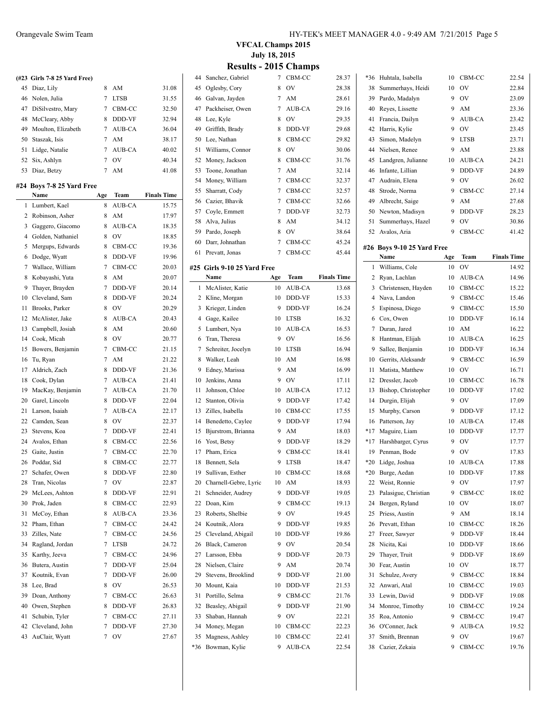| (#23 Girls 7-8 25 Yard Free) |          |       |
|------------------------------|----------|-------|
| 45 Diaz, Lily                | 8 AM     | 31.08 |
| 46 Nolen, Julia              | 7 LTSB   | 31.55 |
| 47 DiSilvestro Mary          | - CBM-CC | 32.50 |

| 47 DiSilvestro, Mary  |   | 7 CBM-CC | 32.50 |
|-----------------------|---|----------|-------|
| 48 McCleary, Abby     | 8 | DDD-VF   | 32.94 |
| 49 Moulton, Elizabeth |   | 7 AUB-CA | 36.04 |
| 50 Staszak, Isis      |   | AM       | 38.17 |
| 51 Lidge, Natalie     |   | 7 AUB-CA | 40.02 |
| 52 Six, Ashlyn        |   | OV       | 40.34 |
| 53 Diaz, Betzy        |   | AM       | 41.08 |

#### **#24 Boys 7-8 25 Yard Free**

|    | Name              | Age            | Team        | <b>Finals Time</b> |
|----|-------------------|----------------|-------------|--------------------|
| 1  | Lumbert, Kael     | 8              | AUB-CA      | 15.75              |
| 2  | Robinson, Asher   | 8              | AM          | 17.97              |
| 3  | Gaggero, Giacomo  | 8              | AUB-CA      | 18.35              |
| 4  | Golden, Nathaniel | 8              | OV          | 18.85              |
| 5  | Mergups, Edwards  | 8              | CBM-CC      | 19.36              |
| 6  | Dodge, Wyatt      | 8              | DDD-VF      | 19.96              |
| 7  | Wallace, William  | $\overline{7}$ | CBM-CC      | 20.03              |
| 8  | Kobayashi, Yuta   | 8              | AM          | 20.07              |
| 9  | Thayer, Brayden   | $\overline{7}$ | DDD-VF      | 20.14              |
| 10 | Cleveland, Sam    | 8              | DDD-VF      | 20.24              |
| 11 | Brooks, Parker    | 8              | OV          | 20.29              |
| 12 | McAlister, Jake   | 8              | AUB-CA      | 20.43              |
| 13 | Campbell, Josiah  | 8              | AM          | 20.60              |
| 14 | Cook, Micah       | 8              | OV          | 20.77              |
| 15 | Bowers, Benjamin  | $\overline{7}$ | CBM-CC      | 21.15              |
| 16 | Tu, Ryan          | $\overline{7}$ | AM          | 21.22              |
| 17 | Aldrich, Zach     | 8              | DDD-VF      | 21.36              |
| 18 | Cook, Dylan       | $\overline{7}$ | AUB-CA      | 21.41              |
| 19 | MacKay, Benjamin  | 7              | AUB-CA      | 21.70              |
| 20 | Garel, Lincoln    | 8              | DDD-VF      | 22.04              |
| 21 | Larson, Isaiah    | $\overline{7}$ | AUB-CA      | 22.17              |
| 22 | Camden, Sean      | 8              | OV          | 22.37              |
| 23 | Stevens, Koa      | 7              | DDD-VF      | 22.41              |
| 24 | Avalos, Ethan     | 8              | CBM-CC      | 22.56              |
| 25 | Gaite, Justin     | $\overline{7}$ | CBM-CC      | 22.70              |
| 26 | Poddar, Sid       | 8              | CBM-CC      | 22.77              |
| 27 | Schafer, Owen     | 8              | DDD-VF      | 22.80              |
| 28 | Tran, Nicolas     | $\overline{7}$ | OV          | 22.87              |
| 29 | McLees, Ashton    | 8              | DDD-VF      | 22.91              |
| 30 | Prok, Jaden       | 8              | CBM-CC      | 22.93              |
| 31 | McCoy, Ethan      | 8              | AUB-CA      | 23.36              |
| 32 | Pham, Ethan       | $\overline{7}$ | CBM-CC      | 24.42              |
| 33 | Zilles, Nate      | $\overline{7}$ | CBM-CC      | 24.56              |
| 34 | Ragland, Jordan   | 7              | <b>LTSB</b> | 24.72              |
| 35 | Karthy, Jeeva     | $\overline{7}$ | CBM-CC      | 24.96              |
| 36 | Butera, Austin    | 7              | DDD-VF      | 25.04              |
| 37 | Koutnik, Evan     | $\overline{7}$ | DDD-VF      | 26.00              |
| 38 | Lee, Brad         | 8              | OV          | 26.53              |
| 39 | Doan, Anthony     | 7              | CBM-CC      | 26.63              |
| 40 | Owen, Stephen     | 8              | DDD-VF      | 26.83              |
| 41 | Schubin, Tyler    | 7              | CBM-CC      | 27.11              |
| 42 | Cleveland, John   | $\overline{7}$ | DDD-VF      | 27.30              |
| 43 | AuClair, Wyatt    | $\overline{7}$ | OV          | 27.67              |
|    |                   |                |             |                    |

**VFCAL Champs 2015 July 18, 2015**

| 44       | Sanchez, Gabriel            | 7               | CBM-CC       | 28.37              | *36            | F            |
|----------|-----------------------------|-----------------|--------------|--------------------|----------------|--------------|
| 45       | Oglesby, Cory               | 8               | <b>OV</b>    | 28.38              | 38             | S            |
| 46       | Galvan, Jayden              | 7               | AM           | 28.61              | 39             | P            |
| 47       | Packheiser, Owen            | 7               | AUB-CA       | 29.16              | 40             | R            |
| 48       | Lee, Kyle                   | 8               | <b>OV</b>    | 29.35              | 41             | F            |
| 49       | Griffith, Brady             | 8               | DDD-VF       | 29.68              | 42             | F            |
| 50       | Lee, Nathan                 | 8               | CBM-CC       | 29.82              | 43             | S            |
| 51       | Williams, Connor            | 8               | OV           | 30.06              | 44             | Ŋ            |
| 52       | Money, Jackson              | 8               | CBM-CC       | 31.76              | 45             | I            |
| 53       | Toone, Jonathan             | 7               | AM           | 32.14              | 46             | I            |
| 54       | Money, William              | 7               | CBM-CC       | 32.37              | 47             | A            |
| 55       | Sharratt, Cody              | 7               | CBM-CC       | 32.57              | 48             | S            |
| 56       | Cazier, Bhavik              | 7               | CBM-CC       | 32.66              | 49             | A            |
| 57       | Coyle, Emmett               | 7               | DDD-VF       | 32.73              | 50             | Ŋ            |
| 58       | Alva, Julius                | 8               | AM           | 34.12              | 51             | S            |
| 59       | Pardo, Joseph               | 8               | OV           | 38.64              | 52             | A            |
| 60       | Darr, Johnathan             | 7               | CBM-CC       | 45.24              | #26 B          |              |
| 61       | Prevatt, Jonas              | $7\overline{ }$ | CBM-CC       | 45.44              |                | Þ            |
|          | #25 Girls 9-10 25 Yard Free |                 |              |                    | $\mathbf{1}$   | V            |
|          | Name                        | Age             | Team         | <b>Finals Time</b> | 2              | R            |
| 1        | McAlister, Katie            | 10              | AUB-CA       | 13.68              | 3              | $\epsilon$   |
|          | 2 Kline, Morgan             | 10              | DDD-VF       | 15.33              | $\overline{4}$ | $\mathbf{A}$ |
| 3        | Krieger, Linden             | 9               | DDD-VF       | 16.24              | 5              | F            |
| 4        | Gage, Kailee                | 10              | <b>LTSB</b>  | 16.32              | 6              | $\epsilon$   |
| 5        | Lumbert, Nya                | 10              | AUB-CA       | 16.53              | $\overline{7}$ | Γ            |
| 6        | Tran, Theresa               | 9               | OV           | 16.56              | 8              | F            |
| 7        | Schreiter, Jocelyn          | 10              | <b>LTSB</b>  | 16.94              | 9              | S            |
| 8        | Walker, Leah                | 10              | AM           | 16.98              | 10             | C            |
| 9        | Edney, Marissa              | 9               | AM           | 16.99              | 11             | N            |
| 10       | Jenkins, Anna               | 9               | OV           | 17.11              | 12             | Γ            |
| 11       | Johnson, Chloe              | 10              | AUB-CA       | 17.12              | 13             | E            |
| 12       | Stanton, Olivia             | 9               | DDD-VF       | 17.42              | 14             | Γ            |
| 13       | Zilles, Isabella            | 10              | CBM-CC       | 17.55              | 15             | N            |
| 14       | Benedetto, Caylee           | 9<br>9          | DDD-VF       | 17.94              | 16<br>$*17$    | P            |
| 15       | Bjurstrom, Brianna          | 9               | AM<br>DDD-VF | 18.03              | $*17$          | N            |
| 16<br>17 | Yost, Betsy<br>Pham, Erica  | 9               | CBM-CC       | 18.29              | 19             | F<br>P       |
| 18       | Bennett, Sela               | 9               | <b>LTSB</b>  | 18.41<br>18.47     | $*20$          | I            |
|          | 19 Sullivan, Esther         | 10              | CBM-CC       | 18.68              | $*20$          | E            |
| 20       | Charnell-Gebre, Lyric       | 10              | AM           | 18.93              | 22             | V            |
| 21       | Schneider, Audrey           | 9               | DDD-VF       | 19.05              | 23             | P            |
| 22       | Doan, Kim                   | 9               | CBM-CC       | 19.13              | 24             | E            |
| 23       | Roberts, Shelbie            | 9               | OV           | 19.45              | 25             | P            |
| 24       | Koutnik, Alora              | 9               | DDD-VF       | 19.85              | 26             | P            |
| 25       | Cleveland, Abigail          | 10              | DDD-VF       | 19.86              | 27             | F            |
| 26       | Black, Cameron              | 9               | OV           | 20.54              | 28             | Ŋ            |
| 27       | Larsson, Ebba               | 9               | DDD-VF       | 20.73              | 29             | Ί            |
| 28       | Nielsen, Claire             | 9               | AM           | 20.74              | 30             | F            |
| 29       | Stevens, Brooklind          | 9               | DDD-VF       | 21.00              | 31             | S            |
| 30       | Mount, Kaia                 | 10              | DDD-VF       | 21.53              | 32             | A            |
| 31       | Portillo, Selma             | 9               | CBM-CC       | 21.76              | 33             | I            |
| 32       | Beasley, Abigail            | 9               | DDD-VF       | 21.90              | 34             | N            |
| 33       | Shaban, Hannah              | 9               | OV           | 22.21              | 35             | R            |
| 34       | Money, Megan                | 10              | CBM-CC       | 22.23              | 36             | C            |
| 35       | Magness, Ashley             | 10              | CBM-CC       | 22.41              | 37             | S            |
| *36      | Bowman, Kylie               | 9               | AUB-CA       | 22.54              | 38             | C            |
|          |                             |                 |              |                    |                |              |

| *36   | Huhtala, Isabella          | 10  | CBM-CC      | 22.54              |
|-------|----------------------------|-----|-------------|--------------------|
| 38    | Summerhays, Heidi          | 10  | OV          | 22.84              |
| 39    | Pardo, Madalyn             | 9   | OV          | 23.09              |
| 40    | Reyes, Lissette            | 9   | AM          | 23.36              |
| 41    | Francia, Dailyn            | 9   | AUB-CA      | 23.42              |
| 42    | Harris, Kylie              | 9   | OV          | 23.45              |
| 43    | Simon, Madelyn             | 9   | <b>LTSB</b> | 23.71              |
| 44    | Nielsen, Renee             | 9   | AM          | 23.88              |
| 45    | Landgren, Julianne         | 10  | AUB-CA      | 24.21              |
| 46    | Infante, Lillian           | 9   | DDD-VF      | 24.89              |
| 47    | Audrain, Elena             | 9   | OV          | 26.02              |
| 48    | Strode, Norma              | 9   | CBM-CC      | 27.14              |
| 49    | Albrecht, Saige            | 9   | AM          | 27.68              |
| 50    | Newton, Madisyn            | 9   | DDD-VF      | 28.23              |
| 51    | Summerhays, Hazel          | 9   | OV          | 30.86              |
| 52    | Avalos, Aria               | 9   | CBM-CC      | 41.42              |
|       |                            |     |             |                    |
|       | #26 Boys 9-10 25 Yard Free |     |             |                    |
|       | Name                       | Age | Team        | <b>Finals Time</b> |
| 1     | Williams, Cole             | 10  | OV          | 14.92              |
| 2     | Ryan, Lachlan              | 10  | AUB-CA      | 14.96              |
| 3     | Christensen, Hayden        | 10  | CBM-CC      | 15.22              |
| 4     | Nava, Landon               | 9   | CBM-CC      | 15.46              |
| 5     | Espinosa, Diego            | 9   | CBM-CC      | 15.50              |
| 6     | Cox, Owen                  | 10  | DDD-VF      | 16.14              |
| 7     | Duran, Jared               | 10  | AM          | 16.22              |
| 8     | Hantman, Elijah            | 10  | AUB-CA      | 16.25              |
| 9     | Sallee, Benjamin           | 10  | DDD-VF      | 16.34              |
| 10    | Gerrits, Aleksandr         | 9   | CBM-CC      | 16.59              |
| 11    | Matista, Matthew           | 10  | $\hbox{OV}$ | 16.71              |
| 12    | Dressler, Jacob            | 10  | CBM-CC      | 16.78              |
| 13    | Bishop, Christopher        | 10  | DDD-VF      | 17.02              |
| 14    | Durgin, Elijah             | 9   | OV          | 17.09              |
| 15    | Murphy, Carson             | 9   | DDD-VF      | 17.12              |
| 16    | Patterson, Jay             | 10  | AUB-CA      | 17.48              |
| $*17$ | Maguire, Liam              | 10  | DDD-VF      | 17.77              |
| $*17$ | Harshbarger, Cyrus         | 9   | OV          | 17.77              |
| 19    | Penman, Bode               | 9   | OV          | 17.83              |
| $*20$ | Lidge, Joshua              | 10  | AUB-CA      | 17.88              |
| $*20$ | Burge, Aedan               | 10  | DDD-VF      | 17.88              |
| 22    | Weist, Ronnie              | 9   | OV          | 17.97              |
| 23    | Palasigue, Christian       | 9   | CBM-CC      | 18.02              |
| 24    | Bergen, Ryland             | 10  | OV          | 18.07              |
| 25    | Priess, Austin             | 9   | AM          | 18.14              |
| 26    | Prevatt, Ethan             | 10  | CBM-CC      | 18.26              |
| 27    | Freer, Sawyer              | 9   | DDD-VF      | 18.44              |
| 28    | Nicita, Kai                | 10  | DDD-VF      | 18.66              |
| 29    | Thayer, Truit              | 9   | DDD-VF      | 18.69              |
| 30    | Fear, Austin               | 10  | OV          | 18.77              |
| 31    | Schulze, Avery             | 9   | CBM-CC      | 18.84              |
| 32    | Anwari, Atal               | 10  | CBM-CC      | 19.03              |
| 33    | Lewin, David               | 9   | DDD-VF      | 19.08              |
| 34    | Monroe, Timothy            | 10  | CBM-CC      | 19.24              |
| 35    | Roa, Antonio               | 9   | CBM-CC      | 19.47              |
| 36    | O'Conner, Jack             | 9   | AUB-CA      | 19.52              |
| 37    | Smith, Brennan             | 9   | OV          | 19.67              |
| 38    | Cazier, Zekaia             | 9   | CBM-CC      | 19.76              |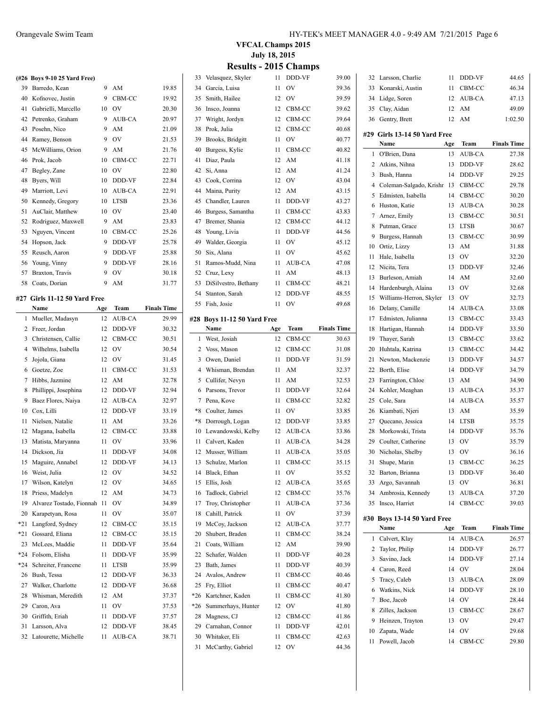|    | (#26 Boys 9-10 25 Yard Free) |    |             |       |
|----|------------------------------|----|-------------|-------|
| 39 | Barredo, Kean                | 9  | AM          | 19.85 |
| 40 | Kofnovec, Justin             | 9  | CBM-CC      | 19.92 |
| 41 | Gabrielli, Marcello          | 10 | OV          | 20.30 |
| 42 | Petrenko, Graham             | 9  | AUB-CA      | 20.97 |
| 43 | Posehn, Nico                 | 9  | AM          | 21.09 |
| 44 | Ramey, Benson                | 9  | OV          | 21.53 |
| 45 | McWilliams, Orion            | 9  | AM          | 21.76 |
| 46 | Prok, Jacob                  | 10 | CBM-CC      | 22.71 |
| 47 | Begley, Zane                 | 10 | OV          | 22.80 |
| 48 | Byers, Will                  | 10 | DDD-VF      | 22.84 |
| 49 | Marriott, Levi               | 10 | AUB-CA      | 22.91 |
| 50 | Kennedy, Gregory             | 10 | <b>LTSB</b> | 23.36 |
| 51 | AuClair, Matthew             | 10 | OV          | 23.40 |
| 52 | Rodriguez, Maxwell           | 9  | AM          | 23.83 |
| 53 | Nguyen, Vincent              | 10 | CBM-CC      | 25.26 |
| 54 | Hopson, Jack                 | 9  | DDD-VF      | 25.78 |
| 55 | Reusch, Aaron                | 9  | DDD-VF      | 25.88 |
| 56 | Young, Vinny                 | 9  | DDD-VF      | 28.16 |
| 57 | Braxton, Travis              | 9  | OV          | 30.18 |
| 58 | Coats, Dorian                | 9  | AM          | 31.77 |

# **#27 Girls 11-12 50 Yard Free**

|     | Name                     | Age | Team          | <b>Finals Time</b> |
|-----|--------------------------|-----|---------------|--------------------|
| 1   | Mueller, Madasyn         | 12  | AUB-CA        | 29.99              |
| 2   | Freer, Jordan            | 12  | DDD-VF        | 30.32              |
| 3   | Christensen, Callie      | 12  | CBM-CC        | 30.51              |
| 4   | Wilhelms, Isabella       | 12  | OV            | 30.54              |
| 5   | Jojola, Giana            | 12  | OV            | 31.45              |
| 6   | Goetze, Zoe              | 11  | CBM-CC        | 31.53              |
| 7   | Hibbs, Jazmine           | 12  | AM            | 32.78              |
| 8   | Phillippi, Josephina     | 12  | DDD-VF        | 32.94              |
| 9   | Baez Flores, Naiya       | 12  | AUB-CA        | 32.97              |
| 10  | Cox, Lilli               | 12  | DDD-VF        | 33.19              |
| 11  | Nielsen, Natalie         | 11  | AM            | 33.26              |
| 12  | Magana, Isabella         | 12  | CBM-CC        | 33.88              |
| 13  | Matista, Maryanna        | 11  | OV            | 33.96              |
| 14  | Dickson, Jia             | 11  | DDD-VF        | 34.08              |
| 15  | Maguire, Annabel         | 12  | DDD-VF        | 34.13              |
| 16  | Weist, Julia             | 12  | OV            | 34.52              |
| 17  | Wilson, Katelyn          | 12  | OV            | 34.65              |
| 18  | Priess, Madelyn          | 12  | AM            | 34.73              |
| 19  | Alvarez Tostado, Fionnah | 11  | OV            | 34.89              |
| 20  | Karapetyan, Rosa         | 11  | OV            | 35.07              |
| *21 | Langford, Sydney         | 12  | CBM-CC        | 35.15              |
| *21 | Gossard, Eliana          | 12  | CBM-CC        | 35.15              |
| 23  | McLees, Maddie           | 11  | DDD-VF        | 35.64              |
| *24 | Folsom, Elisha           | 11  | DDD-VF        | 35.99              |
| *24 | Schreiter, Francene      | 11  | <b>LTSB</b>   | 35.99              |
| 26  | Bush, Tessa              | 12  | DDD-VF        | 36.33              |
| 27  | Walker, Charlotte        | 12  | DDD-VF        | 36.68              |
| 28  | Whisman, Meredith        | 12  | AM            | 37.37              |
| 29  | Caron, Ava               | 11  | OV            | 37.53              |
| 30  | Griffith, Eriah          | 11  | DDD-VF        | 37.57              |
| 31  | Larsson, Alva            | 12  | DDD-VF        | 38.45              |
| 32  | Latourette, Michelle     | 11  | <b>AUB-CA</b> | 38.71              |
|     |                          |     |               |                    |

#### Orangevale Swim Team HY-TEK's MEET MANAGER 4.0 - 9:49 AM 7/21/2015 Page 6

**VFCAL Champs 2015 July 18, 2015**

| 33           | Velasquez, Skyler           | 11  | DDD-VF | 39.00              |
|--------------|-----------------------------|-----|--------|--------------------|
| 34           | Garcia, Luisa               | 11  | OV     | 39.36              |
| 35           | Smith, Hailee               | 12  | OV     | 39.59              |
| 36           | Insco, Joanna               | 12  | CBM-CC | 39.62              |
| 37           | Wright, Jordyn              | 12  | CBM-CC | 39.64              |
| 38           | Prok, Julia                 | 12  | CBM-CC | 40.68              |
| 39           | Brooks, Bridgitt            | 11  | OV     | 40.77              |
| 40           | Burgess, Kylie              | 11  | CBM-CC | 40.82              |
| 41           | Diaz, Paula                 | 12  | AM     | 41.18              |
|              |                             |     |        |                    |
| 42           | Si, Anna                    | 12  | AM     | 41.24              |
| 43           | Cook, Corrina               | 12  | OV     | 43.04              |
| 44           | Maina, Purity               | 12  | AM     | 43.15              |
| 45           | Chandler, Lauren            | 11  | DDD-VF | 43.27              |
| 46           | Burgess, Samantha           | 11  | CBM-CC | 43.83              |
| 47           | Bremer, Shania              | 12  | CBM-CC | 44.12              |
| 48           | Young, Livia                | 11  | DDD-VF | 44.56              |
| 49           | Walder, Georgia             | 11  | OV     | 45.12              |
| 50           | Six, Alana                  | 11  | OV     | 45.62              |
| 51           | Ramos-Mudd, Nina            | 11  | AUB-CA | 47.08              |
| 52           | Cruz, Lexy                  | 11  | AM     | 48.13              |
| 53           | DiSilvestro, Bethany        | 11  | CBM-CC | 48.21              |
| 54           | Stanton, Sarah              | 12  | DDD-VF | 48.55              |
| 55           | Fish, Josie                 | 11  | OV     | 49.68              |
|              | #28 Boys 11-12 50 Yard Free |     |        |                    |
|              | Name                        | Age | Team   | <b>Finals Time</b> |
| $\mathbf{1}$ | West, Josiah                | 12  | CBM-CC | 30.63              |
| 2            | Voss, Mason                 | 12  | CBM-CC | 31.08              |
| 3            | Owen, Daniel                | 11  | DDD-VF | 31.59              |
|              |                             |     |        |                    |
|              |                             |     |        |                    |
| 4            | Whisman, Brendan            | 11  | AM     | 32.37              |
| 5            | Cullifer, Nevyn             | 11  | AM     | 32.53              |
| 6            | Parsons, Trevor             | 11  | DDD-VF | 32.64              |
| 7            | Pena, Kove                  | 11  | CBM-CC | 32.82              |
| $*8$         | Coulter, James              | 11  | OV     | 33.85              |
| $*8$         | Dorrough, Logan             | 12  | DDD-VF | 33.85              |
| 10           | Lewandowski, Kelby          | 12  | AUB-CA | 33.86              |
| 11           | Calvert, Kaden              | 11  | AUB-CA | 34.28              |
|              | 12 Musser, William          | 11  | AUB-CA | 35.05              |
| 13           | Schulze, Marlon             | 11  | CBM-CC | 35.15              |
|              | 14 Black, Ethan             |     | 11 OV  | 35.52              |
| 15           | Ellis, Josh                 | 12  | AUB-CA | 35.65              |
| 16           | Tadlock, Gabriel            | 12  | CBM-CC | 35.76              |
| 17           | Troy, Christopher           | 11  | AUB-CA | 37.36              |
| 18           | Cahill, Patrick             | 11  | OV     | 37.39              |
| 19           | McCoy, Jackson              | 12  | AUB-CA | 37.77              |
| 20           | Shubert, Braden             | 11  | CBM-CC | 38.24              |
| 21           | Coats, William              | 12  | AM     | 39.90              |
| 22           | Schafer, Walden             | 11  | DDD-VF | 40.28              |
| 23           | Bath, James                 | 11  | DDD-VF | 40.39              |
| 24           | Avalos, Andrew              | 11  | CBM-CC | 40.46              |
| 25           | Fry, Elliot                 | 11  | CBM-CC | 40.47              |
| $*26$        | Kartchner, Kaden            | 11  | CBM-CC | 41.80              |
| $*26$        | Summerhays, Hunter          | 12  | OV     | 41.80              |
| 28           | Magness, CJ                 | 12  | CBM-CC | 41.86              |
| 29           | Carnahan, Connor            | 11  | DDD-VF | 42.01              |
| 30           | Whitaker, Eli               | 11  | CBM-CC | 42.63              |

| 32 | Larsson, Charlie                     | 11  | DDD-VF | 44.65              |
|----|--------------------------------------|-----|--------|--------------------|
| 33 | Konarski, Austin                     | 11  | CBM-CC | 46.34              |
| 34 | Lidge, Soren                         | 12  | AUB-CA | 47.13              |
| 35 | Clay, Aidan                          | 12  | AM     | 49.09              |
|    | 36 Gentry, Brett                     | 12  | AM     | 1:02.50            |
|    |                                      |     |        |                    |
|    | #29 Girls 13-14 50 Yard Free<br>Name | Age | Team   | <b>Finals Time</b> |
| 1  | O'Brien, Dana                        | 13  | AUB-CA | 27.38              |
| 2  | Atkins, Nihna                        | 13  | DDD-VF | 28.62              |
| 3  | Bush, Hanna                          | 14  | DDD-VF | 29.25              |
| 4  | Coleman-Salgado, Krishr 13           |     | CBM-CC | 29.78              |
| 5  | Edmisten, Isabella                   | 14  | CBM-CC | 30.20              |
| 6  | Huston, Katie                        | 13  | AUB-CA | 30.28              |
| 7  | Arnez, Emily                         | 13  | CBM-CC | 30.51              |
| 8  | Putman, Grace                        | 13  | LTSB   | 30.67              |
| 9  | Burgess, Hannah                      | 13  | CBM-CC | 30.99              |
| 10 | Ortiz, Lizzy                         | 13  | AM     | 31.88              |
| 11 | Hale, Isabella                       | 13  | OV     | 32.20              |
| 12 | Nicita, Tera                         | 13  | DDD-VF | 32.46              |
| 13 | Burleson, Amiah                      | 14  | AM     | 32.60              |
| 14 | Hardenburgh, Alaina                  | 13  | OV     | 32.68              |
| 15 | Williams-Herron, Skyler              | 13  | OV     | 32.73              |
| 16 | Delany, Camille                      | 14  | AUB-CA | 33.08              |
| 17 | Edmisten, Julianna                   | 13  | CBM-CC | 33.43              |
| 18 | Hartigan, Hannah                     | 14  | DDD-VF | 33.50              |
| 19 | Thayer, Sarah                        | 13  | CBM-CC | 33.62              |
| 20 | Huhtala, Katrina                     | 13  | CBM-CC | 34.42              |
| 21 | Newton, Mackenzie                    | 13  | DDD-VF | 34.57              |
| 22 | Borth, Elise                         | 14  | DDD-VF | 34.79              |
| 23 | Farrington, Chloe                    | 13  | AM     | 34.90              |
| 24 | Kohler, Meaghan                      | 13  | AUB-CA | 35.37              |
| 25 | Cole, Sara                           | 14  | AUB-CA | 35.57              |
| 26 | Kiambati, Njeri                      | 13  | AM     | 35.59              |
| 27 | Quecano, Jessica                     | 14  | LTSB   | 35.75              |
| 28 | Morkowski, Trista                    | 14  | DDD-VF | 35.76              |
| 29 | Coulter, Catherine                   | 13  | OV     | 35.79              |
| 30 | Nicholas, Shelby                     | 13  | OV     | 36.16              |
| 31 | Shupe, Marin                         | 13  | CBM-CC | 36.25              |
|    | 32 Barton, Brianna                   | 13  | DDD-VF | 36.40              |
| 33 | Argo, Savannah                       | 13  | OV     | 36.81              |
| 34 | Ambrosia, Kennedy                    | 13  | AUB-CA | 37.20              |
| 35 | Insco, Harriet                       | 14  | CBM-CC | 39.03              |
|    |                                      |     |        |                    |
|    | #30 Boys 13-14 50 Yard Free<br>Name  | Age | Team   | <b>Finals Time</b> |
| 1  | Calvert, Klay                        | 14  | AUB-CA | 26.57              |
| 2  | Taylor, Philip                       | 14  | DDD-VF | 26.77              |
| 3  | Savino, Jack                         | 14  | DDD-VF | 27.14              |
| 4  | Caron, Reed                          | 14  | OV     | 28.04              |
| 5  | Tracy, Caleb                         | 13  | AUB-CA | 28.09              |
| 6  | Watkins, Nick                        | 14  | DDD-VF | 28.10              |
| 7  | Boe, Jacob                           | 14  | OV     | 28.44              |
| 8  | Zilles, Jackson                      | 13  | CBM-CC | 28.67              |
| 9  | Heinzen, Trayton                     | 13  | OV     | 29.47              |
| 10 | Zapata, Wade                         | 14  | OV     | 29.68              |
| 11 | Powell, Jacob                        | 14  | CBM-CC | 29.80              |
|    |                                      |     |        |                    |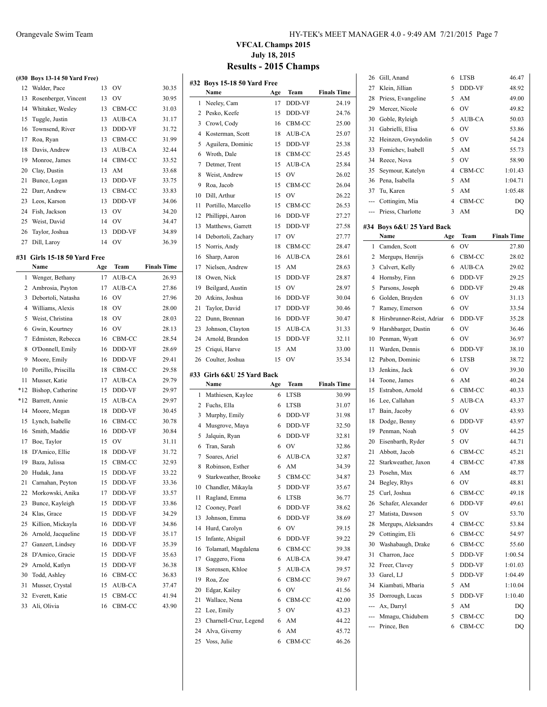|       | (#30 Boys 13-14 50 Yard Free) |     |           |                    |
|-------|-------------------------------|-----|-----------|--------------------|
| 12    | Walder, Pace                  | 13  | OV        | 30.35              |
| 13    | Rosenberger, Vincent          | 13  | OV        | 30.95              |
| 14    | Whitaker, Wesley              | 13  | CBM-CC    | 31.03              |
| 15    | Tuggle, Justin                | 13  | AUB-CA    | 31.17              |
| 16    | Townsend, River               | 13  | DDD-VF    | 31.72              |
| 17    | Roa, Ryan                     | 13  | CBM-CC    | 31.99              |
| 18    | Davis, Andrew                 | 13  | AUB-CA    | 32.44              |
| 19    | Monroe, James                 | 14  | CBM-CC    | 33.52              |
| 20    | Clay, Dustin                  | 13  | AM        | 33.68              |
| 21    | Bunce, Logan                  | 13  | DDD-VF    | 33.75              |
| 22    | Darr, Andrew                  | 13  | CBM-CC    | 33.83              |
| 23    | Leos, Karson                  | 13  | DDD-VF    | 34.06              |
| 24    | Fish, Jackson                 | 13  | OV        | 34.20              |
| 25    | Weist, David                  | 14  | OV        | 34.47              |
| 26    | Taylor, Joshua                | 13  | DDD-VF    | 34.89              |
| 27    | Dill, Laroy                   | 14  | OV        | 36.39              |
|       |                               |     |           |                    |
| #31   | Girls 15-18 50 Yard Free      |     |           |                    |
|       | Name                          | Age | Team      | <b>Finals Time</b> |
| 1     | Wenger, Bethany               | 17  | AUB-CA    | 26.93              |
| 2     | Ambrosia, Payton              | 17  | AUB-CA    | 27.86              |
| 3     | Debortoli, Natasha            | 16  | OV        | 27.96              |
| 4     | Williams, Alexis              | 18  | OV        | 28.00              |
| 5     | Weist, Christina              | 18  | OV        | 28.03              |
| 6     | Gwin, Kourtney                | 16  | OV        | 28.13              |
| 7     | Edmisten, Rebecca             | 16  | CBM-CC    | 28.54              |
| 8     | O'Donnell, Emily              | 16  | DDD-VF    | 28.69              |
| 9     | Moore, Emily                  | 16  | DDD-VF    | 29.41              |
| 10    | Portillo, Priscilla           | 18  | CBM-CC    | 29.58              |
| 11    | Musser, Katie                 | 17  | AUB-CA    | 29.79              |
| $*12$ | Bishop, Catherine             | 15  | DDD-VF    | 29.97              |
| $*12$ | Barrett, Annie                | 15  | AUB-CA    | 29.97              |
| 14    | Moore, Megan                  | 18  | DDD-VF    | 30.45              |
| 15    |                               |     |           |                    |
| 16    | Lynch, Isabelle               | 16  | CBM-CC    | 30.78              |
| 17    | Smith, Maddie                 | 16  | DDD-VF    | 30.84              |
|       | Boe, Taylor                   | 15  | <b>OV</b> | 31.11              |
| 18    | D'Amico, Ellie                | 18  | DDD-VF    | 31.72              |
| 19    | Baza, Julissa                 | 15  | CBM-CC    | 32.93              |
|       | 20 Hudak, Jana                | 15  | DDD-VF    | 33.22              |
| 21    | Carnahan, Peyton              | 15  | DDD-VF    | 33.36              |
| 22    | Morkowski, Anika              | 17  | DDD-VF    | 33.57              |
| 23    | Bunce, Kayleigh               | 15  | DDD-VF    | 33.86              |
| 24    | Klas, Grace                   | 15  | DDD-VF    | 34.29              |
| 25    | Killion, Mickayla             | 16  | DDD-VF    | 34.86              |
| 26    | Arnold, Jacqueline            | 15  | DDD-VF    | 35.17              |
| 27    | Ganzert, Lindsey              | 16  | DDD-VF    | 35.39              |
| 28    | D'Amico, Gracie               | 15  | DDD-VF    | 35.63              |

 Todd, Ashley 16 CBM-CC 36.83 Musser, Crystal 15 AUB-CA 37.47 Everett, Katie 15 CBM-CC 41.94 Ali, Olivia 16 CBM-CC 43.90

#### Orangevale Swim Team HY-TEK's MEET MANAGER 4.0 - 9:49 AM 7/21/2015 Page 7

 $\mathbf{L}$ 

|    | #32 Boys 15-18 50 Yard Free            |     |               |                    |
|----|----------------------------------------|-----|---------------|--------------------|
|    | Name                                   | Age | Team          | <b>Finals Time</b> |
| 1  | Neeley, Cam                            | 17  | DDD-VF        | 24.19              |
| 2  | Pesko, Keefe                           | 15  | DDD-VF        | 24.76              |
| 3  | Crowl, Cody                            | 16  | CBM-CC        | 25.00              |
| 4  | Kosterman, Scott                       | 18  | AUB-CA        | 25.07              |
| 5  | Aguilera, Dominic                      | 15  | DDD-VF        | 25.38              |
| 6  | Wroth, Dale                            | 18  | CBM-CC        | 25.45              |
| 7  | Detmer, Trent                          | 15  | AUB-CA        | 25.84              |
| 8  | Weist, Andrew                          | 15  | OV            | 26.02              |
| 9  | Roa, Jacob                             | 15  | CBM-CC        | 26.04              |
| 10 | Dill, Arthur                           | 15  | <b>OV</b>     | 26.22              |
| 11 | Portillo, Marcello                     | 15  | CBM-CC        | 26.53              |
| 12 | Phillippi, Aaron                       | 16  | DDD-VF        | 27.27              |
| 13 | Matthews, Garrett                      | 15  | DDD-VF        | 27.58              |
| 14 | Debortoli, Zachary                     | 17  | OV            | 27.77              |
| 15 | Norris, Andy                           | 18  | CBM-CC        | 28.47              |
| 16 | Sharp, Aaron                           | 16  | AUB-CA        | 28.61              |
| 17 | Nielsen, Andrew                        | 15  | AM            | 28.63              |
| 18 | Owen, Nick                             | 15  | DDD-VF        | 28.87              |
| 19 | Beilgard, Austin                       | 15  | OV            | 28.97              |
| 20 | Atkins, Joshua                         | 16  | DDD-VF        | 30.04              |
| 21 | Taylor, David                          | 17  | DDD-VF        | 30.46              |
|    |                                        |     |               |                    |
| 22 | Dunn, Brennan                          | 16  | DDD-VF        | 30.47              |
| 23 | Johnson, Clayton                       | 15  | AUB-CA        | 31.33              |
| 24 | Arnold, Brandon                        | 15  | DDD-VF        | 32.11              |
| 25 | Criqui, Harve                          | 15  | AM            | 33.00              |
| 26 | Coulter, Joshua                        | 15  | OV            | 35.34              |
|    | #33 Girls 6&U 25 Yard Back             |     |               |                    |
|    |                                        |     |               |                    |
|    | Name                                   | Age | Team          | <b>Finals Time</b> |
| 1  | Mathiesen, Kaylee                      | 6   | <b>LTSB</b>   | 30.99              |
| 2  | Fuchs, Ella                            | 6   | <b>LTSB</b>   | 31.07              |
| 3  | Murphy, Emily                          | 6   | DDD-VF        | 31.98              |
| 4  | Musgrove, Maya                         | 6   | DDD-VF        | 32.50              |
| 5  | Jalquin, Ryan                          | 6   | DDD-VF        | 32.81              |
| 6  | Tran, Sarah                            | 6   | OV            | 32.86              |
| 7  | Soares, Ariel                          | 6   | AUB-CA        | 32.87              |
| 8  | Robinson, Esther                       | 6   | AM            | 34.39              |
| 9  | Starkweather, Brooke                   | 5   | CBM-CC        | 34.87              |
| 10 | Chandler, Mikayla                      | 5   | DDD-VF        | 35.67              |
| 11 | Ragland, Emma                          | 6   | <b>LTSB</b>   | 36.77              |
| 12 | Cooney, Pearl                          | 6   | DDD-VF        | 38.62              |
| 13 | Johnson, Emma                          | 6   | DDD-VF        | 38.69              |
| 14 | Hurd, Carolyn                          | 6   | OV            | 39.15              |
| 15 | Infante, Abigail                       | 6   | DDD-VF        | 39.22              |
| 16 | Tolamatl, Magdalena                    | 6   | CBM-CC        | 39.38              |
| 17 | Gaggero, Fiona                         | 6   | <b>AUB-CA</b> | 39.47              |
| 18 | Sorensen, Khloe                        | 5   | AUB-CA        | 39.57              |
| 19 | Roa, Zoe                               | 6   | CBM-CC        | 39.67              |
| 20 | Edgar, Kailey                          | 6   | OV            | 41.56              |
| 21 | Wallace, Nena                          | 6   | CBM-CC        | 42.00              |
| 22 | Lee, Emily                             | 5   | OV            | 43.23              |
| 23 |                                        | 6   |               |                    |
| 24 | Charnell-Cruz, Legend<br>Alva, Giverny | 6   | AM<br>AM      | 44.22<br>45.72     |

| 26  | Gill, Anand               | 6              | LTSB          | 46.47              |
|-----|---------------------------|----------------|---------------|--------------------|
| 27  | Klein, Jillian            | 5              | DDD-VF        | 48.92              |
| 28  | Priess, Evangeline        | 5              | AM            | 49.00              |
| 29  | Mercer, Nicole            | 6              | OV            | 49.82              |
| 30  | Goble, Ryleigh            | 5              | <b>AUB-CA</b> | 50.03              |
| 31  | Gabrielli, Elisa          | 6              | OV            | 53.86              |
| 32  | Heinzen, Gwyndolin        | 5              | OV            | 54.24              |
|     |                           | 5              |               |                    |
| 33  | Fomichev, Isabell         |                | AM            | 55.73<br>58.90     |
| 34  | Reece, Nova               | 5              | OV            |                    |
| 35  | Seymour, Katelyn          | 4              | CBM-CC        | 1:01.43            |
| 36  | Pena, Isabella            | 5              | AM            | 1:04.71            |
| 37  | Tu, Karen                 | 5              | AM            | 1:05.48            |
| --- | Cottingim, Mia            | 4              | CBM-CC        | DQ                 |
| --- | Priess, Charlotte         | 3              | AM            | DQ                 |
|     | #34 Boys 6&U 25 Yard Back |                |               |                    |
|     | Name                      | Age            | Team          | <b>Finals Time</b> |
| 1   | Camden, Scott             | 6              | OV            | 27.80              |
| 2   | Mergups, Henrijs          | 6              | CBM-CC        | 28.02              |
| 3   | Calvert, Kelly            | 6              | AUB-CA        | 29.02              |
| 4   | Hornsby, Finn             | 6              | DDD-VF        | 29.25              |
| 5   | Parsons, Joseph           | 6              | DDD-VF        | 29.48              |
| 6   | Golden, Brayden           | 6              | OV            | 31.13              |
| 7   | Ramey, Emerson            | 6              | OV            | 33.54              |
| 8   | Hirsbrunner-Reist, Adriar | 6              | DDD-VF        | 35.28              |
| 9   | Harshbarger, Dustin       | 6              | OV            | 36.46              |
| 10  | Penman, Wyatt             | 6              | OV            | 36.97              |
| 11  | Warden, Dennis            | 6              | DDD-VF        | 38.10              |
| 12  | Pabon, Dominic            | 6              | <b>LTSB</b>   | 38.72              |
| 13  | Jenkins, Jack             | 6              | OV            | 39.30              |
| 14  | Toone, James              | 6              | AM            | 40.24              |
| 15  | Estrabon, Arnold          | 6              | CBM-CC        | 40.33              |
| 16  | Lee, Callahan             | 5              | AUB-CA        | 43.37              |
| 17  | Bain, Jacoby              | 6              | OV            | 43.93              |
| 18  | Dodge, Benny              | 6              | DDD-VF        | 43.97              |
| 19  | Penman, Noah              | 5              | OV            | 44.25              |
| 20  | Eisenbarth, Ryder         | 5              | OV            | 44.71              |
| 21  | Abbott, Jacob             | 6              | CBM-CC        | 45.21              |
| 22  | Starkweather, Jaxon       | $\overline{4}$ | CBM-CC        | 47.88              |
| 23  | Posehn, Max               | 6              | AM            | 48.77              |
| 24  | Begley, Rhys              | 6              | OV            | 48.81              |
| 25  | Curl, Joshua              | 6              | CBM-CC        | 49.18              |
| 26  | Schafer, Alexander        | 6              | DDD-VF        | 49.61              |
| 27  | Matista, Dawson           | 5              | OV            | 53.70              |
| 28  | Mergups, Aleksandrs       | 4              | CBM-CC        | 53.84              |
| 29  | Cottingim, Eli            | 6              | CBM-CC        | 54.97              |
| 30  | Washabaugh, Drake         | 6              | CBM-CC        | 55.60              |
| 31  | Charron, Jace             | 5              | DDD-VF        | 1:00.54            |
| 32  | Freer, Clavey             | 5              | DDD-VF        | 1:01.03            |
| 33  | Garel, LJ                 | 5              | DDD-VF        | 1:04.49            |
| 34  | Kiambati, Mbaria          | 5              | AM            | 1:10.04            |
| 35  | Dorrough, Lucas           | 5              | DDD-VF        | 1:10.40            |
| --- | Ax, Darryl                | 5              | AM            | DQ                 |
| --- | Mmagu, Chidubem           | 5              | CBM-CC        | DQ                 |
| --- | Prince, Ben               | 6              | CBM-CC        | DQ                 |
|     |                           |                |               |                    |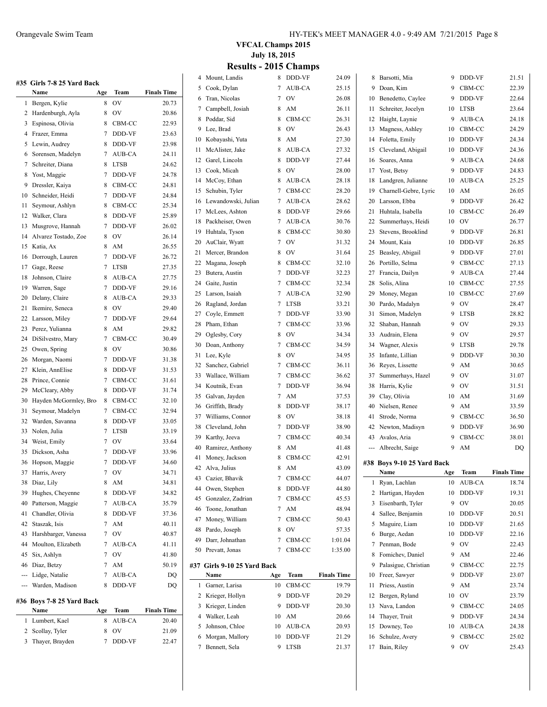|     | #35 Girls 7-8 25 Yard Back |                |             |                    |
|-----|----------------------------|----------------|-------------|--------------------|
|     | Name                       | Age            | Team        | <b>Finals Time</b> |
| 1   | Bergen, Kylie              | 8              | OV          | 20.73              |
| 2   | Hardenburgh, Ayla          | 8              | OV          | 20.86              |
| 3   | Espinosa, Olivia           | 8              | CBM-CC      | 22.93              |
| 4   | Frazer, Emma               | 7              | DDD-VF      | 23.63              |
| 5   | Lewin, Audrey              | 8              | DDD-VF      | 23.98              |
| 6   | Sorensen, Madelyn          | 7              | AUB-CA      | 24.11              |
| 7   | Schreiter, Diana           | 8              | <b>LTSB</b> | 24.62              |
| 8   | Yost, Maggie               | 7              | DDD-VF      | 24.78              |
| 9   | Dressler, Kaiya            | 8              | CBM-CC      | 24.81              |
| 10  | Schneider, Heidi           | 7              | DDD-VF      | 24.84              |
| 11  | Seymour, Ashlyn            | 8              | CBM-CC      | 25.34              |
| 12  | Walker, Clara              | 8              | DDD-VF      | 25.89              |
| 13  | Musgrove, Hannah           | 7              | DDD-VF      | 26.02              |
| 14  | Alvarez Tostado, Zoe       | 8              | <b>OV</b>   | 26.14              |
| 15  | Katia, Ax                  | 8              | AM          | 26.55              |
| 16  |                            | 7              | DDD-VF      | 26.72              |
|     | Dorrough, Lauren           |                |             | 27.35              |
| 17  | Gage, Reese                | 7              | <b>LTSB</b> |                    |
| 18  | Johnson, Claire            | 8              | AUB-CA      | 27.75              |
| 19  | Warren, Sage               | 7              | DDD-VF      | 29.16              |
| 20  | Delany, Claire             | 8              | AUB-CA      | 29.33              |
| 21  | Ikemire, Seneca            | 8              | OV          | 29.40              |
| 22  | Larsson, Miley             | 7              | DDD-VF      | 29.64              |
| 23  | Perez, Yulianna            | 8              | AM          | 29.82              |
| 24  | DiSilvestro, Mary          | 7              | CBM-CC      | 30.49              |
| 25  | Owen, Spring               | 8              | <b>OV</b>   | 30.86              |
| 26  | Morgan, Naomi              | 7              | DDD-VF      | 31.38              |
| 27  | Klein, AnnElise            | 8              | DDD-VF      | 31.53              |
| 28  | Prince, Connie             | 7              | CBM-CC      | 31.61              |
| 29  | McCleary, Abby             | 8              | DDD-VF      | 31.74              |
| 30  | Hayden McGormley, Bro      | 8              | CBM-CC      | 32.10              |
| 31  | Seymour, Madelyn           | 7              | CBM-CC      | 32.94              |
| 32  | Warden, Savanna            | 8              | DDD-VF      | 33.05              |
| 33  | Nolen, Julia               | 7              | <b>LTSB</b> | 33.19              |
| 34  | Weist, Emily               | 7              | <b>OV</b>   | 33.64              |
| 35  | Dickson, Asha              | 7              | DDD-VF      | 33.96              |
| 36  | Hopson, Maggie             | 7              | DDD-VF      | 34.60              |
| 37  | Harris, Avery              | $\overline{7}$ | OV          | 34.71              |
| 38  | Diaz, Lily                 | 8              | AM          | 34.81              |
| 39  | Hughes, Cheyenne           | 8              | DDD-VF      | 34.82              |
| 40  | Patterson, Maggie          | 7              | AUB-CA      | 35.79              |
| 41  | Chandler, Olivia           | 8              | DDD-VF      | 37.36              |
| 42  | Staszak, Isis              | 7              | AM          | 40.11              |
| 43  | Harshbarger, Vanessa       | 7              | <b>OV</b>   | 40.87              |
| 44  | Moulton, Elizabeth         | 7              | AUB-CA      | 41.11              |
| 45  | Six, Ashlyn                | 7              | <b>OV</b>   | 41.80              |
| 46  | Diaz, Betzy                | 7              | AM          | 50.19              |
| --- | Lidge, Natalie             | 7              | AUB-CA      |                    |
| --- | Warden, Madison            | 8              | DDD-VF      | DQ                 |
|     |                            |                |             | DQ                 |
|     | #36 Boys 7-8 25 Yard Back  |                |             |                    |
|     | Name                       | Age            | Team        | <b>Finals Time</b> |

| Name              | Age | Team     | <b>Finals Time</b> |
|-------------------|-----|----------|--------------------|
| 1 Lumbert, Kael   |     | 8 AUB-CA | 20.40              |
| 2 Scollay, Tyler  |     | 8. OV    | 21.09              |
| 3 Thayer, Brayden |     | 7 DDD-VF | 22.47              |
|                   |     |          |                    |

**VFCAL Champs 2015 July 18, 2015**

|                 | <b>Results - 2015 Champs</b> |  |
|-----------------|------------------------------|--|
| 4 Mount, Landis | 8 DDD-VF                     |  |

| 4  | Mount, Landis               | 8 | DDD-VF      | 24.09              | 8        | Barsotti, Mia                   | 9        | DDD-VF              | 21.51              |
|----|-----------------------------|---|-------------|--------------------|----------|---------------------------------|----------|---------------------|--------------------|
| 5  | Cook, Dylan                 | 7 | AUB-CA      | 25.15              | 9        | Doan, Kim                       | 9        | CBM-CC              | 22.39              |
| 6  | Tran, Nicolas               | 7 | OV          | 26.08              | 10       | Benedetto, Caylee               | 9        | DDD-VF              | 22.64              |
| 7  | Campbell, Josiah            | 8 | AM          | 26.11              | 11       | Schreiter, Jocelyn              | 10       | <b>LTSB</b>         | 23.64              |
| 8  | Poddar, Sid                 | 8 | CBM-CC      | 26.31              | 12       | Haight, Laynie                  | 9        | AUB-CA              | 24.18              |
| 9  | Lee, Brad                   | 8 | OV          | 26.43              | 13       | Magness, Ashley                 | 10       | CBM-CC              | 24.29              |
| 10 | Kobayashi, Yuta             | 8 | AM          | 27.30              | 14       | Foletta, Emily                  | 10       | DDD-VF              | 24.34              |
| 11 | McAlister, Jake             | 8 | AUB-CA      | 27.32              | 15       | Cleveland, Abigail              | 10       | DDD-VF              | 24.36              |
| 12 | Garel, Lincoln              | 8 | DDD-VF      | 27.44              | 16       | Soares, Anna                    | 9        | AUB-CA              | 24.68              |
| 13 | Cook, Micah                 | 8 | OV          | 28.00              | 17       | Yost, Betsy                     | 9        | DDD-VF              | 24.83              |
| 14 | McCoy, Ethan                | 8 | AUB-CA      | 28.18              | 18       | Landgren, Julianne              | 10       | AUB-CA              | 25.25              |
| 15 | Schubin, Tyler              | 7 | CBM-CC      | 28.20              | 19       | Charnell-Gebre, Lyric           | 10       | AM                  | 26.05              |
| 16 | Lewandowski, Julian         | 7 | AUB-CA      | 28.62              | 20       | Larsson, Ebba                   | 9        | DDD-VF              | 26.42              |
| 17 | McLees, Ashton              | 8 | DDD-VF      | 29.66              | 21       | Huhtala, Isabella               | 10       | CBM-CC              | 26.49              |
| 18 | Packheiser, Owen            | 7 | AUB-CA      | 30.76              | 22       | Summerhays, Heidi               | 10       | OV                  | 26.77              |
| 19 | Huhtala, Tyson              | 8 | CBM-CC      | 30.80              | 23       | Stevens, Brooklind              | 9        | DDD-VF              | 26.81              |
| 20 | AuClair, Wyatt              | 7 | OV          | 31.32              | 24       | Mount, Kaia                     | 10       | DDD-VF              | 26.85              |
| 21 | Mercer, Brandon             | 8 | OV          | 31.64              | 25       | Beasley, Abigail                | 9        | DDD-VF              | 27.01              |
| 22 | Magana, Joseph              | 8 | CBM-CC      | 32.10              | 26       | Portillo, Selma                 | 9        | CBM-CC              | 27.13              |
| 23 | Butera, Austin              | 7 | DDD-VF      | 32.23              | 27       | Francia, Dailyn                 | 9        | AUB-CA              | 27.44              |
| 24 |                             | 7 | CBM-CC      | 32.34              |          | Solis, Alina                    |          |                     |                    |
| 25 | Gaite, Justin               | 7 |             |                    | 28       |                                 | 10<br>10 | CBM-CC              | 27.55              |
|    | Larson, Isaiah              |   | AUB-CA      | 32.90              | 29       | Money, Megan                    | 9        | CBM-CC<br><b>OV</b> | 27.69              |
| 26 | Ragland, Jordan             | 7 | <b>LTSB</b> | 33.21              | 30       | Pardo, Madalyn                  |          |                     | 28.47              |
| 27 | Coyle, Emmett               | 7 | DDD-VF      | 33.90              | 31       | Simon, Madelyn                  | 9        | <b>LTSB</b>         | 28.82              |
| 28 | Pham, Ethan                 | 7 | CBM-CC      | 33.96              | 32       | Shaban, Hannah                  | 9        | OV                  | 29.33              |
| 29 | Oglesby, Cory               | 8 | OV          | 34.34              | 33       | Audrain, Elena                  | 9        | OV                  | 29.57              |
| 30 | Doan, Anthony               | 7 | CBM-CC      | 34.59              | 34       | Wagner, Alexis                  | 9        | <b>LTSB</b>         | 29.78              |
| 31 | Lee, Kyle                   | 8 | OV          | 34.95              | 35       | Infante, Lillian                | 9        | DDD-VF              | 30.30              |
| 32 | Sanchez, Gabriel            | 7 | CBM-CC      | 36.11              | 36       | Reyes, Lissette                 | 9        | AM                  | 30.65              |
| 33 | Wallace, William            | 7 | CBM-CC      | 36.62              | 37       | Summerhays, Hazel               | 9        | OV                  | 31.07              |
| 34 | Koutnik, Evan               | 7 | DDD-VF      | 36.94              | 38       | Harris, Kylie                   | 9        | 0V                  | 31.51              |
| 35 | Galvan, Jayden              | 7 | AM          | 37.53              | 39       | Clay, Olivia                    | 10       | AM                  | 31.69              |
| 36 | Griffith, Brady             | 8 | DDD-VF      | 38.17              | 40       | Nielsen, Renee                  | 9        | AM                  | 33.59              |
| 37 | Williams, Connor            | 8 | OV          | 38.18              | 41       | Strode, Norma                   | 9        | CBM-CC              | 36.50              |
| 38 | Cleveland, John             | 7 | DDD-VF      | 38.90              |          | 42 Newton, Madisyn              | 9        | DDD-VF              | 36.90              |
| 39 | Karthy, Jeeva               | 7 | CBM-CC      | 40.34              | 43       | Avalos, Aria                    | 9        | CBM-CC              | 38.01              |
| 40 | Ramirez, Anthony            | 8 | AM          | 41.48              |          | Albrecht, Saige                 | 9        | AM                  | DQ                 |
| 41 | Money, Jackson              | 8 | CBM-CC      | 42.91              |          | #38 Boys 9-10 25 Yard Back      |          |                     |                    |
|    | 42 Alva, Julius             | 8 | AM          | 43.09              |          | Name                            | Age      | Team                | <b>Finals Time</b> |
|    | 43 Cazier, Bhavik           | 7 | CBM-CC      | 44.07              |          | 1 Ryan, Lachlan                 | 10       | AUB-CA              | 18.74              |
| 44 | Owen, Stephen               | 8 | DDD-VF      | 44.80              |          | 2 Hartigan, Hayden              | 10       | DDD-VF              | 19.31              |
| 45 | Gonzalez, Zadrian           | 7 | CBM-CC      | 45.53              | 3        | Eisenbarth, Tyler               | 9        | <b>OV</b>           | 20.05              |
| 46 | Toone, Jonathan             | 7 | AM          | 48.94              | 4        | Sallee, Benjamin                | 10       | DDD-VF              | 20.51              |
| 47 | Money, William              | 7 | CBM-CC      | 50.43              | 5        | Maguire, Liam                   | 10       | DDD-VF              | 21.65              |
| 48 | Pardo, Joseph               | 8 | OV          | 57.35              | 6        | Burge, Aedan                    | 10       | DDD-VF              | 22.16              |
| 49 | Darr, Johnathan             | 7 | CBM-CC      | 1:01.04            | 7        | Penman, Bode                    | 9        | <b>OV</b>           | 22.43              |
| 50 | Prevatt, Jonas              | 7 | CBM-CC      | 1:35.00            | 8        | Fomichev, Daniel                | 9        | AM                  | 22.46              |
|    | #37 Girls 9-10 25 Yard Back |   |             |                    | 9        | Palasigue, Christian            | 9        | CBM-CC              | 22.75              |
|    | Name<br>Age                 |   | Team        | <b>Finals Time</b> |          |                                 | 9        | DDD-VF              |                    |
|    | 1 Garner, Larisa<br>10      |   | CBM-CC      | 19.79              | 10<br>11 | Freer, Sawyer<br>Priess, Austin | 9        | AM                  | 23.07<br>23.74     |
|    |                             | 9 |             |                    |          |                                 | 10       | OV                  |                    |
|    | 2 Krieger, Hollyn           |   | DDD-VF      | 20.29              | 12       | Bergen, Ryland                  |          |                     | 23.79              |
| 3  | Krieger, Linden             | 9 | DDD-VF      | 20.30              | 13       | Nava, Landon                    | 9        | CBM-CC              | 24.05              |
| 4  | Walker, Leah<br>10          |   | AM          | 20.66              | 14       | Thayer, Truit                   | 9        | DDD-VF              | 24.34              |
| 5  | Johnson, Chloe<br>10        |   | AUB-CA      | 20.93              | 15       | Downey, Teo                     | 10       | AUB-CA              | 24.38              |
| 6  | Morgan, Mallory<br>10       |   | DDD-VF      | 21.29              | 16       | Schulze, Avery                  | 9        | CBM-CC              | 25.02              |
| 7  | Bennett, Sela               | 9 | <b>LTSB</b> | 21.37              |          | 17 Bain, Riley                  | 9        | OV                  | 25.43              |
|    |                             |   |             |                    |          |                                 |          |                     |                    |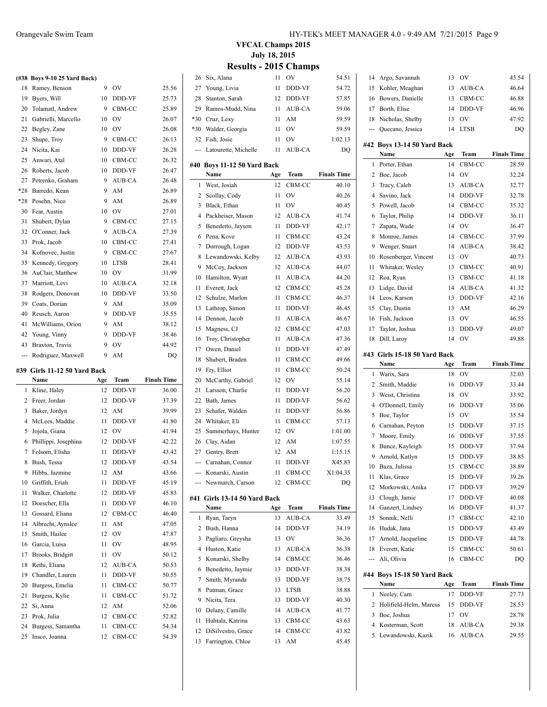|       | (#38 Boys 9-10 25 Yard Back) |    |             |       |
|-------|------------------------------|----|-------------|-------|
| 18    | Ramey, Benson                | 9  | OV          | 25.56 |
| 19    | Byers, Will                  | 10 | DDD-VF      | 25.73 |
| 20    | Tolamatl, Andrew             | 9  | CBM-CC      | 25.89 |
| 21    | Gabrielli, Marcello          | 10 | OV          | 26.07 |
| 22    | Begley, Zane                 | 10 | OV          | 26.08 |
| 23    | Shupe, Troy                  | 9  | CBM-CC      | 26.13 |
| 24    | Nicita, Kai                  | 10 | DDD-VF      | 26.28 |
| 25    | Anwari, Atal                 | 10 | CBM-CC      | 26.32 |
| 26    | Roberts, Jacob               | 10 | DDD-VF      | 26.47 |
| 27    | Petrenko, Graham             | 9  | AUB-CA      | 26.48 |
| *28   | Barredo, Kean                | 9  | AM          | 26.89 |
| $*28$ | Posehn, Nico                 | 9  | AM          | 26.89 |
| 30    | Fear, Austin                 | 10 | OV          | 27.01 |
| 31    | Shubert, Dylan               | 9  | CBM-CC      | 27.15 |
| 32    | O'Conner, Jack               | 9  | AUB-CA      | 27.39 |
| 33    | Prok, Jacob                  | 10 | CBM-CC      | 27.41 |
| 34    | Kofnovec, Justin             | 9  | CBM-CC      | 27.67 |
| 35    | Kennedy, Gregory             | 10 | <b>LTSB</b> | 28.41 |
| 36    | AuClair, Matthew             | 10 | OV          | 31.99 |
| 37    | Marriott, Levi               | 10 | AUB-CA      | 32.18 |
| 38    | Rodgers, Donovan             | 10 | DDD-VF      | 33.50 |
| 39    | Coats, Dorian                | 9  | AM          | 35.09 |
| 40    | Reusch, Aaron                | 9  | DDD-VF      | 35.55 |
| 41    | McWilliams, Orion            | 9. | AM          | 38.12 |
| 42    | Young, Vinny                 | 9  | DDD-VF      | 38.46 |
| 43    | Braxton, Travis              | 9  | OV          | 44.92 |
| ---   | Rodriguez, Maxwell           | 9  | AM          | DQ    |

#### **#39 Girls 11-12 50 Yard Back**

 $\frac{1}{2}$ 

|    | ээ Gifis 11-14 эч тагц баск |     |        |                    |
|----|-----------------------------|-----|--------|--------------------|
|    | Name                        | Age | Team   | <b>Finals Time</b> |
| 1  | Kline, Haley                | 12  | DDD-VF | 36.00              |
| 2  | Freer, Jordan               | 12  | DDD-VF | 37.39              |
| 3  | Baker, Jordyn               | 12  | AM     | 39.99              |
| 4  | McLees, Maddie              | 11  | DDD-VF | 41.80              |
| 5  | Jojola, Giana               | 12  | OV     | 41.94              |
| 6  | Phillippi, Josephina        | 12  | DDD-VF | 42.22              |
| 7  | Folsom, Elisha              | 11  | DDD-VF | 43.42              |
| 8  | Bush, Tessa                 | 12  | DDD-VF | 43.54              |
| 9  | Hibbs, Jazmine              | 12  | AM     | 43.66              |
| 10 | Griffith, Eriah             | 11  | DDD-VF | 45.19              |
| 11 | Walker, Charlotte           | 12  | DDD-VF | 45.83              |
| 12 | Doescher, Ella              | 11  | DDD-VF | 46.10              |
| 13 | Gossard, Eliana             | 12  | CBM-CC | 46.40              |
| 14 | Albrecht, Aynslee           | 11  | AM     | 47.05              |
| 15 | Smith, Hailee               | 12  | OV     | 47.87              |
| 16 | Garcia, Luisa               | 11  | OV     | 48.95              |
| 17 | Brooks, Bridgitt            | 11  | OV     | 50.12              |
| 18 | Rethi, Eliana               | 12  | AUB-CA | 50.53              |
| 19 | Chandler, Lauren            | 11  | DDD-VF | 50.55              |
| 20 | Burgess, Emelia             | 11  | CBM-CC | 50.77              |
| 21 | Burgess, Kylie              | 11  | CBM-CC | 51.72              |
| 22 | Si. Anna                    | 12  | AM     | 52.06              |
| 23 | Prok, Julia                 | 12  | CBM-CC | 52.82              |
| 24 | Burgess, Samantha           | 11  | CBM-CC | 54.34              |
| 25 | Insco, Joanna               | 12  | CBM-CC | 54.39              |

#### Orangevale Swim Team HY-TEK's MEET MANAGER 4.0 - 9:49 AM 7/21/2015 Page 9

**VFCAL Champs 2015 July 18, 2015 Results - 2015 Champs**

 $\overline{\phantom{a}}$ 

| 26    | Six, Alana               | 11  | OV            | 54.51              |
|-------|--------------------------|-----|---------------|--------------------|
| 27    | Young, Livia             | 11  | DDD-VF        | 54.72              |
| 28    | Stanton, Sarah           | 12  | DDD-VF        | 57.85              |
| 29    | Ramos-Mudd, Nina         | 11  | AUB-CA        | 59.06              |
| $*30$ | Cruz, Lexy               | 11  | AM            | 59.59              |
| $*30$ | Walder, Georgia          | 11  | OV            | 59.59              |
| 32    | Fish, Josie              | 11  | OV            | 1:02.13            |
| ---   | Latourette, Michelle     | 11  | AUB-CA        | DQ                 |
|       |                          |     |               |                    |
| #40   | Boys 11-12 50 Yard Back  |     |               |                    |
|       | Name                     | Age | Team          | <b>Finals Time</b> |
| 1     | West, Josiah             | 12  | CBM-CC        | 40.10              |
| 2     | Scollay, Cody            | 11  | OV            | 40.26              |
| 3     | Black, Ethan             | 11  | OV            | 40.45              |
| 4     | Packheiser, Mason        | 12  | AUB-CA        | 41.74              |
| 5     | Benedetto, Jayson        | 11  | DDD-VF        | 42.17              |
| 6     | Pena, Kove               | 11  | CBM-CC        | 43.24              |
| 7     | Dorrough, Logan          | 12  | DDD-VF        | 43.53              |
| 8     | Lewandowski, Kelby       | 12  | AUB-CA        | 43.93              |
| 9     | McCoy, Jackson           | 12  | AUB-CA        | 44.07              |
| 10    | Hamilton, Wyatt          | 11  | <b>AUB-CA</b> | 44.20              |
| 11    | Everett, Jack            | 12  | CBM-CC        | 45.28              |
| 12    | Schulze, Marlon          | 11  | CBM-CC        | 46.37              |
| 13    | Lathrop, Simon           | 11  | DDD-VF        | 46.45              |
| 14    | Dennon, Jacob            | 11  | AUB-CA        | 46.67              |
| 15    | Magness, CJ              | 12  | CBM-CC        | 47.03              |
| 16    | Troy, Christopher        | 11  | AUB-CA        | 47.36              |
| 17    | Owen, Daniel             | 11  | DDD-VF        | 47.49              |
|       |                          |     |               |                    |
| 18    | Shubert, Braden          | 11  | CBM-CC        | 49.66              |
| 19    | Fry, Elliot              | 11  | CBM-CC        | 50.24              |
| 20    | McCarthy, Gabriel        | 12  | OV            | 55.14              |
| 21    | Larsson, Charlie         | 11  | DDD-VF        | 56.20              |
| 22    | Bath, James              | 11  | DDD-VF        | 56.62              |
| 23    | Schafer, Walden          | 11  | DDD-VF        | 56.86              |
| 24    | Whitaker, Eli            | 11  | CBM-CC        | 57.13              |
| 25    | Summerhays, Hunter       | 12  | OV            | 1:01.00            |
| 26    | Clay, Aidan              | 12  | AM            | 1:07.55            |
| 27    | Gentry, Brett            | 12  | AM            | 1:15.15            |
| ---   | Carnahan, Connor         | 11  | <b>DDD-VF</b> | X45.83             |
|       | Konarski, Austin         | 11  | CBM-CC        | X1:04.35           |
|       | Newmarch, Carson         | 12  | CBM-CC        | DQ                 |
| #41   | Girls 13-14 50 Yard Back |     |               |                    |
|       | Name                     | Age | Team          | <b>Finals Time</b> |
| 1     | Ryan, Taryn              | 13  | AUB-CA        | 33.49              |
| 2     | Bush, Hanna              | 14  | DDD-VF        | 34.19              |
| 3     | Pagliaro, Greysha        | 13  | OV            | 36.36              |
| 4     | Huston, Katie            | 13  | AUB-CA        | 36.38              |
| 5     | Konarski, Shelby         | 14  | CBM-CC        | 36.46              |
| 6     |                          | 13  | DDD-VF        | 38.38              |
|       | Benedetto, Jaymie        |     |               |                    |
| 7     | Smith, Myranda           | 13  | DDD-VF        | 38.75              |
| 8     | Putman, Grace            | 13  | <b>LTSB</b>   | 38.88              |
| 9     | Nicita, Tera             | 13  | DDD-VF        | 40.30              |
| 10    | Delany, Camille          | 14  | AUB-CA        | 41.77              |
| 11    | Huhtala, Katrina         | 13  | CBM-CC        | 43.63              |
| 12    | DiSilvestro, Grace       | 14  | CBM-CC        | 43.82              |
| 13    | Farrington, Chloe        | 13  | AM            | 45.45              |

| 14     | Argo, Savannah                         | 13       | OV               | 45.54              |
|--------|----------------------------------------|----------|------------------|--------------------|
| 15     | Kohler, Meaghan                        | 13       | AUB-CA           | 46.64              |
| 16     | Bowers, Danielle                       | 13       | CBM-CC           | 46.88              |
| 17     | Borth, Elise                           | 14       | DDD-VF           | 46.96              |
| 18     | Nicholas, Shelby                       | 13       | OV               | 47.92              |
| ---    | Quecano, Jessica                       | 14       | LTSB             | DQ                 |
|        | #42 Boys 13-14 50 Yard Back            |          |                  |                    |
|        | Name                                   | Age      | Team             | <b>Finals Time</b> |
| 1      | Porter, Ethan                          | 14       | CBM-CC           | 28.59              |
| 2      | Boe, Jacob                             | 14       | OV               | 32.24              |
| 3      | Tracy, Caleb                           | 13       | AUB-CA           | 32.77              |
| 4      | Savino, Jack                           | 14       | DDD-VF           | 32.78              |
| 5      | Powell, Jacob                          | 14       | CBM-CC           | 35.32              |
| 6      | Taylor, Philip                         | 14       | DDD-VF           | 36.11              |
| 7      | Zapata, Wade                           | 14       | OV               | 36.47              |
| 8      | Monroe, James                          | 14       | CBM-CC           | 37.99              |
| 9      | Wenger, Stuart                         | 14       | AUB-CA           | 38.42              |
| 10     | Rosenberger, Vincent                   | 13       | OV               | 40.73              |
| 11     | Whitaker, Wesley                       | 13       | CBM-CC           | 40.91              |
| 12     | Roa, Ryan                              | 13       | CBM-CC           | 41.18              |
| 13     | Lidge, David                           | 14       | AUB-CA           | 41.32              |
| 14     | Leos, Karson                           | 13       | DDD-VF           | 42.16              |
| 15     | Clay, Dustin                           | 13       | AM               | 46.29              |
| 16     | Fish, Jackson                          | 13       | OV               | 46.55              |
| 17     | Taylor, Joshua                         | 13       | DDD-VF           | 49.07              |
| 18     | Dill, Laroy                            | 14       | OV               | 49.88              |
|        |                                        |          |                  |                    |
|        | #43 Girls 15-18 50 Yard Back           |          |                  |                    |
|        |                                        |          |                  |                    |
|        | Name                                   | Age      | Team             | <b>Finals Time</b> |
| 1      | Warix, Sara                            | 18       | OV               | 32.03              |
| 2      | Smith, Maddie                          | 16       | DDD-VF           | 33.44              |
| 3      | Weist, Christina                       | 18       | OV               | 33.92              |
| 4      | O'Donnell, Emily                       | 16       | DDD-VF           | 35.06              |
| 5      | Boe, Taylor                            | 15       | OV               | 35.54              |
| 6      | Carnahan, Peyton                       | 15       | DDD-VF           | 37.15              |
| 7      | Moore, Emily                           | 16       | DDD-VF           | 37.55              |
| 8      | Bunce, Kayleigh                        | 15       | DDD-VF           | 37.94              |
| 9      | Arnold, Katlyn                         | 15       | DDD-VF           | 38.85              |
| 10     | Baza, Julissa                          | 15       | CBM-CC           | 38.89              |
| 11     | Klas, Grace                            | 15       | DDD-VF           | 39.26              |
| 12     | Morkowski, Anika                       | 17       | DDD-VF           | 39.29              |
| 13     | Clough, Jamie                          | 17       | DDD-VF           | 40.08              |
| 14     | Ganzert, Lindsey                       | 16       | DDD-VF           | 41.37              |
| 15     | Sonnik, Nelli                          | 17       | CBM-CC           | 42.10              |
| 16     | Hudak, Jana                            | 15       | DDD-VF           | 43.49              |
| 17     | Arnold, Jacqueline                     | 15       | DDD-VF           | 44.78              |
| 18     | Everett, Katie                         | 15       | CBM-CC           | 50.61              |
| ---    | Ali, Olivia                            | 16       | CBM-CC           | DQ                 |
|        | #44 Boys 15-18 50 Yard Back            |          |                  |                    |
|        | Name                                   | Age      | Team             | <b>Finals Time</b> |
| 1      | Neeley, Cam                            | 17       | DDD-VF           | 27.73              |
| 2      | Holifield-Helm, Marcus                 | 15       | DDD-VF           | 28.53              |
| 3      | Boe, Joshua                            | 17       | OV               | 28.78              |
| 4<br>5 | Kosterman, Scott<br>Lewandowski, Kazik | 18<br>16 | AUB-CA<br>AUB-CA | 29.38<br>29.55     |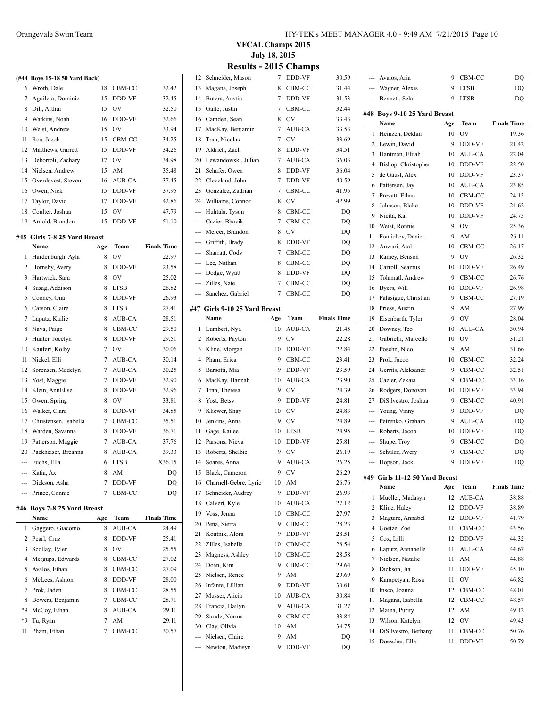|     | (#44 Boys 15-18 50 Yard Back)   |                |               |                    |
|-----|---------------------------------|----------------|---------------|--------------------|
| 6   | Wroth, Dale                     | 18             | CBM-CC        | 32.42              |
| 7   | Aguilera, Dominic               | 15             | DDD-VF        | 32.45              |
| 8   | Dill, Arthur                    | 15             | OV            | 32.50              |
| 9   | Watkins, Noah                   | 16             | DDD-VF        | 32.66              |
| 10  | Weist, Andrew                   | 15             | <b>OV</b>     | 33.94              |
| 11  | Roa, Jacob                      | 15             | CBM-CC        | 34.25              |
| 12  | Matthews, Garrett               | 15             | DDD-VF        | 34.26              |
| 13  | Debortoli, Zachary              | 17             | <b>OV</b>     | 34.98              |
| 14  | Nielsen, Andrew                 | 15             | AM            | 35.48              |
| 15  | Overdevest, Steven              | 16             | AUB-CA        | 37.45              |
| 16  | Owen, Nick                      | 15             | DDD-VF        | 37.95              |
| 17  | Taylor, David                   | 17             | DDD-VF        | 42.86              |
| 18  | Coulter, Joshua                 | 15             | <b>OV</b>     | 47.79              |
| 19  | Arnold, Brandon                 | 15             | DDD-VF        | 51.10              |
|     | #45  Girls 7-8 25 Yard Breast   |                |               |                    |
|     | Name                            | Age            | Team          | <b>Finals Time</b> |
| 1   | Hardenburgh, Ayla               | 8              | OV            | 22.97              |
| 2   | Hornsby, Avery                  | 8              | DDD-VF        | 23.58              |
| 3   | Hartwick, Sara                  | 8              | OV            | 25.02              |
| 4   | Susag, Addison                  | 8              | <b>LTSB</b>   | 26.82              |
| 5   | Cooney, Ona                     | 8              | DDD-VF        | 26.93              |
| 6   | Carson, Claire                  | 8              | <b>LTSB</b>   | 27.41              |
| 7   | Laputz, Kailie                  | 8              | AUB-CA        | 28.51              |
| 8   | Nava, Paige                     | 8              | CBM-CC        | 29.50              |
| 9   | Hunter, Jocelyn                 | 8              | DDD-VF        | 29.51              |
| 10  | Kaufert, Kolby                  | 7              | <b>OV</b>     | 30.06              |
| 11  | Nickel, Elli                    | 7              | AUB-CA        | 30.14              |
| 12  | Sorensen, Madelyn               | 7              | AUB-CA        | 30.25              |
| 13  | Yost, Maggie                    | $\overline{7}$ | DDD-VF        | 32.90              |
| 14  | Klein, AnnElise                 | 8              | DDD-VF        | 32.96              |
| 15  | Owen, Spring                    | 8              | <b>OV</b>     | 33.81              |
| 16  | Walker, Clara                   | 8              | DDD-VF        | 34.85              |
| 17  | Christensen, Isabella           | 7              | CBM-CC        | 35.51              |
| 18  | Warden, Savanna                 | 8              | DDD-VF        | 36.71              |
| 19  | Patterson, Maggie               | 7              | AUB-CA        | 37.76              |
| 20  | Packheiser, Breanna             | 8              | AUB-CA        | 39.33              |
| --- | Fuchs, Ella                     | 6              | <b>LTSB</b>   | X36.15             |
|     | -- Katia, Ax                    | 8              | AM            | DQ                 |
|     | --- Dickson, Asha               | 7              | DDD-VF        | DQ                 |
| --- | Prince, Connie                  | 7              | CBM-CC        | DQ                 |
|     |                                 |                |               |                    |
| #46 | Boys 7-8 25 Yard Breast<br>Name | Age            | Team          | <b>Finals Time</b> |
| 1   |                                 | 8              | <b>AUB-CA</b> | 24.49              |
| 2   | Gaggero, Giacomo<br>Pearl, Cruz | 8              | DDD-VF        | 25.41              |
| 3   | Scollay, Tyler                  | 8              | OV            | 25.55              |
| 4   | Mergups, Edwards                | 8              | CBM-CC        | 27.02              |
|     |                                 |                |               |                    |

 Avalos, Ethan 8 CBM-CC 27.09 McLees, Ashton 8 DDD-VF 28.00 Prok, Jaden 8 CBM-CC 28.55 8 Bowers, Benjamin 7 CBM-CC 28.71 \*9 McCoy, Ethan 8 AUB-CA 29.11 \*9 Tu, Ryan 7 AM 29.11 11 Pham, Ethan 7 CBM-CC 30.57

| 12       | Schneider, Mason                  | 7       | DDD-VF           | 30.59              |
|----------|-----------------------------------|---------|------------------|--------------------|
| 13       | Magana, Joseph                    | 8       | CBM-CC           | 31.44              |
| 14       | Butera, Austin                    | 7       | DDD-VF           | 31.53              |
| 15       | Gaite, Justin                     | 7       | CBM-CC           | 32.44              |
| 16       | Camden, Sean                      | 8       | OV               | 33.43              |
| 17       | MacKay, Benjamin                  | 7       | AUB-CA           | 33.53              |
| 18       | Tran, Nicolas                     | 7       | OV               | 33.69              |
| 19       | Aldrich, Zach                     | 8       | DDD-VF           | 34.51              |
| 20       | Lewandowski, Julian               | 7       | AUB-CA           | 36.03              |
| 21       | Schafer, Owen                     | 8       | DDD-VF           | 36.04              |
| 22       | Cleveland, John                   | 7       | DDD-VF           | 40.59              |
| 23       | Gonzalez, Zadrian                 | 7       | CBM-CC           | 41.95              |
| 24       | Williams, Connor                  | 8       | OV               | 42.99              |
| ---      | Huhtala, Tyson                    | 8       | CBM-CC           | DQ                 |
| ---      | Cazier, Bhavik                    | 7       | CBM-CC           | DQ                 |
| ---      | Mercer, Brandon                   | 8       | OV               | DQ                 |
| ---      | Griffith, Brady                   | 8       | DDD-VF           | DQ                 |
| ---      | Sharratt, Cody                    | 7       | CBM-CC           | DQ                 |
| ---      | Lee, Nathan                       | 8       | CBM-CC           | DQ                 |
| ---      | Dodge, Wyatt                      | 8       | DDD-VF           | DQ                 |
| ---      | Zilles, Nate                      | 7       | CBM-CC           | DQ                 |
| ---      | Sanchez, Gabriel                  | $\tau$  | CBM-CC           | DQ                 |
|          |                                   |         |                  |                    |
|          | 47 Girls 9-10 25 Yard Breast      |         |                  |                    |
|          | Name                              | Age     | Team             | <b>Finals Time</b> |
| 1<br>2   | Lumbert, Nya<br>Roberts, Payton   | 10<br>9 | AUB-CA<br>OV     | 21.45<br>22.28     |
| 3        | Kline, Morgan                     | 10      | DDD-VF           | 22.84              |
| 4        | Pham, Erica                       | 9       |                  |                    |
| 5        | Barsotti, Mia                     | 9       | CBM-CC<br>DDD-VF | 23.41              |
| 6        | MacKay, Hannah                    | 10      | AUB-CA           | 23.59              |
| 7        |                                   | 9       | OV               | 23.90              |
|          | Tran, Theresa                     | 9       | DDD-VF           | 24.39              |
| 8        | Yost, Betsy                       |         |                  | 24.81              |
| 9        | Kliewer, Shay                     | 10      | OV               | 24.83              |
| 10       | Jenkins, Anna                     | 9       |                  |                    |
| 11       | Gage, Kailee                      |         | OV               | 24.89              |
| 12       |                                   | 10      | <b>LTSB</b>      | 24.95              |
|          | Parsons, Nieva                    | 10      | DDD-VF           | 25.81              |
| 13       | Roberts, Shelbie                  | 9       | OV               | 26.19              |
| 14       | Soares, Anna                      | 9       | AUB-CA           | 26.25              |
|          | 15 Black, Cameron                 |         | 9 OV             | 26.29              |
| 16       | Charnell-Gebre, Lyric             | 10      | AM               | 26.76              |
| 17       | Schneider, Audrey                 | 9       | DDD-VF           | 26.93              |
| 18       | Calvert, Kyle                     | 10      | AUB-CA           | 27.12              |
| 19       | Voss, Jenna                       | 10      | CBM-CC           | 27.97              |
| 20       | Pena, Sierra                      | 9       | CBM-CC           | 28.23              |
| 21       | Koutnik, Alora                    | 9       | DDD-VF           | 28.51              |
| 22       | Zilles, Isabella                  | 10      | CBM-CC           | 28.54              |
| 23       | Magness, Ashley                   | 10      | CBM-CC           | 28.58              |
| 24       | Doan, Kim                         | 9       | CBM-CC           | 29.64              |
| 25       | Nielsen, Renee                    | 9       | AM               | 29.69              |
| 26       | Infante, Lillian                  | 9       | DDD-VF           | 30.61              |
| 27<br>28 | Musser, Alicia<br>Francia. Dailyn | 10<br>9 | AUB-CA<br>AUB-CA | 30.84<br>31.27     |

29 Strode, Norma 9 CBM-CC 33.84 Clay, Olivia 10 AM 34.75 --- Nielsen, Claire 9 AM DQ --- Newton, Madisyn 9 DDD-VF DQ

**#47 Girls 9-10 25 Yard Breast**

# --- Avalos, Aria 9 CBM-CC DQ --- Wagner, Alexis 9 LTSB DQ --- Bennett, Sela 9 LTSB DQ

|                         | #48 Boys 9-10 25 Yard Breast           |          |                  |                    |
|-------------------------|----------------------------------------|----------|------------------|--------------------|
|                         | Name                                   | Age      | Team             | <b>Finals Time</b> |
| 1                       | Heinzen, Deklan                        | 10       | OV               | 19.36              |
| 2                       | Lewin, David                           | 9        | DDD-VF           | 21.42              |
| 3                       | Hantman, Elijah                        | 10       | AUB-CA           | 22.04              |
| 4                       | Bishop, Christopher                    | 10       | DDD-VF           | 22.50              |
| 5                       | de Gaust, Alex                         | 10       | DDD-VF           | 23.37              |
| 6                       | Patterson, Jay                         | 10       | AUB-CA           | 23.85              |
| 7                       | Prevatt, Ethan                         | 10       | CBM-CC           | 24.12              |
| 8                       | Johnson, Blake                         | 10       | DDD-VF           | 24.62              |
| 9                       | Nicita, Kai                            | 10       | DDD-VF           | 24.75              |
| 10                      | Weist, Ronnie                          | 9        | <b>OV</b>        | 25.36              |
| 11                      | Fomichev, Daniel                       | 9        | AM               | 26.11              |
| 12                      | Anwari, Atal                           | 10       | CBM-CC           | 26.17              |
| 13                      | Ramey, Benson                          | 9        | OV               | 26.32              |
| 14                      | Carroll, Seamus                        | 10       | DDD-VF           | 26.49              |
| 15                      | Tolamatl, Andrew                       | 9        | CBM-CC           | 26.76              |
| 16                      | Byers, Will                            | 10       | DDD-VF           | 26.98              |
| 17                      | Palasigue, Christian                   | 9        | CBM-CC           | 27.19              |
| 18                      | Priess, Austin                         | 9        | AM               | 27.99              |
| 19                      | Eisenbarth, Tyler                      | 9        | OV               | 28.04              |
| 20                      | Downey, Teo                            | 10       | AUB-CA           | 30.94              |
| 21                      | Gabrielli, Marcello                    | 10       | OV               | 31.21              |
| 22                      | Posehn, Nico                           | 9        | AM               | 31.66              |
| 23                      | Prok, Jacob                            | 10       | CBM-CC           | 32.24              |
| 24                      | Gerrits, Aleksandr                     | 9        | CBM-CC           | 32.51              |
| 25                      | Cazier, Zekaia                         | 9        | CBM-CC           | 33.16              |
| 26                      | Rodgers, Donovan                       | 10       | DDD-VF           | 33.94              |
| 27                      | DiSilvestro, Joshua                    | 9        | CBM-CC           | 40.91              |
| ---                     | Young, Vinny                           | 9        | DDD-VF           | DQ                 |
| ---                     | Petrenko, Graham                       | 9        | AUB-CA           | DQ                 |
|                         | --- Roberts, Jacob                     | 10       | DDD-VF           | DQ                 |
| ---                     | Shupe, Troy                            | 9        | CBM-CC           | DQ                 |
| ---                     | Schulze, Avery                         | 9        | CBM-CC           | DQ                 |
| ---                     | Hopson, Jack                           | 9        | DDD-VF           | DQ                 |
|                         |                                        |          |                  |                    |
|                         | #49 Girls 11-12 50 Yard Breast<br>Name | Age      | Team             | <b>Finals Time</b> |
| 1                       | Mueller, Madasyn                       |          |                  |                    |
| 2                       | Kline, Haley                           | 12<br>12 | AUB-CA<br>DDD-VF | 38.88<br>38.89     |
| 3                       | Maguire, Annabel                       | 12       | DDD-VF           | 41.79              |
| $\overline{\mathbf{4}}$ | Goetze, Zoe                            | 11       | CBM-CC           | 43.56              |
| 5                       | Cox, Lilli                             | 12       | DDD-VF           | 44.32              |
|                         |                                        |          |                  |                    |
| 6<br>7                  | Laputz, Annabelle<br>Nielsen, Natalie  | 11<br>11 | AUB-CA<br>AM     | 44.67              |
| 8                       | Dickson, Jia                           |          | DDD-VF           | 44.88              |
|                         | Karapetyan, Rosa                       | 11       |                  | 45.10              |
| 9                       | Insco, Joanna                          | 11       | OV               | 46.82<br>48.01     |
| 10<br>11                | Magana, Isabella                       | 12       | CBM-CC<br>CBM-CC |                    |
| 12                      | Maina, Purity                          | 12       | AM               | 48.57              |
| 13                      | Wilson, Katelyn                        | 12<br>12 | OV               | 49.12<br>49.43     |
|                         |                                        |          |                  |                    |

 DiSilvestro, Bethany 11 CBM-CC 50.76 Doescher, Ella 11 DDD-VF 50.79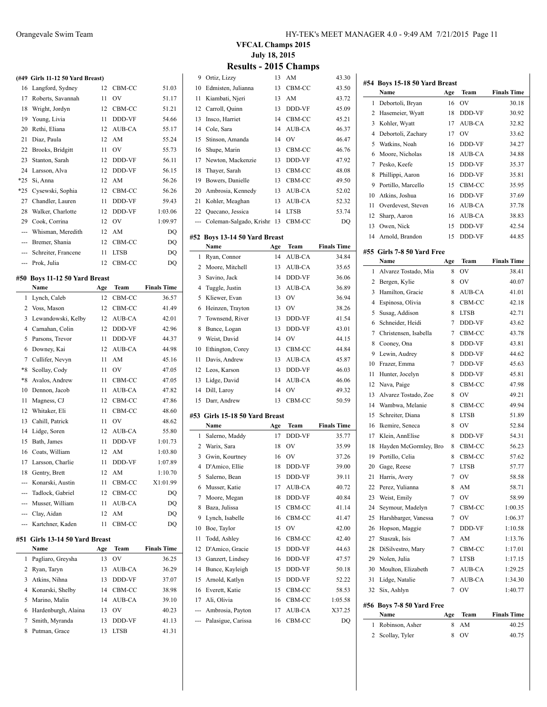|                   | (#49 Girls 11-12 50 Yard Breast) |     |             |                    |
|-------------------|----------------------------------|-----|-------------|--------------------|
| 16                | Langford, Sydney                 | 12  | CBM-CC      | 51.03              |
| 17                | Roberts, Savannah                | 11  | OV          | 51.17              |
| 18                | Wright, Jordyn                   | 12  | CBM-CC      | 51.21              |
| 19                | Young, Livia                     | 11  | DDD-VF      | 54.66              |
| 20                | Rethi, Eliana                    | 12  | AUB-CA      | 55.17              |
| 21                | Diaz, Paula                      | 12  | AM          | 55.24              |
| 22                | Brooks, Bridgitt                 | 11  | OV          | 55.73              |
| 23                | Stanton, Sarah                   | 12  | DDD-VF      | 56.11              |
| 24                | Larsson, Alva                    | 12  | DDD-VF      | 56.15              |
| $*25$             | Si. Anna                         | 12  | AM          | 56.26              |
| $*25$             | Cysewski, Sophia                 | 12  | CBM-CC      | 56.26              |
| 27                | Chandler, Lauren                 | 11  | DDD-VF      | 59.43              |
| 28                | Walker, Charlotte                | 12  | DDD-VF      | 1:03.06            |
| 29                | Cook, Corrina                    | 12  | <b>OV</b>   | 1:09.97            |
| ---               | Whisman, Meredith                | 12  | AM          | DQ                 |
|                   | --- Bremer, Shania               | 12  | CBM-CC      | DQ                 |
|                   | --- Schreiter, Francene          | 11  | <b>LTSB</b> | DQ                 |
|                   | --- Prok, Julia                  | 12  | CBM-CC      | DQ                 |
|                   |                                  |     |             |                    |
| #50               | Boys 11-12 50 Yard Breast        |     |             |                    |
|                   | Name                             | Age | Team        | <b>Finals Time</b> |
| 1                 | Lynch, Caleb                     | 12  | CBM-CC      | 36.57              |
|                   | 2 Voss, Mason                    | 12  | CBM-CC      | 41.49              |
| 3                 | Lewandowski, Kelby               | 12  | AUB-CA      | 42.01              |
| 4                 | Carnahan, Colin                  | 12  | DDD-VF      | 42.96              |
| 5                 | Parsons, Trevor                  | 11  | DDD-VF      | 44.37              |
| 6                 | Downey, Kai                      | 12  | AUB-CA      | 44.98              |
| 7                 | Cullifer, Nevyn                  | 11  | AM          | 45.16              |
| $\boldsymbol{*}8$ | Scollay, Cody                    | 11  | OV          | 47.05              |
| $*8$              | Avalos, Andrew                   | 11  | CBM-CC      | 47.05              |
| 10                | Dennon, Jacob                    | 11  | AUB-CA      | 47.82              |
| 11                | Magness, CJ                      | 12  | CBM-CC      | 47.86              |
| 12                | Whitaker, Eli                    | 11  | CBM-CC      | 48.60              |
| 13                | Cahill, Patrick                  | 11  | <b>OV</b>   | 48.62              |
| 14                | Lidge, Soren                     | 12  | AUB-CA      | 55.80              |
| 15                | Bath, James                      | 11  | DDD-VF      | 1:01.73            |
| 16                | Coats, William                   | 12  | AM          | 1:03.80            |
| 17                | Larsson, Charlie                 | 11  | DDD-VF      | 1:07.89            |
| 18                | Gentry, Brett                    | 12  | AM          | 1:10.70            |
| ---               | Konarski, Austin                 | 11  | CBM-CC      | X1:01.99           |
|                   | --- Tadlock, Gabriel             | 12  | CBM-CC      | DQ                 |
|                   | --- Musser, William              | 11  | AUB-CA      | DQ                 |
|                   | --- Clay, Aidan                  | 12  | AM          | DQ                 |
| ---               | Kartchner, Kaden                 | 11  | CBM-CC      | DQ                 |
|                   |                                  |     |             |                    |
| #51               | Girls 13-14 50 Yard Breast       |     |             |                    |
|                   | Name                             | Age | Team        | <b>Finals Time</b> |
| 1                 | Pagliaro, Greysha                | 13  | OV          | 36.25              |
| 2                 | Ryan, Taryn                      | 13  | AUB-CA      | 36.29              |

|   | 1 Pagliaro, Greysha   | 13  | O <sub>V</sub> | 36.25 |
|---|-----------------------|-----|----------------|-------|
|   | 2 Ryan, Taryn         | 13  | AUB-CA         | 36.29 |
|   | 3 Atkins, Nihna       | 13  | <b>DDD-VF</b>  | 37.07 |
|   | 4 Konarski, Shelby    |     | 14 CBM-CC      | 38.98 |
|   | 5 Marino, Malin       |     | 14 AUB-CA      | 39.10 |
|   | 6 Hardenburgh, Alaina | 13. | O <sub>V</sub> | 40.23 |
| 7 | Smith, Myranda        | 13  | <b>DDD-VF</b>  | 41.13 |
|   | 8 Putman, Grace       | 13  | <b>LTSB</b>    | 41.31 |

|     | сэинэ.                         |     | . 2019 Спашрэ |                    |
|-----|--------------------------------|-----|---------------|--------------------|
| 9   | Ortiz, Lizzy                   | 13  | AM            | 43.30              |
| 10  | Edmisten, Julianna             | 13  | CBM-CC        | 43.50              |
| 11  | Kiambati, Njeri                | 13  | AM            | 43.72              |
| 12  | Carroll, Quinn                 | 13  | DDD-VF        | 45.09              |
| 13  | Insco, Harriet                 | 14  | CBM-CC        | 45.21              |
| 14  | Cole, Sara                     | 14  | AUB-CA        | 46.37              |
| 15  | Stinson, Amanda                | 14  | OV            | 46.47              |
| 16  | Shupe, Marin                   | 13  | CBM-CC        | 46.76              |
| 17  | Newton, Mackenzie              | 13  | DDD-VF        | 47.92              |
| 18  | Thayer, Sarah                  | 13  | CBM-CC        | 48.08              |
| 19  | Bowers, Danielle               | 13  | CBM-CC        | 49.50              |
| 20  | Ambrosia, Kennedy              | 13  | AUB-CA        | 52.02              |
| 21  | Kohler, Meaghan                | 13  | AUB-CA        | 52.32              |
| 22  | Quecano, Jessica               | 14  | <b>LTSB</b>   | 53.74              |
| --- | Coleman-Salgado, Krishn 13     |     | CBM-CC        | DQ                 |
|     |                                |     |               |                    |
|     | #52 Boys 13-14 50 Yard Breast  |     |               |                    |
|     | Name                           | Age | Team          | <b>Finals Time</b> |
| 1   | Ryan, Connor                   | 14  | AUB-CA        | 34.84              |
| 2   | Moore, Mitchell                | 13  | AUB-CA        | 35.65              |
| 3   | Savino, Jack                   | 14  | DDD-VF        | 36.06              |
| 4   | Tuggle, Justin                 | 13  | AUB-CA        | 36.89              |
| 5   | Kliewer, Evan                  | 13  | OV            | 36.94              |
| 6   | Heinzen, Trayton               | 13  | OV            | 38.26              |
| 7   | Townsend, River                | 13  | DDD-VF        | 41.54              |
| 8   | Bunce, Logan                   | 13  | DDD-VF        | 43.01              |
| 9   | Weist, David                   | 14  | OV            | 44.15              |
| 10  | Ethington, Corey               | 13  | CBM-CC        | 44.84              |
| 11  | Davis, Andrew                  | 13  | AUB-CA        | 45.87              |
| 12  | Leos, Karson                   | 13  | DDD-VF        | 46.03              |
| 13  | Lidge, David                   | 14  | AUB-CA        | 46.06              |
| 14  | Dill, Laroy                    | 14  | OV            | 49.32              |
| 15  | Darr, Andrew                   | 13  | CBM-CC        | 50.59              |
|     | #53 Girls 15-18 50 Yard Breast |     |               |                    |
|     | Name                           | Age | Team          | <b>Finals Time</b> |
| 1   | Salerno, Maddy                 | 17  | DDD-VF        | 35.77              |
| 2   | Warix, Sara                    | 18  | OV            | 35.99              |
| 3   | Gwin, Kourtney                 | 16  | OV            | 37.26              |
|     | 4 D'Amico, Ellie               | 18  | DDD-VF        | 39.00              |
| 5   | Salerno, Bean                  | 15  | DDD-VF        | 39.11              |
| 6   | Musser, Katie                  | 17  | AUB-CA        | 40.72              |
| 7   | Moore, Megan                   | 18  | DDD-VF        | 40.84              |
| 8   | Baza, Julissa                  | 15  | CBM-CC        | 41.14              |
| 9   | Lynch, Isabelle                | 16  | CBM-CC        | 41.47              |
| 10  | Boe, Taylor                    | 15  | OV            | 42.00              |
| 11  | Todd, Ashley                   | 16  | CBM-CC        | 42.40              |
| 12  | D'Amico, Gracie                | 15  | DDD-VF        | 44.63              |
| 13  | Ganzert, Lindsey               | 16  | DDD-VF        | 47.57              |
| 14  | Bunce, Kayleigh                | 15  | DDD-VF        | 50.18              |
| 15  | Arnold, Katlyn                 | 15  | DDD-VF        | 52.22              |
| 16  | Everett, Katie                 | 15  | CBM-CC        | 58.53              |
| 17  | Ali, Olivia                    | 16  | CBM-CC        | 1:05.58            |
| --- | Ambrosia, Payton               | 17  | AUB-CA        | X37.25             |
|     | Palasigue, Carissa             | 16  | CBM-CC        | DQ                 |
| --- |                                |     |               |                    |
|     |                                |     |               |                    |
|     |                                |     |               |                    |

| 1<br>2<br>3<br>4<br>5<br>6<br>7<br>8<br>9<br>10<br>11<br>12<br>13<br>14<br>1<br>2<br>3<br>4<br>5<br>6<br>7 | Name<br>Debortoli, Bryan<br>Hasemeier, Wyatt<br>Kohler, Wyatt<br>Debortoli, Zachary<br>Watkins, Noah<br>Moore, Nicholas<br>Pesko, Keefe<br>Phillippi, Aaron<br>Portillo, Marcello<br>Atkins, Joshua<br>Overdevest, Steven<br>Sharp, Aaron | Age<br>16<br>18<br>17<br>17<br>16<br>18<br>15<br>16<br>15<br>16 | <b>Team</b><br>OV<br>DDD-VF<br>AUB-CA<br>OV<br>DDD-VF<br>AUB-CA<br>DDD-VF<br>DDD-VF | <b>Finals Time</b><br>30.18<br>30.92<br>32.82<br>33.62<br>34.27<br>34.88<br>35.37 |
|------------------------------------------------------------------------------------------------------------|-------------------------------------------------------------------------------------------------------------------------------------------------------------------------------------------------------------------------------------------|-----------------------------------------------------------------|-------------------------------------------------------------------------------------|-----------------------------------------------------------------------------------|
|                                                                                                            |                                                                                                                                                                                                                                           |                                                                 |                                                                                     |                                                                                   |
|                                                                                                            |                                                                                                                                                                                                                                           |                                                                 |                                                                                     |                                                                                   |
|                                                                                                            |                                                                                                                                                                                                                                           |                                                                 |                                                                                     |                                                                                   |
|                                                                                                            |                                                                                                                                                                                                                                           |                                                                 |                                                                                     |                                                                                   |
|                                                                                                            |                                                                                                                                                                                                                                           |                                                                 |                                                                                     |                                                                                   |
|                                                                                                            |                                                                                                                                                                                                                                           |                                                                 |                                                                                     |                                                                                   |
|                                                                                                            |                                                                                                                                                                                                                                           |                                                                 |                                                                                     |                                                                                   |
|                                                                                                            |                                                                                                                                                                                                                                           |                                                                 |                                                                                     | 35.81                                                                             |
|                                                                                                            |                                                                                                                                                                                                                                           |                                                                 |                                                                                     | 35.95                                                                             |
|                                                                                                            |                                                                                                                                                                                                                                           |                                                                 | CBM-CC<br>DDD-VF                                                                    | 37.69                                                                             |
|                                                                                                            |                                                                                                                                                                                                                                           |                                                                 |                                                                                     |                                                                                   |
|                                                                                                            |                                                                                                                                                                                                                                           | 16                                                              | AUB-CA                                                                              | 37.78                                                                             |
|                                                                                                            |                                                                                                                                                                                                                                           | 16                                                              | AUB-CA                                                                              | 38.83                                                                             |
|                                                                                                            | Owen, Nick                                                                                                                                                                                                                                | 15                                                              | DDD-VF                                                                              | 42.54                                                                             |
|                                                                                                            | Arnold, Brandon                                                                                                                                                                                                                           | 15                                                              | DDD-VF                                                                              | 44.85                                                                             |
|                                                                                                            | #55 Girls 7-8 50 Yard Free                                                                                                                                                                                                                |                                                                 |                                                                                     |                                                                                   |
|                                                                                                            | Name                                                                                                                                                                                                                                      | Age                                                             | Team                                                                                | <b>Finals Time</b>                                                                |
|                                                                                                            | Alvarez Tostado, Mia                                                                                                                                                                                                                      | 8                                                               | OV                                                                                  | 38.41                                                                             |
|                                                                                                            | Bergen, Kylie                                                                                                                                                                                                                             | 8                                                               | OV                                                                                  | 40.07                                                                             |
|                                                                                                            | Hamilton, Gracie                                                                                                                                                                                                                          | 8                                                               | AUB-CA                                                                              | 41.01                                                                             |
|                                                                                                            | Espinosa, Olivia                                                                                                                                                                                                                          | 8                                                               | CBM-CC                                                                              | 42.18                                                                             |
|                                                                                                            | Susag, Addison                                                                                                                                                                                                                            | 8                                                               | <b>LTSB</b>                                                                         | 42.71                                                                             |
|                                                                                                            | Schneider, Heidi                                                                                                                                                                                                                          | 7                                                               | DDD-VF                                                                              | 43.62                                                                             |
|                                                                                                            | Christensen, Isabella                                                                                                                                                                                                                     | 7                                                               | CBM-CC                                                                              | 43.78                                                                             |
| 8                                                                                                          | Cooney, Ona                                                                                                                                                                                                                               | 8                                                               | DDD-VF                                                                              | 43.81                                                                             |
| 9                                                                                                          | Lewin, Audrey                                                                                                                                                                                                                             | 8                                                               | DDD-VF                                                                              | 44.62                                                                             |
| 10                                                                                                         | Frazer, Emma                                                                                                                                                                                                                              | 7                                                               | DDD-VF                                                                              | 45.63                                                                             |
| 11                                                                                                         | Hunter, Jocelyn                                                                                                                                                                                                                           | 8                                                               | DDD-VF                                                                              | 45.81                                                                             |
| 12                                                                                                         | Nava, Paige                                                                                                                                                                                                                               | 8                                                               | CBM-CC                                                                              | 47.98                                                                             |
| 13                                                                                                         | Alvarez Tostado, Zoe                                                                                                                                                                                                                      | 8                                                               | OV                                                                                  | 49.21                                                                             |
| 14                                                                                                         | Wambwa, Melanie                                                                                                                                                                                                                           | 8                                                               | CBM-CC                                                                              | 49.94                                                                             |
| 15                                                                                                         | Schreiter, Diana                                                                                                                                                                                                                          | 8                                                               | LTSB                                                                                | 51.89                                                                             |
| 16                                                                                                         | Ikemire, Seneca                                                                                                                                                                                                                           | 8                                                               | OV                                                                                  | 52.84                                                                             |
| 17                                                                                                         | Klein, AnnElise                                                                                                                                                                                                                           | 8                                                               | DDD-VF                                                                              | 54.31                                                                             |
| 18                                                                                                         | Hayden McGormley, Bro                                                                                                                                                                                                                     | 8                                                               | CBM-CC                                                                              | 56.23                                                                             |
| 19                                                                                                         | Portillo, Celia                                                                                                                                                                                                                           | 8                                                               | CBM-CC                                                                              | 57.62                                                                             |
| 20                                                                                                         | Gage, Reese                                                                                                                                                                                                                               | 7                                                               | <b>LTSB</b>                                                                         | 57.77                                                                             |
|                                                                                                            | 21 Harris, Avery                                                                                                                                                                                                                          | 7                                                               | OV                                                                                  | 58.58                                                                             |
| 22                                                                                                         | Perez, Yulianna                                                                                                                                                                                                                           | 8                                                               | AM                                                                                  | 58.71                                                                             |
| 23                                                                                                         | Weist, Emily                                                                                                                                                                                                                              | 7                                                               | OV                                                                                  | 58.99                                                                             |
| 24                                                                                                         | Seymour, Madelyn                                                                                                                                                                                                                          | 7                                                               | CBM-CC                                                                              | 1:00.35                                                                           |
| 25                                                                                                         | Harshbarger, Vanessa                                                                                                                                                                                                                      | 7                                                               | OV                                                                                  | 1:06.37                                                                           |
| 26                                                                                                         |                                                                                                                                                                                                                                           | 7                                                               | DDD-VF                                                                              |                                                                                   |
| 27                                                                                                         | Hopson, Maggie<br>Staszak, Isis                                                                                                                                                                                                           | 7                                                               | AM                                                                                  | 1:10.58                                                                           |
|                                                                                                            |                                                                                                                                                                                                                                           |                                                                 |                                                                                     | 1:13.76                                                                           |
| 28                                                                                                         | DiSilvestro, Mary                                                                                                                                                                                                                         | 7                                                               | CBM-CC                                                                              | 1:17.01                                                                           |
| 29                                                                                                         | Nolen, Julia                                                                                                                                                                                                                              | 7                                                               | LTSB                                                                                | 1:17.15                                                                           |
| 30                                                                                                         | Moulton, Elizabeth<br>Lidge, Natalie                                                                                                                                                                                                      | 7                                                               | AUB-CA                                                                              | 1:29.25                                                                           |
| 31                                                                                                         |                                                                                                                                                                                                                                           | 7                                                               | AUB-CA                                                                              | 1:34.30                                                                           |
| 32                                                                                                         |                                                                                                                                                                                                                                           |                                                                 |                                                                                     |                                                                                   |
|                                                                                                            | Six, Ashlyn                                                                                                                                                                                                                               | $\overline{7}$                                                  | OV                                                                                  | 1:40.77                                                                           |
|                                                                                                            | #56 Boys 7-8 50 Yard Free                                                                                                                                                                                                                 |                                                                 |                                                                                     |                                                                                   |
| 1                                                                                                          | Name                                                                                                                                                                                                                                      | Age                                                             | Team                                                                                | <b>Finals Time</b>                                                                |
| 2                                                                                                          | Robinson, Asher                                                                                                                                                                                                                           | 8                                                               | AM                                                                                  | 40.25                                                                             |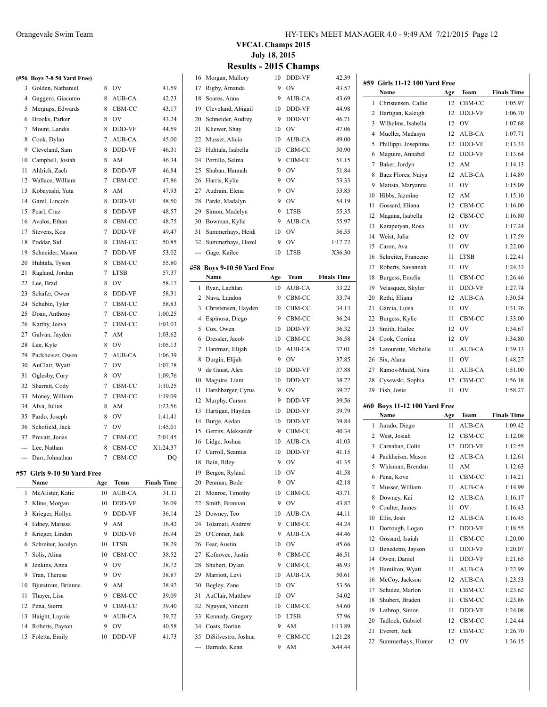|     | (#56 Boys 7-8 50 Yard Free) |                |             |          |
|-----|-----------------------------|----------------|-------------|----------|
| 3   | Golden, Nathaniel           | 8              | OV          | 41.59    |
| 4   | Gaggero, Giacomo            | 8              | AUB-CA      | 42.23    |
| 5   | Mergups, Edwards            | 8              | CBM-CC      | 43.17    |
| 6   | Brooks, Parker              | 8              | OV          | 43.24    |
| 7   | Mount, Landis               | 8              | DDD-VF      | 44.59    |
| 8   | Cook, Dylan                 | $\overline{7}$ | AUB-CA      | 45.00    |
| 9   | Cleveland, Sam              | 8              | DDD-VF      | 46.31    |
| 10  | Campbell, Josiah            | 8              | AM          | 46.34    |
| 11  | Aldrich, Zach               | 8              | DDD-VF      | 46.84    |
| 12  | Wallace, William            | 7              | CBM-CC      | 47.86    |
| 13  | Kobayashi, Yuta             | 8              | AM          | 47.93    |
| 14  | Garel, Lincoln              | 8              | DDD-VF      | 48.50    |
| 15  | Pearl, Cruz                 | 8              | DDD-VF      | 48.57    |
| 16  | Avalos, Ethan               | 8              | CBM-CC      | 48.75    |
| 17  | Stevens, Koa                | 7              | DDD-VF      | 49.47    |
| 18  | Poddar, Sid                 | 8              | CBM-CC      | 50.85    |
| 19  | Schneider, Mason            | 7              | DDD-VF      | 53.02    |
| 20  | Huhtala, Tyson              | 8              | CBM-CC      | 55.80    |
| 21  | Ragland, Jordan             | 7              | <b>LTSB</b> | 57.37    |
| 22  | Lee, Brad                   | 8              | OV          | 58.17    |
| 23  | Schafer, Owen               | 8              | DDD-VF      | 58.31    |
| 24  | Schubin, Tyler              | 7              | CBM-CC      | 58.83    |
| 25  | Doan, Anthony               | 7              | CBM-CC      | 1:00.25  |
| 26  | Karthy, Jeeva               | $\overline{7}$ | CBM-CC      | 1:03.03  |
| 27  | Galvan, Jayden              | $\overline{7}$ | AM          | 1:03.62  |
| 28  | Lee, Kyle                   | 8              | OV          | 1:05.13  |
| 29  | Packheiser, Owen            | 7              | AUB-CA      | 1:06.39  |
| 30  | AuClair, Wyatt              | 7              | OV          | 1:07.78  |
| 31  | Oglesby, Cory               | 8              | OV          | 1:09.76  |
| 32  | Sharratt, Cody              | $\overline{7}$ | CBM-CC      | 1:10.25  |
| 33  | Money, William              | 7              | CBM-CC      | 1:19.09  |
| 34  | Alva, Julius                | 8              | AM          | 1:23.56  |
| 35  | Pardo, Joseph               | 8              | OV          | 1:41.41  |
| 36  | Schofield, Jack             | 7              | OV          | 1:45.01  |
| 37  | Prevatt, Jonas              | 7              | CBM-CC      | 2:01.45  |
| --- | Lee, Nathan                 | 8              | CBM-CC      | X1:24.37 |
| --- | Darr, Johnathan             | 7              | CBM-CC      | DQ       |

#### **#57 Girls 9-10 50 Yard Free**

 $\overline{a}$ 

|              | Name               | Age | <b>Team</b>   | <b>Finals Time</b> |
|--------------|--------------------|-----|---------------|--------------------|
| $\mathbf{1}$ | McAlister, Katie   | 10  | AUB-CA        | 31.11              |
| 2            | Kline, Morgan      | 10  | <b>DDD-VF</b> | 36.09              |
| 3            | Krieger, Hollyn    | 9   | <b>DDD-VF</b> | 36.14              |
| 4            | Edney, Marissa     | 9   | AM            | 36.42              |
| 5            | Krieger, Linden    | 9   | <b>DDD-VF</b> | 36.94              |
| 6            | Schreiter, Jocelyn | 10  | <b>LTSB</b>   | 38.29              |
| 7            | Solis, Alina       | 10  | CBM-CC        | 38.52              |
| 8            | Jenkins, Anna      | 9   | OV            | 38.72              |
| 9            | Tran, Theresa      | 9   | OV            | 38.87              |
| 10           | Bjurstrom, Brianna | 9   | AM            | 38.92              |
| 11           | Thayer, Lisa       | 9   | CBM-CC        | 39.09              |
| 12           | Pena, Sierra       | 9   | CBM-CC        | 39.40              |
| 13           | Haight, Laynie     | 9   | <b>AUB-CA</b> | 39.72              |
| 14           | Roberts, Payton    | 9   | OV            | 40.58              |
| 15           | Foletta, Emily     | 10  | <b>DDD-VF</b> | 41.73              |

### **VFCAL Champs 2015 July 18, 2015**

| 16  | Morgan, Mallory            | 10  | DDD-VF      | 42.39              |
|-----|----------------------------|-----|-------------|--------------------|
| 17  | Rigby, Amanda              | 9   | OV          | 43.57              |
| 18  | Soares, Anna               | 9   | AUB-CA      | 43.69              |
| 19  | Cleveland, Abigail         | 10  | DDD-VF      | 44.98              |
| 20  | Schneider, Audrey          | 9   | DDD-VF      | 46.71              |
| 21  | Kliewer, Shay              | 10  | OV          | 47.06              |
| 22  | Musser, Alicia             | 10  | AUB-CA      | 49.00              |
| 23  | Huhtala, Isabella          | 10  | CBM-CC      | 50.90              |
|     | Portillo. Selma            |     |             |                    |
| 24  |                            | 9   | CBM-CC      | 51.15              |
| 25  | Shaban, Hannah             | 9   | OV          | 51.84              |
| 26  | Harris, Kylie              | 9   | OV          | 53.33              |
| 27  | Audrain, Elena             | 9   | OV          | 53.85              |
| 28  | Pardo, Madalyn             | 9   | OV          | 54.19              |
| 29  | Simon, Madelyn             | 9   | <b>LTSB</b> | 55.35              |
| 30  | Bowman, Kylie              | 9   | AUB-CA      | 55.97              |
| 31  | Summerhays, Heidi          | 10  | OV          | 56.55              |
| 32  | Summerhays, Hazel          | 9   | OV          | 1:17.72            |
| --- | Gage, Kailee               | 10  | LTSB        | X36.30             |
|     | #58 Bovs 9-10 50 Yard Free |     |             |                    |
|     | Name                       | Age | Team        | <b>Finals Time</b> |
| 1   | Ryan, Lachlan              | 10  | AUB-CA      | 33.22              |
| 2   | Nava, Landon               | 9   | CBM-CC      | 33.74              |
| 3   | Christensen, Hayden        | 10  | CBM-CC      | 34.13              |
| 4   | Espinosa, Diego            | 9   | CBM-CC      | 36.24              |
|     |                            | 10  | DDD-VF      | 36.32              |
| 5   | Cox, Owen                  |     |             |                    |
| 6   | Dressler, Jacob            | 10  | CBM-CC      | 36.58              |
| 7   | Hantman, Elijah            | 10  | AUB-CA      | 37.01              |
| 8   | Durgin, Elijah             | 9   | OV          | 37.85              |
| 9   | de Gaust, Alex             | 10  | DDD-VF      | 37.88              |
| 10  | Maguire, Liam              | 10  | DDD-VF      | 38.72              |
| 11  | Harshbarger, Cyrus         | 9   | OV          | 39.27              |
| 12  | Murphy, Carson             | 9   | DDD-VF      | 39.56              |
| 13  | Hartigan, Hayden           | 10  | DDD-VF      | 39.79              |
| 14  | Burge, Aedan               | 10  | DDD-VF      | 39.84              |
| 15  | Gerrits, Aleksandr         | 9   | CBM-CC      | 40.34              |
| 16  | Lidge, Joshua              | 10  | AUB-CA      | 41.03              |
| 17  | Carroll, Seamus            | 10  | DDD-VF      | 41.15              |
| 18  | Bain, Riley                | 9   | OV          | 41.35              |
| 19  | Bergen, Ryland             | 10  | OV          | 41.58              |
| 20  | Penman, Bode               | 9   | OV          | 42.18              |
| 21  | Monroe, Timothy            | 10  | CBM-CC      | 43.71              |
| 22  | Smith, Brennan             | 9   | OV          | 43.82              |
| 23  | Downey, Teo                | 10  | AUB-CA      | 44.11              |
| 24  | Tolamatl, Andrew           | 9   | CBM-CC      | 44.24              |
| 25  | O'Conner, Jack             | 9   | AUB-CA      | 44.46              |
| 26  | Fear, Austin               | 10  | OV          | 45.66              |
| 27  | Kofnovec, Justin           | 9   | CBM-CC      | 46.51              |
| 28  | Shubert, Dylan             | 9   | CBM-CC      | 46.93              |
| 29  | Marriott, Levi             | 10  | AUB-CA      | 50.61              |
| 30  | Begley, Zane               | 10  | OV          | 53.56              |
| 31  | AuClair, Matthew           | 10  | OV          | 54.02              |
| 32  | Nguyen, Vincent            | 10  | CBM-CC      | 54.60              |
| 33  | Kennedy, Gregory           | 10  | <b>LTSB</b> | 57.96              |
|     | 34 Coats, Dorian           | 9   | AM          | 1:13.89            |
| 35  | DiSilvestro, Joshua        | 9   | CBM-CC      | 1:21.28            |
|     | Barredo, Kean              | 9   | AM          | X44.44             |
| --- |                            |     |             |                    |
|     |                            |     |             |                    |

|          | #59 Girls 11-12 100 Yard Free        |          |                |                                                                                                                                                                              |
|----------|--------------------------------------|----------|----------------|------------------------------------------------------------------------------------------------------------------------------------------------------------------------------|
|          | Name                                 | Age      | <b>Team</b>    | <b>Finals Time</b>                                                                                                                                                           |
| 1        | Christensen, Callie                  | 12       | CBM-CC         | 1:05.97                                                                                                                                                                      |
| 2        | Hartigan, Kaleigh                    | 12       | DDD-VF         | 1:06.70                                                                                                                                                                      |
| 3        | Wilhelms, Isabella                   | 12       | OV             | 1:07.68                                                                                                                                                                      |
| 4        | Mueller, Madasyn                     | 12       | <b>AUB-CA</b>  | 1:07.71                                                                                                                                                                      |
| 5        | Phillippi, Josephina                 | 12       | DDD-VF         | 1:13.33                                                                                                                                                                      |
| 6        | Maguire, Annabel                     | 12       | DDD-VF         | 1:13.64                                                                                                                                                                      |
| 7        | Baker, Jordyn                        | 12       | AM             | 1:14.13                                                                                                                                                                      |
| 8        | Baez Flores, Naiya                   | 12       | AUB-CA         | 1:14.89                                                                                                                                                                      |
| 9        | Matista, Maryanna                    | 11       | OV             | 1:15.09                                                                                                                                                                      |
| 10       | Hibbs. Jazmine                       | 12       | AM             | 1:15.10                                                                                                                                                                      |
| 11       | Gossard, Eliana                      | 12       | CBM-CC         | 1:16.00                                                                                                                                                                      |
| 12       | Magana, Isabella                     | 12       | CBM-CC         | 1:16.80                                                                                                                                                                      |
| 13       | Karapetyan, Rosa                     | 11       | OV             | 1:17.24                                                                                                                                                                      |
| 14       | Weist, Julia                         | 12       | OV             | 1:17.59                                                                                                                                                                      |
| 15       | Caron, Ava                           | 11       | OV             | 1:22.00                                                                                                                                                                      |
| 16       | Schreiter, Francene                  | 11       | LTSB           | 1:22.41                                                                                                                                                                      |
| 17       | Roberts, Savannah                    | 11       | O <sub>V</sub> | 1:24.33                                                                                                                                                                      |
| 18       | Burgess, Emelia                      | 11       | CBM-CC         | 1:26.46                                                                                                                                                                      |
| 19       | Velasquez, Skyler                    | 11       | DDD-VF         | 1:27.74                                                                                                                                                                      |
| 20       | Rethi, Eliana                        | 12       | <b>AUB-CA</b>  | 1:30.54                                                                                                                                                                      |
| 21       | Garcia, Luisa                        | 11       | OV             | 1:31.76                                                                                                                                                                      |
| 22       | Burgess, Kylie                       | 11       | CBM-CC         | 1:33.00                                                                                                                                                                      |
| 23       | Smith, Hailee                        | 12       | OV             | 1:34.67                                                                                                                                                                      |
| 24       | Cook, Corrina                        | 12       | OV             | 1:34.80                                                                                                                                                                      |
| 25       | Latourette, Michelle                 | 11       | AUB-CA         | 1:39.13                                                                                                                                                                      |
| 26       | Six, Alana                           | 11       | OV             | 1:48.27                                                                                                                                                                      |
| 27       | Ramos-Mudd, Nina                     | 11       | AUB-CA         | 1:51.00                                                                                                                                                                      |
| 28       | Cysewski, Sophia                     | 12       | CBM-CC         | 1:56.18                                                                                                                                                                      |
| 29       | Fish, Josie                          | 11       | OV             | 1:58.27                                                                                                                                                                      |
|          |                                      |          |                |                                                                                                                                                                              |
|          | #60 Boys 11-12 100 Yard Free<br>Name | Age      | Team           | <b>Finals Time</b>                                                                                                                                                           |
| 1        | Jurado, Diego                        | 11       | <b>AUB-CA</b>  | 1:09.42                                                                                                                                                                      |
|          | 2 West, Josiah                       | 12       | CBM-CC         | 1:12.08                                                                                                                                                                      |
| 3        | Carnahan, Colin                      |          | DDD-VF         | 1:12.55                                                                                                                                                                      |
| 4        | Packheiser, Mason                    |          |                |                                                                                                                                                                              |
| 5        |                                      | 12       |                |                                                                                                                                                                              |
|          |                                      | 12       | AUB-CA         |                                                                                                                                                                              |
|          | Whisman, Brendan                     | 11       | AM             |                                                                                                                                                                              |
| 6        | Pena, Kove                           | 11       | CBM-CC         |                                                                                                                                                                              |
| 7        | Musser, William                      | 11       | AUB-CA         |                                                                                                                                                                              |
| 8        | Downey, Kai                          | 12       | AUB-CA         |                                                                                                                                                                              |
| 9        | Coulter, James                       | 11       | OV             |                                                                                                                                                                              |
| 10       | Ellis, Josh                          | 12       | AUB-CA         | 1:12.61<br>1:12.63<br>1:14.21                                                                                                                                                |
| 11       | Dorrough, Logan                      | 12       | DDD-VF         |                                                                                                                                                                              |
| 12       | Gossard, Isaiah                      | 11       | CBM-CC         |                                                                                                                                                                              |
| 13       | Benedetto, Jayson                    | 11       | DDD-VF         |                                                                                                                                                                              |
| 14       | Owen, Daniel                         | 11       | DDD-VF         |                                                                                                                                                                              |
| 15       | Hamilton, Wyatt                      | 11       | AUB-CA         |                                                                                                                                                                              |
| 16       | McCoy, Jackson                       | 12       | AUB-CA         |                                                                                                                                                                              |
| 17       | Schulze, Marlon                      | 11       | CBM-CC         |                                                                                                                                                                              |
| 18       | Shubert, Braden                      | 11       | CBM-CC         |                                                                                                                                                                              |
| 19       | Lathrop, Simon                       | 11       | DDD-VF         |                                                                                                                                                                              |
| 20       | Tadlock, Gabriel                     | 12       | CBM-CC         |                                                                                                                                                                              |
| 21<br>22 | Everett, Jack<br>Summerhays, Hunter  | 12<br>12 | CBM-CC<br>OV   | 1:14.99<br>1:16.17<br>1:16.43<br>1:16.45<br>1:18.55<br>1:20.00<br>1:20.07<br>1:21.65<br>1:22.99<br>1:23.53<br>1:23.62<br>1:23.86<br>1:24.08<br>1:24.44<br>1:26.70<br>1:36.15 |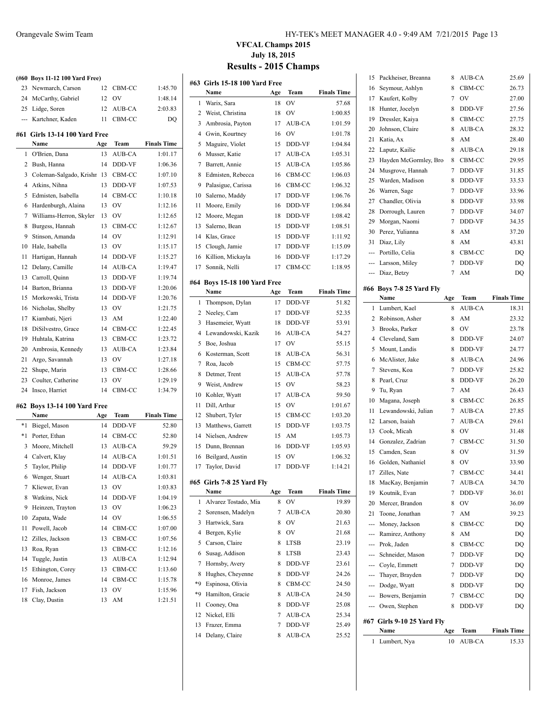|      | (#60 Boys 11-12 100 Yard Free)  |     |               |                    |
|------|---------------------------------|-----|---------------|--------------------|
| 23   | Newmarch, Carson                | 12  | CBM-CC        | 1:45.70            |
| 24   | McCarthy, Gabriel               | 12  | OV            | 1:48.14            |
| 25   | Lidge, Soren                    | 12  | AUB-CA        | 2:03.83            |
| ---  | Kartchner, Kaden                | 11  | CBM-CC        | DQ                 |
| #61  | Girls 13-14 100 Yard Free       |     |               |                    |
|      | Name                            | Age | Team          | <b>Finals Time</b> |
| 1    | O'Brien, Dana                   | 13  | AUB-CA        | 1:01.17            |
| 2    | Bush, Hanna                     | 14  | DDD-VF        | 1:06.36            |
| 3    | Coleman-Salgado, Krishr         | 13  | CBM-CC        | 1:07.10            |
| 4    | Atkins, Nihna                   | 13  | DDD-VF        | 1:07.53            |
| 5    | Edmisten, Isabella              | 14  | CBM-CC        | 1:10.18            |
| 6    | Hardenburgh, Alaina             | 13  | OV            | 1:12.16            |
| 7    | Williams-Herron, Skyler         | 13  | OV            | 1:12.65            |
| 8    | Burgess, Hannah                 | 13  | CBM-CC        | 1:12.67            |
| 9    | Stinson, Amanda                 | 14  | OV            | 1:12.91            |
| 10   | Hale, Isabella                  | 13  | OV            | 1:15.17            |
| 11   | Hartigan, Hannah                | 14  | DDD-VF        | 1:15.27            |
| 12   | Delany, Camille                 | 14  | AUB-CA        | 1:19.47            |
| 13   | Carroll, Quinn                  | 13  | DDD-VF        | 1:19.74            |
| 14   | Barton, Brianna                 | 13  | DDD-VF        | 1:20.06            |
| 15   | Morkowski, Trista               | 14  | DDD-VF        | 1:20.76            |
| 16   | Nicholas, Shelby                | 13  | OV            | 1:21.75            |
| 17   | Kiambati, Njeri                 | 13  | AM            | 1:22.40            |
| 18   | DiSilvestro, Grace              | 14  | CBM-CC        | 1:22.45            |
| 19   | Huhtala, Katrina                | 13  | CBM-CC        | 1:23.72            |
|      |                                 |     | AUB-CA        |                    |
|      |                                 |     |               |                    |
| 20   | Ambrosia, Kennedy               | 13  |               | 1:23.84            |
| 21   | Argo, Savannah                  | 13  | OV            | 1:27.18            |
| 22   | Shupe, Marin                    | 13  | CBM-CC        | 1:28.66            |
| 23   | Coulter, Catherine              | 13  | OV            | 1:29.19            |
| 24   | Insco, Harriet                  | 14  | CBM-CC        | 1:34.79            |
| #62  | <b>Boys 13-14 100 Yard Free</b> |     |               |                    |
|      | Name                            | Age | Team          | <b>Finals Time</b> |
| $*1$ | Biegel, Mason                   | 14  | DDD-VF        | 52.80              |
| *1   | Porter, Ethan                   | 14  | CBM-CC        | 52.80              |
| 3    | Moore, Mitchell                 | 13  | AUB-CA        | 59.29              |
| 4    | Calvert, Klay                   | 14  | AUB-CA        | 1:01.51            |
| 5    | Taylor, Philip                  | 14  | <b>DDD-VF</b> | 1:01.77            |
| 6    | Wenger, Stuart                  | 14  | AUB-CA        | 1:03.81            |
| 7    | Kliewer, Evan                   | 13  | OV            | 1:03.83            |
| 8    | Watkins, Nick                   | 14  | DDD-VF        | 1:04.19            |
| 9    | Heinzen, Trayton                | 13  | OV            | 1:06.23            |
| 10   | Zapata, Wade                    | 14  | OV            | 1:06.55            |
| 11   | Powell, Jacob                   | 14  | CBM-CC        | 1:07.00            |
| 12   | Zilles, Jackson                 | 13  | CBM-CC        | 1:07.56            |
| 13   | Roa, Ryan                       | 13  | CBM-CC        | 1:12.16            |
| 14   | Tuggle, Justin                  | 13  | AUB-CA        | 1:12.94            |
| 15   | Ethington, Corey                | 13  | CBM-CC        | 1:13.60            |
| 16   | Monroe, James                   | 14  | CBM-CC        | 1:15.78            |
| 17   | Fish, Jackson                   | 13  | OV            | 1:15.96            |
| 18   | Clay, Dustin                    | 13  | AM            | 1:21.51            |

#### Orangevale Swim Team HY-TEK's MEET MANAGER 4.0 - 9:49 AM 7/21/2015 Page 13

|                | #63   Girls 15-18 100 Yard Free<br>Name | Age | Team             | <b>Finals Time</b> |
|----------------|-----------------------------------------|-----|------------------|--------------------|
| 1              | Warix, Sara                             | 18  | OV               | 57.68              |
| 2              | Weist, Christina                        | 18  | OV               | 1:00.85            |
| 3              | Ambrosia, Payton                        | 17  | AUB-CA           | 1:01.59            |
| $\overline{4}$ | Gwin, Kourtney                          | 16  | OV               | 1:01.78            |
| 5              | Maguire, Violet                         | 15  | DDD-VF           | 1:04.84            |
| 6              | Musser, Katie                           | 17  | AUB-CA           | 1:05.31            |
| 7              | Barrett, Annie                          | 15  | AUB-CA           | 1:05.86            |
| 8              | Edmisten, Rebecca                       | 16  |                  | 1:06.03            |
| 9              | Palasigue, Carissa                      | 16  | CBM-CC<br>CBM-CC | 1:06.32            |
|                | Salerno, Maddy                          |     | DDD-VF           |                    |
| 10             |                                         | 17  |                  | 1:06.76            |
| 11             | Moore, Emily                            | 16  | DDD-VF           | 1:06.84            |
| 12             | Moore, Megan                            | 18  | DDD-VF           | 1:08.42            |
| 13             | Salerno, Bean                           | 15  | DDD-VF           | 1:08.51            |
| 14             | Klas, Grace                             | 15  | DDD-VF           | 1:11.92            |
| 15             | Clough, Jamie                           | 17  | DDD-VF           | 1:15.09            |
| 16             | Killion, Mickayla                       | 16  | DDD-VF           | 1:17.29            |
| 17             | Sonnik, Nelli                           | 17  | CBM-CC           | 1:18.95            |
|                | #64 Boys 15-18 100 Yard Free            |     |                  |                    |
|                | Name                                    | Age | Team             | <b>Finals Time</b> |
| 1              | Thompson, Dylan                         | 17  | DDD-VF           | 51.82              |
| 2              | Neeley, Cam                             | 17  | DDD-VF           | 52.35              |
| 3              | Hasemeier, Wyatt                        | 18  | DDD-VF           | 53.91              |
| $\overline{4}$ | Lewandowski, Kazik                      | 16  | AUB-CA           | 54.27              |
| 5              | Boe, Joshua                             | 17  | OV               | 55.15              |
| 6              | Kosterman, Scott                        | 18  | AUB-CA           | 56.31              |
| 7              | Roa, Jacob                              | 15  | CBM-CC           | 57.75              |
| 8              | Detmer, Trent                           | 15  | <b>AUB-CA</b>    | 57.78              |
| 9              | Weist, Andrew                           | 15  | OV               | 58.23              |
| 10             | Kohler, Wyatt                           | 17  | AUB-CA           | 59.50              |
| 11             | Dill, Arthur                            | 15  | OV               | 1:01.67            |
| 12             | Shubert, Tyler                          | 15  | CBM-CC           | 1:03.20            |
| 13             | Matthews, Garrett                       | 15  | DDD-VF           | 1:03.75            |
| 14             | Nielsen, Andrew                         | 15  | AM               | 1:05.73            |
| 15             | Dunn, Brennan                           | 16  | DDD-VF           | 1:05.93            |
| 16             | Beilgard, Austin                        | 15  | OV               | 1:06.32            |
| 17             | Taylor, David                           | 17  | <b>DDD-VF</b>    | 1:14.21            |
|                |                                         |     |                  |                    |
|                | #65 Girls 7-8 25 Yard Fly               |     |                  |                    |
|                | Name                                    | Age | Team             | <b>Finals Time</b> |
| 1              | Alvarez Tostado, Mia                    | 8   | OV               | 19.89              |
| 2              | Sorensen, Madelyn                       | 7   | AUB-CA           | 20.80              |
| 3              | Hartwick, Sara                          | 8   | OV               | 21.63              |
| 4              | Bergen, Kylie                           | 8   | OV               | 21.68              |
| 5              | Carson, Claire                          | 8   | <b>LTSB</b>      | 23.19              |
| 6              | Susag, Addison                          | 8   | LTSB             | 23.43              |
| 7              | Hornsby, Avery                          | 8   | DDD-VF           | 23.61              |
| 8              | Hughes, Cheyenne                        | 8   | DDD-VF           | 24.26              |
| *9             | Espinosa, Olivia                        | 8   | CBM-CC           | 24.50              |
| *9             | Hamilton, Gracie                        | 8   | AUB-CA           | 24.50              |
| 11             | Cooney, Ona                             | 8   | DDD-VF           | 25.08              |
| 12             | Nickel, Elli                            | 7   | AUB-CA           | 25.34              |
| 13             | Frazer, Emma                            | 7   | DDD-VF           | 25.49              |
| 14             | Delany, Claire                          | 8   | AUB-CA           | 25.52              |

|        | Name                       | Age            | Team   | <b>Finals Time</b> |
|--------|----------------------------|----------------|--------|--------------------|
|        |                            |                |        |                    |
|        | #67 Girls 9-10 25 Yard Fly |                |        |                    |
| ---    | Owen, Stephen              | 8              | DDD-VF | DQ                 |
|        | --- Bowers, Benjamin       | 7              | CBM-CC | DQ                 |
|        | --- Dodge, Wyatt           | 8              | DDD-VF | DQ                 |
| ---    | Thayer, Brayden            | 7              | DDD-VF | DQ                 |
|        | Coyle, Emmett              | 7              | DDD-VF | DQ                 |
| $---$  | Schneider, Mason           | 7              | DDD-VF | DQ                 |
|        | Prok. Jaden                | 8              | CBM-CC | DQ                 |
|        | Ramirez, Anthony           | 8              | AM     | DQ                 |
| ---    | Money, Jackson             | 8              | CBM-CC | DQ                 |
| 21     | Toone, Jonathan            | 7              | AM     | 39.23              |
| 20     | Mercer, Brandon            | 8              | OV     | 36.09              |
| 19     | Koutnik, Evan              | 7              | DDD-VF | 36.01              |
| 18     | MacKay, Benjamin           | 7              | AUB-CA | 34.70              |
| 17     | Zilles, Nate               | $\overline{7}$ | CBM-CC | 34.41              |
| 16     | Golden, Nathaniel          | 8              | OV     | 33.90              |
| 15     | Camden, Sean               | 8              | OV     | 31.59              |
| 14     | Gonzalez, Zadrian          | 7              | CBM-CC | 31.50              |
| 13     | Cook, Micah                | 8              | OV     | 31.48              |
| 12     | Larson, Isaiah             | 7              | AUB-CA | 29.61              |
| 11     | Lewandowski, Julian        | 7              | AUB-CA | 27.85              |
| 10     | Magana, Joseph             | 8              | CBM-CC | 26.85              |
| 9      | Tu, Ryan                   | 7              | AM     | 26.43              |
| 8      | Pearl, Cruz                | 8              | DDD-VF | 26.20              |
| 7      | Stevens, Koa               | 7              | DDD-VF | 25.82              |
| 6      | McAlister, Jake            | 8              | AUB-CA | 24.96              |
| 5      | Mount, Landis              | 8              | DDD-VF | 24.77              |
|        | Cleveland, Sam             | 8              | DDD-VF | 24.07              |
| 3<br>4 | Brooks, Parker             | 8              | OV     | 23.78              |
| 2      | Robinson, Asher            | 8              | AM     | 23.32              |
| 1      | Lumbert, Kael              | 8              | AUB-CA | 18.31              |
|        | Name                       | Age            | Team   | <b>Finals Time</b> |
|        | #66 Boys 7-8 25 Yard Fly   |                |        |                    |
|        |                            |                |        |                    |
|        | --- Diaz, Betzy            | 7              | AM     | DQ                 |
|        | --- Larsson, Miley         | 7              | DDD-VF | DQ                 |
|        | --- Portillo, Celia        | 8              | CBM-CC | DO                 |
| 31     | Diaz, Lily                 | 8              | AM     | 43.81              |
| 30     | Perez, Yulianna            | 8              | AM     | 37.20              |
| 29     | Morgan, Naomi              | 7              | DDD-VF | 34.35              |
| 28     | Dorrough, Lauren           | 7              | DDD-VF | 34.07              |
| 27     | Chandler, Olivia           | 8              | DDD-VF | 33.98              |
| 26     | Warren, Sage               | 7              | DDD-VF | 33.96              |
| 25     | Warden, Madison            | 8              | DDD-VF | 33.53              |
| 24     | Musgrove, Hannah           | 7              | DDD-VF | 31.85              |
| 23     | Hayden McGormley, Bro      | 8              | CBM-CC | 29.95              |
| 22     | Laputz, Kailie             | 8              | AUB-CA | 29.18              |
| 21     | Katia, Ax                  | 8              | AM     | 28.40              |
| 20     | Johnson, Claire            | 8              | AUB-CA | 28.32              |
| 19     | Dressler, Kaiya            | 8              | CBM-CC | 27.75              |
| 18     | Hunter, Jocelyn            | 8              | DDD-VF | 27.56              |
| 17     | Kaufert, Kolby             | $\overline{7}$ | OV     | 27.00              |
| 16     | Seymour, Ashlyn            | 8              | CBM-CC | 26.73              |
| 15     | Packheiser, Breanna        | 8              | AUB-CA | 25.69              |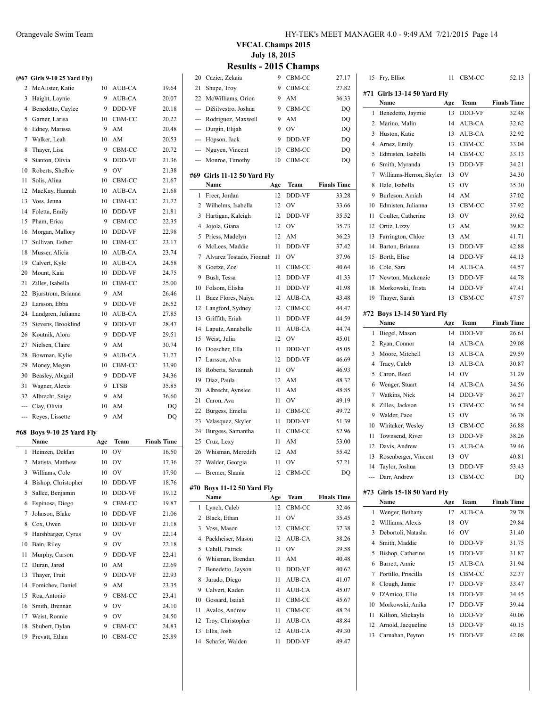|    | (#67 Girls 9-10 25 Yard Fly) |    |               |       |
|----|------------------------------|----|---------------|-------|
|    | 2 McAlister, Katie           | 10 | AUB-CA        | 19.64 |
| 3  | Haight, Laynie               | 9  | AUB-CA        | 20.07 |
| 4  | Benedetto, Caylee            | 9  | <b>DDD-VF</b> | 20.18 |
| 5  | Garner, Larisa               | 10 | CBM-CC        | 20.22 |
| 6  | Edney, Marissa               | 9  | AM            | 20.48 |
| 7  | Walker, Leah                 | 10 | AM            | 20.53 |
| 8  | Thayer, Lisa                 | 9  | CBM-CC        | 20.72 |
| 9  | Stanton, Olivia              | 9  | <b>DDD-VF</b> | 21.36 |
| 10 | Roberts, Shelbie             | 9  | OV            | 21.38 |
| 11 | Solis, Alina                 | 10 | CBM-CC        | 21.67 |
| 12 | MacKay, Hannah               | 10 | AUB-CA        | 21.68 |
| 13 | Voss, Jenna                  | 10 | CBM-CC        | 21.72 |
| 14 | Foletta, Emily               | 10 | DDD-VF        | 21.81 |
| 15 | Pham, Erica                  | 9  | CBM-CC        | 22.35 |
|    | 16 Moroan Mallory            | 10 | DDD-VF        | 22.98 |

 $\overline{\phantom{0}}$ 

 $\overline{\phantom{a}}$ 

| 14  | Foletta, Emily     | 10 | DDD-VF      | 21.81 |
|-----|--------------------|----|-------------|-------|
| 15  | Pham, Erica        | 9  | CBM-CC      | 22.35 |
| 16  | Morgan, Mallory    | 10 | DDD-VF      | 22.98 |
| 17  | Sullivan, Esther   | 10 | CBM-CC      | 23.17 |
| 18  | Musser, Alicia     | 10 | AUB-CA      | 23.74 |
| 19  | Calvert, Kyle      | 10 | AUB-CA      | 24.58 |
| 20  | Mount, Kaia        | 10 | DDD-VF      | 24.75 |
| 21  | Zilles, Isabella   | 10 | CBM-CC      | 25.00 |
| 22  | Bjurstrom, Brianna | 9  | AM          | 26.46 |
| 23  | Larsson, Ebba      | 9  | DDD-VF      | 26.52 |
| 24  | Landgren, Julianne | 10 | AUB-CA      | 27.85 |
| 25  | Stevens, Brooklind | 9  | DDD-VF      | 28.47 |
| 26  | Koutnik, Alora     | 9  | DDD-VF      | 29.51 |
| 27  | Nielsen, Claire    | 9  | AM          | 30.74 |
| 28  | Bowman, Kylie      | 9  | AUB-CA      | 31.27 |
| 29  | Money, Megan       | 10 | CBM-CC      | 33.90 |
| 30  | Beasley, Abigail   | 9  | DDD-VF      | 34.36 |
| 31  | Wagner, Alexis     | 9  | <b>LTSB</b> | 35.85 |
| 32  | Albrecht, Saige    | 9  | AM          | 36.60 |
| --- | Clay, Olivia       | 10 | AM          | DQ    |

#### **#68 Boys 9-10 25 Yard Fly**

|    | Name                | Age | Team           | <b>Finals Time</b> |
|----|---------------------|-----|----------------|--------------------|
| 1  | Heinzen, Deklan     | 10  | OV             | 16.50              |
| 2  | Matista, Matthew    | 10  | OV             | 17.36              |
| 3  | Williams, Cole      | 10  | OV             | 17.90              |
| 4  | Bishop, Christopher | 10  | <b>DDD-VF</b>  | 18.76              |
| 5  | Sallee, Benjamin    | 10  | DDD-VF         | 19.12              |
| 6  | Espinosa, Diego     | 9   | CBM-CC         | 19.87              |
| 7  | Johnson, Blake      | 10  | DDD-VF         | 21.06              |
| 8  | Cox, Owen           | 10  | DDD-VF         | 21.18              |
| 9  | Harshbarger, Cyrus  | 9   | OV             | 22.14              |
| 10 | Bain, Riley         | 9   | O <sub>V</sub> | 22.18              |
| 11 | Murphy, Carson      | 9   | DDD-VF         | 22.41              |
| 12 | Duran, Jared        | 10  | AM             | 22.69              |
| 13 | Thayer, Truit       | 9   | DDD-VF         | 22.93              |
| 14 | Fomichev, Daniel    | 9   | AM             | 23.35              |
| 15 | Roa, Antonio        | 9   | CBM-CC         | 23.41              |
| 16 | Smith, Brennan      | 9   | OV             | 24.10              |
| 17 | Weist, Ronnie       | 9   | OV             | 24.50              |
| 18 | Shubert, Dylan      | 9   | CBM-CC         | 24.83              |
| 19 | Prevatt, Ethan      | 10  | CBM-CC         | 25.89              |
|    |                     |     |                |                    |

--- Reyes, Lissette 9 AM DQ

**VFCAL Champs 2015 July 18, 2015**

| 20  | Cazier, Zekaia                | 9   | CBM-CC    | 27.17              |
|-----|-------------------------------|-----|-----------|--------------------|
| 21  | Shupe, Troy                   | 9   | CBM-CC    | 27.82              |
| 22  | McWilliams, Orion             | 9   | AM        | 36.33              |
| --- | DiSilvestro, Joshua           | 9   | CBM-CC    | DQ                 |
|     | --- Rodriguez, Maxwell        | 9   | AM        | DQ                 |
|     | --- Durgin, Elijah            | 9   | OV        | DQ                 |
| --- | Hopson, Jack                  | 9   | DDD-VF    | DQ                 |
| --- | Nguyen, Vincent               | 10  | CBM-CC    | DQ                 |
| --- | Monroe, Timothy               | 10  | CBM-CC    | DQ                 |
|     |                               |     |           |                    |
|     | #69 Girls 11-12 50 Yard Fly   |     |           |                    |
|     | Name                          | Age | Team      | <b>Finals Time</b> |
| 1   | Freer, Jordan                 | 12  | DDD-VF    | 33.28              |
| 2   | Wilhelms, Isabella            | 12  | OV        | 33.66              |
| 3   | Hartigan, Kaleigh             | 12  | DDD-VF    | 35.52              |
| 4   | Jojola, Giana                 | 12  | OV        | 35.73              |
| 5   | Priess, Madelyn               | 12  | AM        | 36.23              |
| 6   | McLees, Maddie                | 11  | DDD-VF    | 37.42              |
| 7   | Alvarez Tostado, Fionnah      | 11  | OV        | 37.96              |
| 8   | Goetze, Zoe                   | 11  | CBM-CC    | 40.64              |
| 9   | Bush, Tessa                   | 12  | DDD-VF    | 41.33              |
| 10  | Folsom, Elisha                | 11  | DDD-VF    | 41.98              |
| 11  | Baez Flores, Naiya            | 12  | AUB-CA    | 43.48              |
| 12  | Langford, Sydney              | 12  | CBM-CC    | 44.47              |
| 13  | Griffith, Eriah               | 11  | DDD-VF    | 44.59              |
| 14  | Laputz, Annabelle             | 11  | AUB-CA    | 44.74              |
| 15  | Weist, Julia                  | 12  | OV        | 45.01              |
| 16  | Doescher, Ella                | 11  | DDD-VF    | 45.05              |
| 17  | Larsson, Alva                 | 12  | DDD-VF    | 46.69              |
| 18  | Roberts, Savannah             | 11  | OV        | 46.93              |
| 19  | Diaz, Paula                   | 12  | AM        | 48.32              |
| 20  | Albrecht, Aynslee             | 11  | AM        | 48.85              |
| 21  | Caron, Ava                    | 11  | OV        | 49.19              |
| 22  | Burgess, Emelia               | 11  | CBM-CC    | 49.72              |
| 23  | Velasquez, Skyler             | 11  | DDD-VF    | 51.39              |
| 24  | Burgess, Samantha             | 11  | CBM-CC    | 52.96              |
| 25  | Cruz, Lexy                    | 11  | AM        | 53.00              |
| 26  | Whisman, Meredith             | 12  | AM        | 55.42              |
| 27  | Walder, Georgia               | 11  | OV        | 57.21              |
|     | Bremer, Shania                |     | 12 CBM-CC | DQ                 |
| #70 | <b>Boys 11-12 50 Yard Fly</b> |     |           |                    |
|     | Name                          | Age | Team      | <b>Finals Time</b> |
| 1   | Lynch, Caleb                  | 12  | CBM-CC    | 32.46              |
| 2   | Black, Ethan                  | 11  | OV        | 35.45              |
| 3   | Voss, Mason                   | 12  | CBM-CC    | 37.38              |
| 4   | Packheiser, Mason             | 12  | AUB-CA    | 38.26              |
| 5   | Cahill, Patrick               | 11  | OV        | 39.58              |
| 6   | Whisman, Brendan              | 11  | AM        | 40.48              |
| 7   | Benedetto, Jayson             | 11  | DDD-VF    | 40.62              |
| 8   | Jurado, Diego                 | 11  | AUB-CA    | 41.07              |
| 9   | Calvert, Kaden                | 11  | AUB-CA    | 45.07              |
| 10  | Gossard, Isaiah               | 11  | CBM-CC    | 45.67              |
| 11  | Avalos, Andrew                | 11  | CBM-CC    | 48.24              |
| 12  | Troy, Christopher             | 11  | AUB-CA    |                    |
|     | Ellis, Josh                   | 12  |           | 48.84              |
| 13  |                               |     | AUB-CA    | 49.30              |
| 14  | Schafer, Walden               | 11  | DDD-VF    | 49.47              |
|     |                               |     |           |                    |

| 15  | Fry, Elliot                 | 11  | CBM-CC         | 52.13              |  |  |  |  |
|-----|-----------------------------|-----|----------------|--------------------|--|--|--|--|
|     | #71 Girls 13-14 50 Yard Fly |     |                |                    |  |  |  |  |
|     | Name                        | Age | Team           | <b>Finals Time</b> |  |  |  |  |
| 1   | Benedetto, Jaymie           | 13  | DDD-VF         | 32.48              |  |  |  |  |
| 2   | Marino, Malin               | 14  | AUB-CA         | 32.62              |  |  |  |  |
| 3   | Huston, Katie               | 13  | <b>AUB-CA</b>  | 32.92              |  |  |  |  |
| 4   | Arnez, Emily                | 13  | CBM-CC         | 33.04              |  |  |  |  |
| 5   | Edmisten, Isabella          | 14  | CBM-CC         | 33.13              |  |  |  |  |
| 6   | Smith, Myranda              | 13  | DDD-VF         | 34.21              |  |  |  |  |
| 7   | Williams-Herron, Skyler     | 13  | O <sub>V</sub> | 34.30              |  |  |  |  |
| 8   | Hale, Isabella              | 13  | OV             | 35.30              |  |  |  |  |
| 9   | Burleson, Amiah             | 14  | AM             | 37.02              |  |  |  |  |
| 10  | Edmisten, Julianna          | 13  | CBM-CC         | 37.92              |  |  |  |  |
| 11  | Coulter, Catherine          | 13  | OV             | 39.62              |  |  |  |  |
| 12  | Ortiz, Lizzy                | 13  | AM             | 39.82              |  |  |  |  |
| 13  | Farrington, Chloe           | 13  | AM             | 41.71              |  |  |  |  |
| 14  | Barton, Brianna             | 13  | DDD-VF         | 42.88              |  |  |  |  |
| 15  | Borth, Elise                | 14  | DDD-VF         | 44.13              |  |  |  |  |
| 16  | Cole, Sara                  | 14  | <b>AUB-CA</b>  | 44.57              |  |  |  |  |
| 17  | Newton, Mackenzie           | 13  | DDD-VF         | 44.78              |  |  |  |  |
| 18  | Morkowski, Trista           | 14  | DDD-VF         | 47.41              |  |  |  |  |
| 19  | Thayer, Sarah               | 13  | CBM-CC         | 47.57              |  |  |  |  |
|     | #72 Boys 13-14 50 Yard Fly  |     |                |                    |  |  |  |  |
|     | Name                        | Age | Team           | <b>Finals Time</b> |  |  |  |  |
| 1   | Biegel, Mason               | 14  | DDD-VF         | 26.61              |  |  |  |  |
| 2   | Ryan, Connor                | 14  | AUB-CA         | 29.08              |  |  |  |  |
| 3   | Moore, Mitchell             | 13  | AUB-CA         | 29.59              |  |  |  |  |
| 4   | Tracy, Caleb                | 13  | AUB-CA         | 30.87              |  |  |  |  |
| 5   | Caron, Reed                 | 14  | OV             | 31.29              |  |  |  |  |
| 6   | Wenger, Stuart              | 14  | AUB-CA         | 34.56              |  |  |  |  |
| 7   | Watkins, Nick               | 14  | DDD-VF         | 36.27              |  |  |  |  |
| 8   | Zilles, Jackson             | 13  | CBM-CC         | 36.54              |  |  |  |  |
| 9   | Walder, Pace                | 13  | OV             | 36.78              |  |  |  |  |
| 10  | Whitaker, Wesley            | 13  | CBM-CC         | 36.88              |  |  |  |  |
| 11  | Townsend, River             | 13  | DDD-VF         | 38.26              |  |  |  |  |
| 12  | Davis, Andrew               | 13  | AUB-CA         | 39.46              |  |  |  |  |
| 13  | Rosenberger, Vincent        | 13  | OV             | 40.81              |  |  |  |  |
| 14  | Taylor, Joshua              | 13  | DDD-VF         | 53.43              |  |  |  |  |
| --- | Darr, Andrew                | 13  | CBM-CC         | DQ                 |  |  |  |  |
|     | #73 Girls 15-18 50 Yard Fly |     |                |                    |  |  |  |  |
|     | Name                        | Age | Team           | <b>Finals Time</b> |  |  |  |  |
| 1   | Wenger, Bethany             | 17  | AUB-CA         | 29.78              |  |  |  |  |
| 2   | Williams, Alexis            | 18  | OV             | 29.84              |  |  |  |  |
| 3   | Debortoli, Natasha          | 16  | OV             | 31.40              |  |  |  |  |
| 4   | Smith, Maddie               | 16  | DDD-VF         | 31.75              |  |  |  |  |
| 5   | Bishop, Catherine           | 15  | DDD-VF         | 31.87              |  |  |  |  |
| 6   | Barrett, Annie              | 15  | AUB-CA         | 31.94              |  |  |  |  |
| 7   | Portillo, Priscilla         | 18  | CBM-CC         | 32.37              |  |  |  |  |
| 8   | Clough, Jamie               | 17  | DDD-VF         | 33.47              |  |  |  |  |
| 9   | D'Amico, Ellie              | 18  | DDD-VF         | 34.45              |  |  |  |  |
| 10  | Morkowski, Anika            | 17  | DDD-VF         | 39.44              |  |  |  |  |
| 11  | Killion, Mickayla           | 16  | DDD-VF         | 40.06              |  |  |  |  |
| 12  | Arnold, Jacqueline          | 15  | DDD-VF         | 40.15              |  |  |  |  |
| 13  | Carnahan, Peyton            | 15  | DDD-VF         | 42.08              |  |  |  |  |
|     |                             |     |                |                    |  |  |  |  |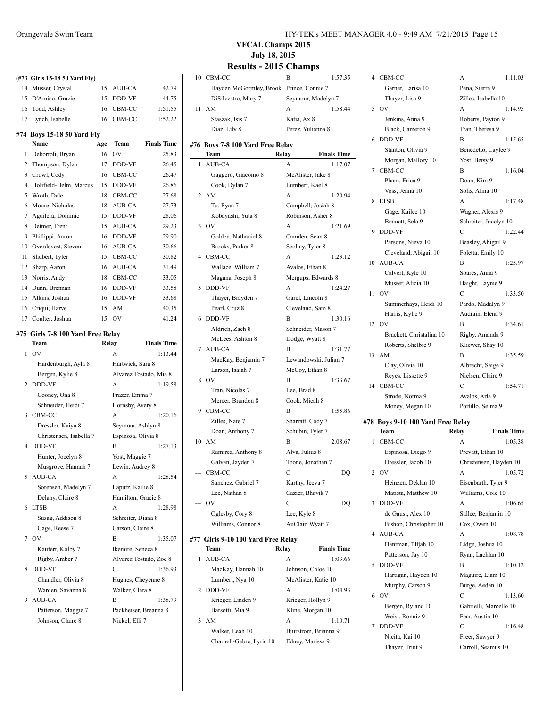|    |                                           |     |                    |                               | V Г САН Спашрэ 2015<br><b>July 18, 2015</b> |                                          |                |                     |
|----|-------------------------------------------|-----|--------------------|-------------------------------|---------------------------------------------|------------------------------------------|----------------|---------------------|
|    |                                           |     |                    |                               |                                             | <b>Results - 2015 Champs</b>             |                |                     |
|    | (#73 Girls 15-18 50 Yard Fly)             |     |                    |                               |                                             | 10 CBM-CC                                | B              | 1:5                 |
|    | 14 Musser, Crystal                        | 15  | AUB-CA             | 42.79                         |                                             | Hayden McGormley, Brook Prince, Connie 7 |                |                     |
|    | 15 D'Amico, Gracie                        | 15  | DDD-VF             | 44.75                         |                                             | DiSilvestro, Mary 7                      |                | Seymour, Madelyn 7  |
|    | 16 Todd, Ashley                           | 16  | CBM-CC             | 1:51.55                       |                                             | 11 AM                                    | A              | 1:5                 |
|    | 17 Lynch, Isabelle                        |     | 16 CBM-CC          | 1:52.22                       |                                             | Staszak, Isis 7                          | Katia, Ax 8    |                     |
|    | #74 Boys 15-18 50 Yard Fly                |     |                    |                               |                                             | Diaz, Lily 8                             |                | Perez, Yulianna 8   |
|    | Name                                      | Age | Team               | <b>Finals Time</b>            |                                             | #76 Boys 7-8 100 Yard Free Relay         |                |                     |
|    | 1 Debortoli, Bryan                        | 16  | OV                 | 25.83                         |                                             | Team                                     | Relay          | Finals <sub>1</sub> |
|    | 2 Thompson, Dylan                         |     | 17 DDD-VF          | 26.45                         |                                             | 1 AUB-CA                                 | A              | 1:1                 |
|    | 3 Crowl, Cody                             | 16  | CBM-CC             | 26.47                         |                                             | Gaggero, Giacomo 8                       |                | McAlister, Jake 8   |
|    | 4 Holifield-Helm, Marcus                  | 15  | DDD-VF             | 26.86                         |                                             | Cook, Dylan 7                            |                | Lumbert, Kael 8     |
| 5  | Wroth, Dale                               | 18  | CBM-CC             | 27.68                         |                                             | 2 AM                                     | A              | 1:2                 |
| 6  | Moore, Nicholas                           | 18  | AUB-CA             | 27.73                         |                                             | Tu, Ryan 7                               |                | Campbell, Josiah 8  |
| 7  | Aguilera, Dominic                         | 15  | DDD-VF             | 28.06                         |                                             | Kobayashi, Yuta 8                        |                | Robinson, Asher 8   |
| 8  | Detmer, Trent                             | 15  | AUB-CA             | 29.23                         |                                             | 3 OV                                     | A              | 1:2                 |
| 9  | Phillippi, Aaron                          | 16  | DDD-VF             | 29.90                         |                                             | Golden, Nathaniel 8                      |                | Camden, Sean 8      |
| 10 | Overdevest, Steven                        | 16  | AUB-CA             | 30.66                         |                                             | Brooks, Parker 8                         |                | Scollay, Tyler 8    |
| 11 | Shubert, Tyler                            | 15  | CBM-CC             | 30.82                         |                                             | 4 CBM-CC                                 | A              | 1:2                 |
| 12 | Sharp, Aaron                              | 16  | AUB-CA             | 31.49                         |                                             | Wallace, William 7                       |                | Avalos, Ethan 8     |
|    | 13 Norris, Andy                           | 18  | CBM-CC             | 33.05                         |                                             | Magana, Joseph 8                         |                | Mergups, Edwards 8  |
| 14 | Dunn, Brennan                             | 16  | DDD-VF             | 33.58                         |                                             | 5 DDD-VF                                 | A              | 1:2                 |
| 15 | Atkins, Joshua                            | 16  | DDD-VF             | 33.68                         |                                             | Thayer, Brayden 7                        |                | Garel, Lincoln 8    |
| 16 | Criqui, Harve                             | 15  | AM                 | 40.35                         |                                             | Pearl, Cruz 8                            |                | Cleveland, Sam 8    |
|    | 17 Coulter, Joshua                        |     | 15 OV              | 41.24                         |                                             | 6 DDD-VF                                 | B              | 1:3                 |
|    |                                           |     |                    |                               |                                             | Aldrich, Zach 8                          |                | Schneider, Mason 7  |
|    | #75 Girls 7-8 100 Yard Free Relay<br>Team |     |                    |                               |                                             | McLees, Ashton 8                         |                | Dodge, Wyatt 8      |
|    | $1$ OV                                    |     | Relay<br>A         | <b>Finals Time</b><br>1:13.44 |                                             | 7 AUB-CA                                 | B              | 1:3                 |
|    | Hardenburgh, Ayla 8                       |     | Hartwick, Sara 8   |                               |                                             | MacKay, Benjamin 7                       |                | Lewandowski, Julian |
|    | Bergen, Kylie 8                           |     |                    | Alvarez Tostado, Mia 8        |                                             | Larson, Isaiah 7                         |                | McCoy, Ethan 8      |
|    | 2 DDD-VF                                  |     | A                  | 1:19.58                       |                                             | 8 OV                                     | B              | 1:3                 |
|    | Cooney, Ona 8                             |     | Frazer, Emma 7     |                               |                                             | Tran, Nicolas 7                          | Lee, Brad 8    |                     |
|    | Schneider, Heidi 7                        |     | Hornsby, Avery 8   |                               |                                             | Mercer, Brandon 8                        | Cook, Micah 8  |                     |
|    | 3 CBM-CC                                  |     | A                  | 1:20.16                       |                                             | 9 CBM-CC                                 | B              | 1:5                 |
|    | Dressler, Kaiya 8                         |     | Seymour, Ashlyn 8  |                               |                                             | Zilles, Nate 7                           |                | Sharratt, Cody 7    |
|    | Christensen, Isabella 7                   |     | Espinosa, Olivia 8 |                               |                                             | Doan, Anthony 7                          |                | Schubin, Tyler 7    |
|    | 4 DDD-VF                                  |     | B                  | 1:27.13                       |                                             | 10 AM                                    | B              | 2:0                 |
|    | Hunter, Jocelyn 8                         |     | Yost, Maggie 7     |                               |                                             | Ramirez, Anthony 8                       | Alva, Julius 8 |                     |
|    |                                           |     |                    |                               |                                             |                                          |                |                     |

#### Musgrove, Hannah 7 Lewin, Audrey 8 5 AUB-CA A 1:28.54 Sorensen, Madelyn 7 Laputz, Kailie 8 Delany, Claire 8 Hamilton, Gracie 8 6 LTSB A 1:28.98 Susag, Addison 8 Schreiter, Diana 8 Gage, Reese 7 Carson, Claire 8 7 OV B 1:35.07 Kaufert, Kolby 7 Ikemire, Seneca 8 Rigby, Amber 7 Alvarez Tostado, Zoe 8 8 DDD-VF C 1:36.93 Chandler, Olivia 8 Hughes, Cheyenne 8

Warden, Savanna 8 Walker, Clara 8 9 AUB-CA B 1:38.79 Patterson, Maggie 7 Packheiser, Breanna 8 Johnson, Claire 8 Nickel, Elli 7

# **VFCAL Champs 2015**

|    | <b>Results - 2015 Champs</b>        |                       |                    |
|----|-------------------------------------|-----------------------|--------------------|
|    | 10 CBM-CC                           | B                     | 1:57.35            |
|    | Hayden McGormley, Brook             | Prince, Connie 7      |                    |
|    | DiSilvestro, Mary 7                 | Seymour, Madelyn 7    |                    |
| 11 | AM                                  | A                     | 1:58.44            |
|    | Staszak, Isis 7                     | Katia, Ax 8           |                    |
|    | Diaz, Lily 8                        | Perez, Yulianna 8     |                    |
|    |                                     |                       |                    |
|    | #76  Boys 7-8 100 Yard Free Relay   |                       |                    |
|    | Team                                | Relay                 | <b>Finals Time</b> |
| 1  | AUB-CA                              | A                     | 1:17.07            |
|    | Gaggero, Giacomo 8                  | McAlister, Jake 8     |                    |
|    | Cook, Dylan 7                       | Lumbert, Kael 8       |                    |
| 2  | AM                                  | A                     | 1:20.94            |
|    | Tu, Ryan 7                          | Campbell, Josiah 8    |                    |
|    | Kobayashi, Yuta 8                   | Robinson, Asher 8     |                    |
| 3  | OV                                  | A                     | 1:21.69            |
|    | Golden, Nathaniel 8                 | Camden, Sean 8        |                    |
|    | Brooks, Parker 8                    | Scollay, Tyler 8      |                    |
| 4  | CBM-CC                              | A                     | 1:23.12            |
|    | Wallace, William 7                  | Avalos, Ethan 8       |                    |
|    | Magana, Joseph 8                    | Mergups, Edwards 8    |                    |
| 5  | DDD-VF                              | A                     | 1:24.27            |
|    | Thayer, Brayden 7                   | Garel, Lincoln 8      |                    |
|    | Pearl, Cruz 8                       | Cleveland, Sam 8      |                    |
| 6  | DDD-VF                              | B                     | 1:30.16            |
|    | Aldrich, Zach 8                     | Schneider, Mason 7    |                    |
|    | McLees, Ashton 8                    | Dodge, Wyatt 8        |                    |
|    | 7 AUB-CA                            | B                     | 1:31.77            |
|    | MacKay, Benjamin 7                  | Lewandowski, Julian 7 |                    |
|    | Larson, Isaiah 7                    | McCoy, Ethan 8        |                    |
| 8  | <b>OV</b>                           | B                     | 1:33.67            |
|    | Tran, Nicolas 7                     | Lee, Brad 8           |                    |
|    | Mercer, Brandon 8                   | Cook, Micah 8         |                    |
| 9  | CBM-CC                              | B                     | 1:55.86            |
|    | Zilles, Nate 7                      | Sharratt, Cody 7      |                    |
|    | Doan, Anthony 7                     | Schubin, Tyler 7      |                    |
|    | 10 AM                               | B                     | 2:08.67            |
|    | Ramirez, Anthony 8                  | Alva, Julius 8        |                    |
|    | Galvan, Jayden 7                    | Toone, Jonathan 7     |                    |
|    | CBM-CC                              | С                     | DO                 |
|    | Sanchez, Gabriel 7                  | Karthy, Jeeva 7       |                    |
|    | Lee, Nathan 8                       | Cazier, Bhavik 7      |                    |
|    | OV                                  | C                     | DO                 |
|    | Oglesby, Cory 8                     | Lee, Kyle 8           |                    |
|    | Williams, Connor 8                  | AuClair, Wyatt 7      |                    |
|    | #77  Girls 9-10 100 Yard Free Relay |                       |                    |
|    | Team                                | Relay                 | <b>Finals Time</b> |
| 1  | AUB-CA                              | A                     | 1:03.66            |
|    | MacKay, Hannah 10                   | Johnson, Chloe 10     |                    |
|    |                                     |                       |                    |

| AUB-CA                   | A                    | 1:03.66 |
|--------------------------|----------------------|---------|
| MacKay, Hannah 10        | Johnson, Chloe 10    |         |
| Lumbert, Nya 10          | McAlister, Katie 10  |         |
| DDD-VF                   | A                    | 1:04.93 |
| Krieger, Linden 9        | Krieger, Hollyn 9    |         |
| Barsotti, Mia 9          | Kline, Morgan 10     |         |
| AM                       | A                    | 1:10.71 |
| Walker, Leah 10          | Bjurstrom, Brianna 9 |         |
| Charnell-Gebre, Lyric 10 | Edney, Marissa 9     |         |

|    | Garner, Larisa 10     |
|----|-----------------------|
|    | Thayer, Lisa 9        |
|    | 5 OV                  |
|    | Jenkins, Anna 9       |
|    | Black, Cameron 9      |
|    | 6 DDD-VF              |
|    | Stanton, Olivia 9     |
|    | Morgan, Mallory 10    |
|    | 7 CBM-CC              |
|    | Pham, Erica 9         |
|    | Voss, Jenna 10        |
|    | 8 LTSB                |
|    | Gage, Kailee 10       |
|    | Bennett, Sela 9       |
| 9. | <b>DDD-VF</b>         |
|    | $Denerana$ Miana $10$ |

- Cleveland, Abigail 10 Foletta, Emily 10 10 AUB-CA B 1:25.97 Calvert, Kyle 10 Soares, Anna 9
- 11 OV C 1:33.50 Summerhays, Heidi 10 Pardo, Madalyn 9 Harris, Kylie 9 Audrain, Elena 9
- Brackett, Christalina 10 Rigby, Amanda 9 Roberts, Shelbie 9 Kliewer, Shay 10 13 AM B 1:35.59
- Reyes, Lissette 9 Nielsen, Claire 9 Strode, Norma 9 Avalos, Aria 9 Money, Megan 10 Portillo, Selma 9

#### **#78 Boys 9-10 100 Yard Free Relay Team Relay Finals Time**

| 1 | CBM-CC                 | $\mathsf{A}$        | 1:05.38                |
|---|------------------------|---------------------|------------------------|
|   | Espinosa, Diego 9      | Prevatt, Ethan 10   |                        |
|   | Dressler, Jacob 10     |                     | Christensen, Hayden 10 |
|   | 2 OV                   | A                   | 1:05.72                |
|   | Heinzen, Deklan 10     | Eisenbarth, Tyler 9 |                        |
|   | Matista, Matthew 10    | Williams, Cole 10   |                        |
| 3 | <b>DDD-VF</b>          | A                   | 1:06.65                |
|   | de Gaust, Alex 10      | Sallee, Benjamin 10 |                        |
|   | Bishop, Christopher 10 | Cox, Owen 10        |                        |
|   | 4 AUB-CA               | A                   | 1:08.78                |
|   | Hantman, Elijah 10     | Lidge, Joshua 10    |                        |
|   | Patterson, Jay 10      | Ryan, Lachlan 10    |                        |
| 5 | <b>DDD-VF</b>          | B                   | 1:10.12                |
|   | Hartigan, Hayden 10    | Maguire, Liam 10    |                        |
|   | Murphy, Carson 9       | Burge, Aedan 10     |                        |
| 6 | OV                     | C                   | 1:13.60                |
|   | Bergen, Ryland 10      |                     | Gabrielli, Marcello 10 |
|   | Weist, Ronnie 9        | Fear, Austin 10     |                        |
| 7 | <b>DDD-VF</b>          | C                   | 1:16.48                |
|   | Nicita, Kai 10         | Freer, Sawyer 9     |                        |
|   | Thayer, Truit 9        | Carroll, Seamus 10  |                        |

4 CBM-CC A 1:11.03 Garner, Larisa 10 Pena, Sierra 9 Zilles, Isabella 10 A 1:14.95 Roberts, Payton 9 Tran, Theresa 9 B 1:15.65 Benedetto, Caylee 9 0 Yost, Betsy 9 **B** 1:16.04 Doan, Kim 9 Solis, Alina 10 A 1:17.48 Wagner, Alexis 9 Schreiter, Jocelyn 10  $C = 1:22.44$ Parsons, Nieva 10 Beasley, Abigail 9 Musser, Alicia 10 Haight, Laynie 9 12 OV B 1:34.61 Clay, Olivia 10 Albrecht, Saige 9 14 CBM-CC C 1:54.71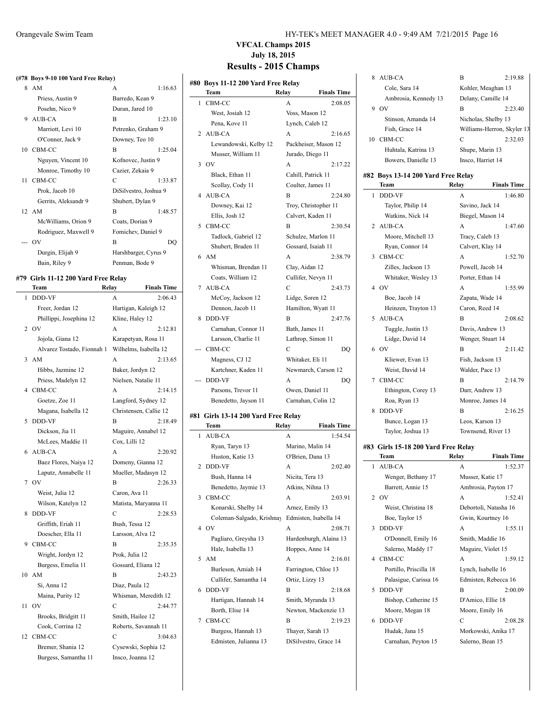#### **(#78 Boys 9-10 100 Yard Free Relay)**

|    | $8$ AM               | $\mathsf{A}$          | 1:16.63 |
|----|----------------------|-----------------------|---------|
|    | Priess, Austin 9     | Barredo, Kean 9       |         |
|    | Posehn, Nico 9       | Duran, Jared 10       |         |
|    | 9 AUB-CA             | R                     | 1:23.10 |
|    | Marriott, Levi 10    | Petrenko, Graham 9    |         |
|    | O'Conner, Jack 9     | Downey, Teo 10        |         |
|    | 10 CBM-CC            | B                     | 1:25.04 |
|    | Nguyen, Vincent 10   | Kofnovec, Justin 9    |         |
|    | Monroe, Timothy 10   | Cazier, Zekaia 9      |         |
| 11 | CBM-CC               | C                     | 1:33.87 |
|    | Prok, Jacob 10       | DiSilvestro, Joshua 9 |         |
|    | Gerrits, Aleksandr 9 | Shubert, Dylan 9      |         |
|    | 12 AM                | R                     | 1:48.57 |
|    | McWilliams, Orion 9  | Coats, Dorian 9       |         |
|    | Rodriguez, Maxwell 9 | Fomichev, Daniel 9    |         |
|    | --- OV               | B                     | DO      |
|    | Durgin, Elijah 9     | Harshbarger, Cyrus 9  |         |
|    | Bain, Riley 9        | Penman, Bode 9        |         |

#### **#79 Girls 11-12 200 Yard Free Relay**

| Team                    | Relay            | <b>Finals Time</b>         |
|-------------------------|------------------|----------------------------|
| DDD-VF                  | A                | 2:06.43                    |
| Freer, Jordan 12        |                  | Hartigan, Kaleigh 12       |
| Phillippi, Josephina 12 | Kline, Haley 12  |                            |
| O <sub>V</sub>          | A                | 2:12.81                    |
| Jojola, Giana 12        |                  | Karapetyan, Rosa 11        |
|                         |                  | Wilhelms, Isabella 12      |
| AM                      | A                | 2:13.65                    |
| Hibbs, Jazmine 12       | Baker, Jordyn 12 |                            |
| Priess, Madelyn 12      |                  | Nielsen, Natalie 11        |
| CBM-CC                  | A                | 2:14.15                    |
| Goetze, Zoe 11          |                  | Langford, Sydney 12        |
| Magana, Isabella 12     |                  | Christensen, Callie 12     |
| <b>DDD-VF</b>           | B                | 2:18.49                    |
| Dickson, Jia 11         |                  | Maguire, Annabel 12        |
| McLees, Maddie 11       | Cox, Lilli 12    |                            |
| AUB-CA                  | A                | 2:20.92                    |
| Baez Flores, Naiya 12   |                  | Domeny, Gianna 12          |
| Laputz, Annabelle 11    |                  | Mueller, Madasyn 12        |
| OV                      | B                | 2:26.33                    |
| Weist, Julia 12         | Caron, Ava 11    |                            |
| Wilson, Katelyn 12      |                  | Matista, Maryanna 11       |
| <b>DDD-VF</b>           | C                | 2:28.53                    |
| Griffith, Eriah 11      | Bush, Tessa 12   |                            |
| Doescher, Ella 11       | Larsson, Alva 12 |                            |
| CBM-CC                  | B                | 2:35.35                    |
| Wright, Jordyn 12       | Prok, Julia 12   |                            |
| Burgess, Emelia 11      |                  | Gossard, Eliana 12         |
| AM                      | B                | 2:43.23                    |
| Si, Anna 12             | Diaz, Paula 12   |                            |
| Maina, Purity 12        |                  | Whisman, Meredith 12       |
| O <sub>V</sub>          | C                | 2:44.77                    |
| Brooks, Bridgitt 11     | Smith, Hailee 12 |                            |
| Cook, Corrina 12        |                  | Roberts, Savannah 11       |
| CBM-CC                  | С                | 3:04.63                    |
| Bremer, Shania 12       |                  | Cysewski, Sophia 12        |
| Burgess, Samantha 11    | Insco, Joanna 12 |                            |
|                         |                  | Alvarez Tostado, Fionnah 1 |

#### Orangevale Swim Team HY-TEK's MEET MANAGER 4.0 - 9:49 AM 7/21/2015 Page 16

# **VFCAL Champs 2015 July 18, 2015**

|   | #80 Boys 11-12 200 Yard Free Relay<br>Team<br>Relay | <b>Finals Time</b>                        |
|---|-----------------------------------------------------|-------------------------------------------|
| 1 | CBM-CC                                              | 2:08.05<br>A                              |
|   | West, Josiah 12                                     | Voss, Mason 12                            |
|   | Pena. Kove 11                                       | Lynch, Caleb 12                           |
|   | 2 AUB-CA                                            | A                                         |
|   |                                                     | 2:16.65                                   |
|   | Lewandowski, Kelby 12                               | Packheiser, Mason 12                      |
|   | Musser, William 11<br>O <sub>V</sub>                | Jurado, Diego 11                          |
| 3 |                                                     | A<br>2:17.22                              |
|   | Black, Ethan 11                                     | Cahill. Patrick 11                        |
|   | Scollay, Cody 11                                    | Coulter, James 11                         |
| 4 | AUB-CA                                              | B<br>2:24.80                              |
|   | Downey, Kai 12                                      | Troy, Christopher 11                      |
|   | Ellis, Josh 12                                      | Calvert, Kaden 11                         |
| 5 | CBM-CC                                              | B<br>2:30.54                              |
|   | Tadlock, Gabriel 12                                 | Schulze, Marlon 11                        |
|   | Shubert, Braden 11                                  | Gossard, Isaiah 11                        |
| 6 | AM                                                  | A<br>2:38.79                              |
|   | Whisman, Brendan 11                                 | Clay, Aidan 12                            |
|   | Coats, William 12                                   | Cullifer, Nevyn 11                        |
| 7 | AUB-CA                                              | C<br>2:43.73                              |
|   | McCoy, Jackson 12                                   | Lidge, Soren 12                           |
|   | Dennon, Jacob 11                                    | Hamilton, Wyatt 11                        |
| 8 | DDD-VF                                              | B<br>2:47.76                              |
|   | Carnahan, Connor 11                                 | Bath, James 11                            |
|   | Larsson, Charlie 11                                 | Lathrop, Simon 11                         |
|   | CBM-CC                                              | C<br>DQ                                   |
|   | Magness, CJ 12                                      | Whitaker, Eli 11                          |
|   | Kartchner, Kaden 11                                 | Newmarch, Carson 12                       |
|   | DDD-VF                                              | A<br>DQ                                   |
|   | Parsons, Trevor 11                                  | Owen, Daniel 11                           |
|   | Benedetto, Jayson 11                                | Carnahan, Colin 12                        |
|   | #81  Girls 13-14 200 Yard Free Relay                |                                           |
|   | Team<br>Relay                                       | <b>Finals Time</b>                        |
| 1 | <b>AUB-CA</b>                                       | 1:54.54<br>A                              |
|   | Ryan, Taryn 13                                      | Marino, Malin 14                          |
|   | Huston, Katie 13                                    | O'Brien, Dana 13                          |
| 2 | DDD-VF                                              | A<br>2:02.40                              |
|   | Bush, Hanna 14                                      | Nicita, Tera 13                           |
|   | Benedetto, Jaymie 13                                | Atkins, Nihna 13                          |
| 3 | CBM-CC                                              | A<br>2:03.91                              |
|   | Konarski, Shelby 14                                 | Arnez, Emily 13                           |
|   | Coleman-Salgado, Krishnay                           | Edmisten, Isabella 14                     |
| 4 | O <sub>V</sub>                                      | А<br>2:08.71                              |
|   | Pagliaro, Greysha 13                                | Hardenburgh, Alaina 13                    |
|   | Hale, Isabella 13                                   |                                           |
|   | AM                                                  | Hoppes, Anne 14                           |
| 5 |                                                     | A<br>2:16.01                              |
|   | Burleson, Amiah 14                                  | Farrington, Chloe 13                      |
|   | Cullifer, Samantha 14                               | Ortiz, Lizzy 13                           |
| 6 | DDD-VF                                              | В<br>2:18.68                              |
|   | Hartigan, Hannah 14                                 | Smith, Myranda 13                         |
|   |                                                     |                                           |
|   | Borth, Elise 14                                     | Newton, Mackenzie 13                      |
| 7 | CBM-CC                                              | В<br>2:19.23                              |
|   | Burgess, Hannah 13<br>Edmisten, Julianna 13         | Thayer, Sarah 13<br>DiSilvestro, Grace 14 |

| 8  | AUB-CA                              | B                   | 2:19.88                    |
|----|-------------------------------------|---------------------|----------------------------|
|    | Cole, Sara 14                       | Kohler, Meaghan 13  |                            |
|    | Ambrosia, Kennedy 13                | Delany, Camille 14  |                            |
|    | 9 OV                                | B                   | 2:23.40                    |
|    | Stinson, Amanda 14                  | Nicholas, Shelby 13 |                            |
|    | Fish. Grace 14                      |                     | Williams-Herron, Skyler 13 |
| 10 | CBM-CC                              | С                   | 2:32.03                    |
|    | Huhtala, Katrina 13                 | Shupe, Marin 13     |                            |
|    | Bowers, Danielle 13                 | Insco, Harriet 14   |                            |
|    | #82 Boys 13-14 200 Yard Free Relay  |                     |                            |
|    | Team                                | <b>Relay</b>        | <b>Finals Time</b>         |
| 1  | <b>DDD-VF</b>                       | A                   | 1:46.80                    |
|    | Taylor, Philip 14                   | Savino, Jack 14     |                            |
|    | Watkins, Nick 14                    | Biegel, Mason 14    |                            |
| 2  | AUB-CA                              | A                   | 1:47.60                    |
|    | Moore, Mitchell 13                  | Tracy, Caleb 13     |                            |
|    | Ryan, Connor 14                     | Calvert, Klay 14    |                            |
| 3  | CBM-CC                              | A                   | 1:52.70                    |
|    | Zilles, Jackson 13                  | Powell, Jacob 14    |                            |
|    | Whitaker, Wesley 13                 | Porter, Ethan 14    |                            |
| 4  | OV                                  | A                   | 1:55.99                    |
|    | Boe, Jacob 14                       | Zapata, Wade 14     |                            |
|    | Heinzen, Trayton 13                 | Caron, Reed 14      |                            |
| 5  | AUB-CA                              | B                   | 2:08.62                    |
|    | Tuggle, Justin 13                   | Davis, Andrew 13    |                            |
|    | Lidge, David 14                     | Wenger, Stuart 14   |                            |
| 6  | OV                                  | B                   | 2:11.42                    |
|    | Kliewer, Evan 13                    | Fish, Jackson 13    |                            |
|    | Weist, David 14                     | Walder, Pace 13     |                            |
| 7  | CBM-CC                              | B                   | 2:14.79                    |
|    | Ethington, Corey 13                 | Darr, Andrew 13     |                            |
|    | Roa, Ryan 13                        | Monroe, James 14    |                            |
| 8  | DDD-VF                              | B                   | 2:16.25                    |
|    | Bunce, Logan 13                     | Leos, Karson 13     |                            |
|    | Taylor, Joshua 13                   | Townsend, River 13  |                            |
|    | #83 Girls 15-18 200 Yard Free Relay |                     |                            |

|               | Team                   | Relay | <b>Finals Time</b>    |  |
|---------------|------------------------|-------|-----------------------|--|
|               | 1 AUB-CA               | A     | 1:52.37               |  |
|               | Wenger, Bethany 17     |       | Musser, Katie 17      |  |
|               | Barrett, Annie 15      |       | Ambrosia, Payton 17   |  |
|               | 2 OV                   | A     | 1:52.41               |  |
|               | Weist, Christina 18    |       | Debortoli, Natasha 16 |  |
|               | Boe, Taylor 15         |       | Gwin, Kourtney 16     |  |
| $\mathcal{L}$ | DDD-VF                 | A     | 1:55.11               |  |
|               | O'Donnell, Emily 16    |       | Smith, Maddie 16      |  |
|               | Salerno, Maddy 17      |       | Maguire, Violet 15    |  |
|               | 4 CBM-CC               | A     | 1:59.12               |  |
|               | Portillo, Priscilla 18 |       | Lynch, Isabelle 16    |  |
|               | Palasigue, Carissa 16  |       | Edmisten, Rebecca 16  |  |
| 5             | DDD-VF                 | R     | 2:00.09               |  |
|               | Bishop, Catherine 15   |       | D'Amico, Ellie 18     |  |
|               | Moore, Megan 18        |       | Moore, Emily 16       |  |
| 6             | DDD-VF                 | C     | 2:08.28               |  |
|               | Hudak, Jana 15         |       | Morkowski, Anika 17   |  |
|               | Carnahan, Peyton 15    |       | Salerno, Bean 15      |  |
|               |                        |       |                       |  |